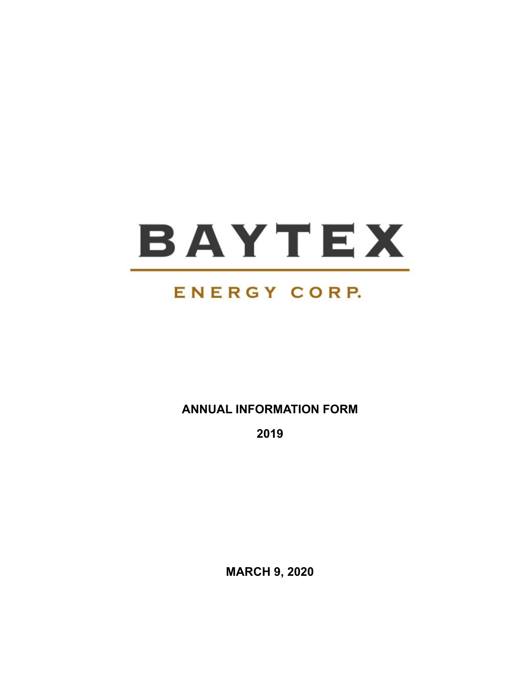

**ANNUAL INFORMATION FORM**

**2019**

**MARCH 9, 2020**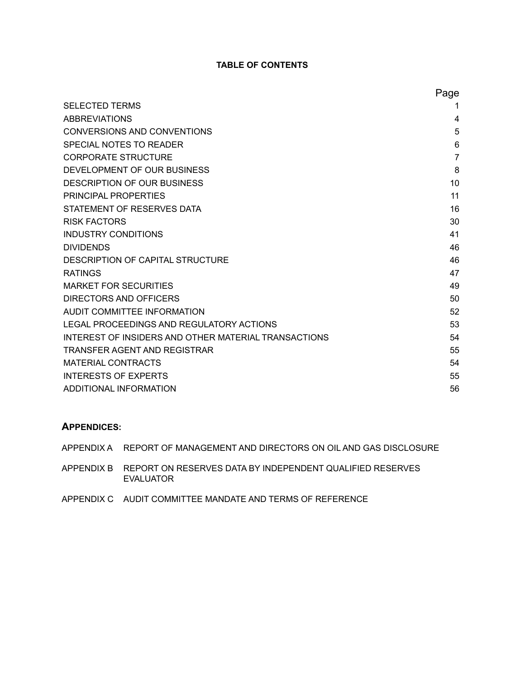## **TABLE OF CONTENTS**

|                                                      | Page           |
|------------------------------------------------------|----------------|
| <b>SELECTED TERMS</b>                                | 1              |
| <b>ABBREVIATIONS</b>                                 | 4              |
| CONVERSIONS AND CONVENTIONS                          | 5              |
| SPECIAL NOTES TO READER                              | 6              |
| <b>CORPORATE STRUCTURE</b>                           | $\overline{7}$ |
| DEVELOPMENT OF OUR BUSINESS                          | 8              |
| DESCRIPTION OF OUR BUSINESS                          | 10             |
| PRINCIPAL PROPERTIES                                 | 11             |
| STATEMENT OF RESERVES DATA                           | 16             |
| <b>RISK FACTORS</b>                                  | 30             |
| <b>INDUSTRY CONDITIONS</b>                           | 41             |
| <b>DIVIDENDS</b>                                     | 46             |
| DESCRIPTION OF CAPITAL STRUCTURE                     | 46             |
| <b>RATINGS</b>                                       | 47             |
| MARKET FOR SECURITIES                                | 49             |
| DIRECTORS AND OFFICERS                               | 50             |
| AUDIT COMMITTEE INFORMATION                          | 52             |
| LEGAL PROCEEDINGS AND REGULATORY ACTIONS             | 53             |
| INTEREST OF INSIDERS AND OTHER MATERIAL TRANSACTIONS | 54             |
| TRANSFER AGENT AND REGISTRAR                         | 55             |
| MATERIAL CONTRACTS                                   | 54             |
| <b>INTERESTS OF EXPERTS</b>                          | 55             |
| ADDITIONAL INFORMATION                               | 56             |

# **APPENDICES:**

APPENDIX A REPORT OF MANAGEMENT AND DIRECTORS ON OIL AND GAS DISCLOSURE

APPENDIX B REPORT ON RESERVES DATA BY INDEPENDENT QUALIFIED RESERVES EVALUATOR

APPENDIX C AUDIT COMMITTEE MANDATE AND TERMS OF REFERENCE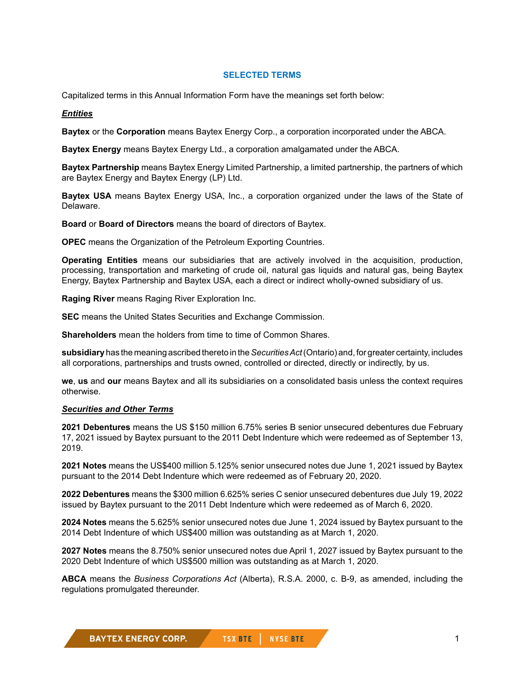## **SELECTED TERMS**

Capitalized terms in this Annual Information Form have the meanings set forth below:

# *Entities*

**Baytex** or the **Corporation** means Baytex Energy Corp., a corporation incorporated under the ABCA.

**Baytex Energy** means Baytex Energy Ltd., a corporation amalgamated under the ABCA.

**Baytex Partnership** means Baytex Energy Limited Partnership, a limited partnership, the partners of which are Baytex Energy and Baytex Energy (LP) Ltd.

**Baytex USA** means Baytex Energy USA, Inc., a corporation organized under the laws of the State of Delaware.

**Board** or **Board of Directors** means the board of directors of Baytex.

**OPEC** means the Organization of the Petroleum Exporting Countries.

**Operating Entities** means our subsidiaries that are actively involved in the acquisition, production, processing, transportation and marketing of crude oil, natural gas liquids and natural gas, being Baytex Energy, Baytex Partnership and Baytex USA, each a direct or indirect wholly-owned subsidiary of us.

**Raging River** means Raging River Exploration Inc.

**SEC** means the United States Securities and Exchange Commission.

**Shareholders** mean the holders from time to time of Common Shares.

**subsidiary**has the meaning ascribed thereto in the *Securities Act*(Ontario) and, for greater certainty, includes all corporations, partnerships and trusts owned, controlled or directed, directly or indirectly, by us.

**we**, **us** and **our** means Baytex and all its subsidiaries on a consolidated basis unless the context requires otherwise.

#### *Securities and Other Terms*

**2021 Debentures** means the US \$150 million 6.75% series B senior unsecured debentures due February 17, 2021 issued by Baytex pursuant to the 2011 Debt Indenture which were redeemed as of September 13, 2019.

**2021 Notes** means the US\$400 million 5.125% senior unsecured notes due June 1, 2021 issued by Baytex pursuant to the 2014 Debt Indenture which were redeemed as of February 20, 2020.

**2022 Debentures** means the \$300 million 6.625% series C senior unsecured debentures due July 19, 2022 issued by Baytex pursuant to the 2011 Debt Indenture which were redeemed as of March 6, 2020.

**2024 Notes** means the 5.625% senior unsecured notes due June 1, 2024 issued by Baytex pursuant to the 2014 Debt Indenture of which US\$400 million was outstanding as at March 1, 2020.

**2027 Notes** means the 8.750% senior unsecured notes due April 1, 2027 issued by Baytex pursuant to the 2020 Debt Indenture of which US\$500 million was outstanding as at March 1, 2020.

**ABCA** means the *Business Corporations Act* (Alberta), R.S.A. 2000, c. B-9, as amended, including the regulations promulgated thereunder.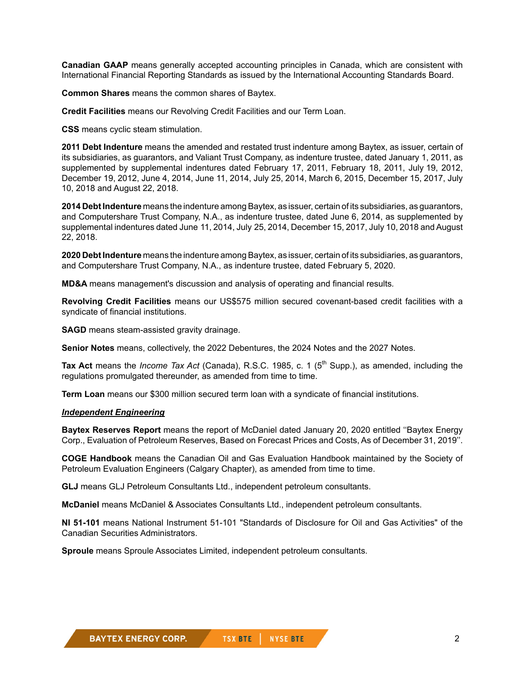**Canadian GAAP** means generally accepted accounting principles in Canada, which are consistent with International Financial Reporting Standards as issued by the International Accounting Standards Board.

**Common Shares** means the common shares of Baytex.

**Credit Facilities** means our Revolving Credit Facilities and our Term Loan.

**CSS** means cyclic steam stimulation.

**2011 Debt Indenture** means the amended and restated trust indenture among Baytex, as issuer, certain of its subsidiaries, as guarantors, and Valiant Trust Company, as indenture trustee, dated January 1, 2011, as supplemented by supplemental indentures dated February 17, 2011, February 18, 2011, July 19, 2012, December 19, 2012, June 4, 2014, June 11, 2014, July 25, 2014, March 6, 2015, December 15, 2017, July 10, 2018 and August 22, 2018.

**2014 Debt Indenture** means the indenture among Baytex, as issuer, certain of its subsidiaries, as guarantors, and Computershare Trust Company, N.A., as indenture trustee, dated June 6, 2014, as supplemented by supplemental indentures dated June 11, 2014, July 25, 2014, December 15, 2017, July 10, 2018 and August 22, 2018.

**2020 Debt Indenture** means the indenture among Baytex, as issuer, certain of its subsidiaries, as guarantors, and Computershare Trust Company, N.A., as indenture trustee, dated February 5, 2020.

**MD&A** means management's discussion and analysis of operating and financial results*.*

**Revolving Credit Facilities** means our US\$575 million secured covenant-based credit facilities with a syndicate of financial institutions.

**SAGD** means steam-assisted gravity drainage.

**Senior Notes** means, collectively, the 2022 Debentures, the 2024 Notes and the 2027 Notes.

Tax Act means the *Income Tax Act* (Canada), R.S.C. 1985, c. 1 (5<sup>th</sup> Supp.), as amended, including the regulations promulgated thereunder, as amended from time to time.

**Term Loan** means our \$300 million secured term loan with a syndicate of financial institutions.

#### *Independent Engineering*

**Baytex Reserves Report** means the report of McDaniel dated January 20, 2020 entitled ''Baytex Energy Corp., Evaluation of Petroleum Reserves, Based on Forecast Prices and Costs, As of December 31, 2019''.

**COGE Handbook** means the Canadian Oil and Gas Evaluation Handbook maintained by the Society of Petroleum Evaluation Engineers (Calgary Chapter), as amended from time to time.

**GLJ** means GLJ Petroleum Consultants Ltd., independent petroleum consultants.

**McDaniel** means McDaniel & Associates Consultants Ltd., independent petroleum consultants.

**NI 51-101** means National Instrument 51-101 "Standards of Disclosure for Oil and Gas Activities" of the Canadian Securities Administrators.

**NYSE BTE** 

**Sproule** means Sproule Associates Limited, independent petroleum consultants.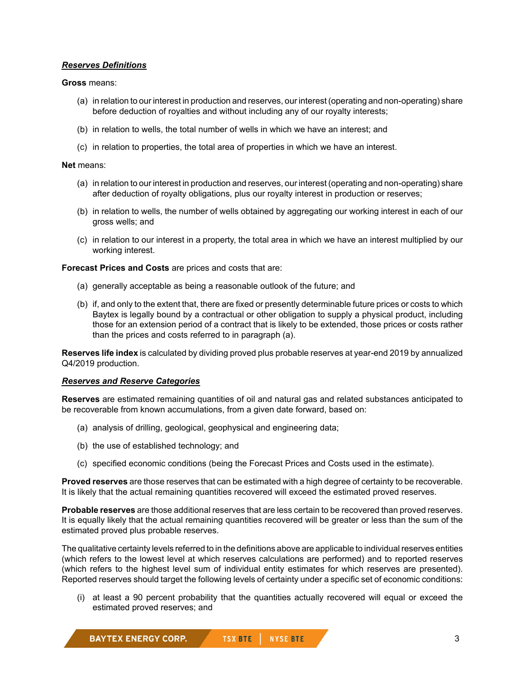# *Reserves Definitions*

**Gross** means:

- (a) in relation to our interest in production and reserves, our interest (operating and non-operating) share before deduction of royalties and without including any of our royalty interests;
- (b) in relation to wells, the total number of wells in which we have an interest; and
- (c) in relation to properties, the total area of properties in which we have an interest.

#### **Net** means:

- (a) in relation to our interest in production and reserves, our interest (operating and non-operating) share after deduction of royalty obligations, plus our royalty interest in production or reserves;
- (b) in relation to wells, the number of wells obtained by aggregating our working interest in each of our gross wells; and
- (c) in relation to our interest in a property, the total area in which we have an interest multiplied by our working interest.

**Forecast Prices and Costs** are prices and costs that are:

- (a) generally acceptable as being a reasonable outlook of the future; and
- (b) if, and only to the extent that, there are fixed or presently determinable future prices or costs to which Baytex is legally bound by a contractual or other obligation to supply a physical product, including those for an extension period of a contract that is likely to be extended, those prices or costs rather than the prices and costs referred to in paragraph (a).

**Reserves life index**is calculated by dividing proved plus probable reserves at year-end 2019 by annualized Q4/2019 production.

#### *Reserves and Reserve Categories*

**Reserves** are estimated remaining quantities of oil and natural gas and related substances anticipated to be recoverable from known accumulations, from a given date forward, based on:

- (a) analysis of drilling, geological, geophysical and engineering data;
- (b) the use of established technology; and
- (c) specified economic conditions (being the Forecast Prices and Costs used in the estimate).

**Proved reserves**are those reserves that can be estimated with a high degree of certainty to be recoverable. It is likely that the actual remaining quantities recovered will exceed the estimated proved reserves.

**Probable reserves**are those additional reserves that are less certain to be recovered than proved reserves. It is equally likely that the actual remaining quantities recovered will be greater or less than the sum of the estimated proved plus probable reserves.

The qualitative certainty levels referred to in the definitions above are applicable to individual reserves entities (which refers to the lowest level at which reserves calculations are performed) and to reported reserves (which refers to the highest level sum of individual entity estimates for which reserves are presented). Reported reserves should target the following levels of certainty under a specific set of economic conditions:

(i) at least a 90 percent probability that the quantities actually recovered will equal or exceed the estimated proved reserves; and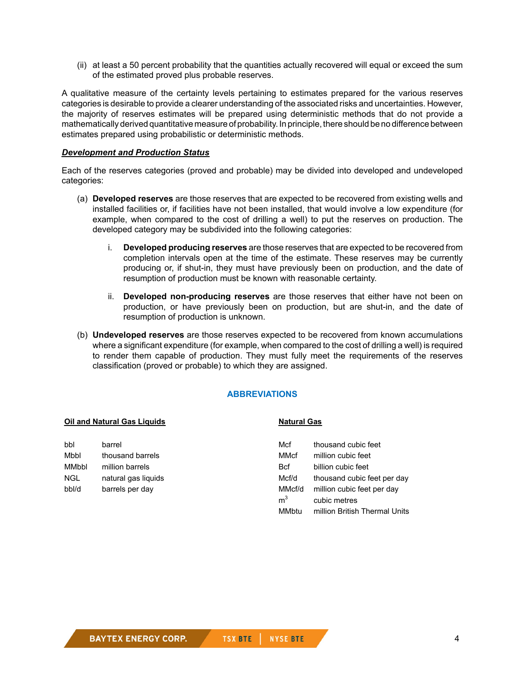(ii) at least a 50 percent probability that the quantities actually recovered will equal or exceed the sum of the estimated proved plus probable reserves.

A qualitative measure of the certainty levels pertaining to estimates prepared for the various reserves categories is desirable to provide a clearer understanding of the associated risks and uncertainties. However, the majority of reserves estimates will be prepared using deterministic methods that do not provide a mathematically derived quantitative measure of probability. In principle, there should be no difference between estimates prepared using probabilistic or deterministic methods.

#### *Development and Production Status*

Each of the reserves categories (proved and probable) may be divided into developed and undeveloped categories:

- (a) **Developed reserves** are those reserves that are expected to be recovered from existing wells and installed facilities or, if facilities have not been installed, that would involve a low expenditure (for example, when compared to the cost of drilling a well) to put the reserves on production. The developed category may be subdivided into the following categories:
	- i. **Developed producing reserves**are those reserves that are expected to be recovered from completion intervals open at the time of the estimate. These reserves may be currently producing or, if shut-in, they must have previously been on production, and the date of resumption of production must be known with reasonable certainty.
	- ii. **Developed non-producing reserves** are those reserves that either have not been on production, or have previously been on production, but are shut-in, and the date of resumption of production is unknown.
- (b) **Undeveloped reserves** are those reserves expected to be recovered from known accumulations where a significant expenditure (for example, when compared to the cost of drilling a well) is required to render them capable of production. They must fully meet the requirements of the reserves classification (proved or probable) to which they are assigned.

# **ABBREVIATIONS**

| <b>Oil and Natural Gas Liquids</b> |                                     |                                   | <b>Natural Gas</b>                                                          |  |  |
|------------------------------------|-------------------------------------|-----------------------------------|-----------------------------------------------------------------------------|--|--|
| bbl                                | barrel                              | Mcf                               | thousand cubic feet                                                         |  |  |
| Mbbl<br><b>MMbbl</b>               | thousand barrels<br>million barrels | MMcf<br><b>B</b> cf               | million cubic feet<br>billion cubic feet                                    |  |  |
| NGL                                | natural gas liquids                 | Mcf/d                             | thousand cubic feet per day                                                 |  |  |
| bbl/d                              | barrels per day                     | MMcf/d<br>m <sup>3</sup><br>MMbtu | million cubic feet per day<br>cubic metres<br>million British Thermal Units |  |  |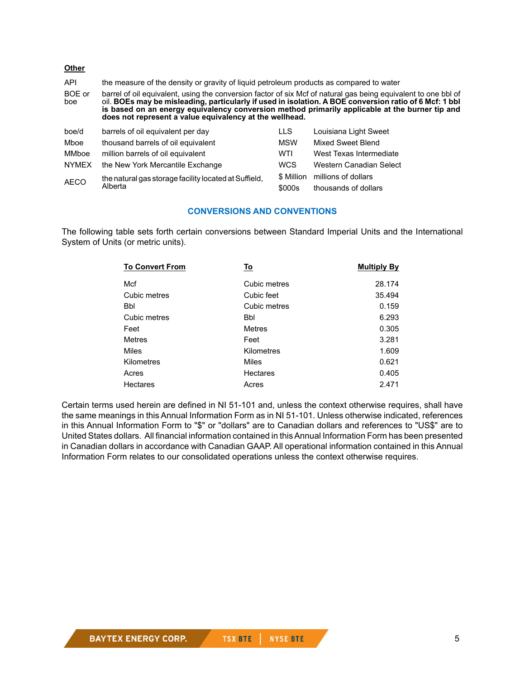#### **Other**

| <b>API</b>    | the measure of the density or gravity of liquid petroleum products as compared to water                                                                                                                                                                                                                                                                                               |                      |                                             |  |  |  |  |  |
|---------------|---------------------------------------------------------------------------------------------------------------------------------------------------------------------------------------------------------------------------------------------------------------------------------------------------------------------------------------------------------------------------------------|----------------------|---------------------------------------------|--|--|--|--|--|
| BOE or<br>boe | barrel of oil equivalent, using the conversion factor of six Mcf of natural gas being equivalent to one bbl of<br>oil. BOEs may be misleading, particularly if used in isolation. A BOE conversion ratio of 6 Mcf: 1 bbl<br>is based on an energy equivalency conversion method primarily applicable at the burner tip and<br>does not represent a value equivalency at the wellhead. |                      |                                             |  |  |  |  |  |
| boe/d         | barrels of oil equivalent per day                                                                                                                                                                                                                                                                                                                                                     | LLS                  | Louisiana Light Sweet                       |  |  |  |  |  |
| Mboe          | thousand barrels of oil equivalent                                                                                                                                                                                                                                                                                                                                                    | <b>MSW</b>           | Mixed Sweet Blend                           |  |  |  |  |  |
| MMboe         | million barrels of oil equivalent                                                                                                                                                                                                                                                                                                                                                     | WTI                  | West Texas Intermediate                     |  |  |  |  |  |
| <b>NYMEX</b>  | the New York Mercantile Exchange                                                                                                                                                                                                                                                                                                                                                      | <b>WCS</b>           | Western Canadian Select                     |  |  |  |  |  |
| <b>AECO</b>   | the natural gas storage facility located at Suffield,<br>Alberta                                                                                                                                                                                                                                                                                                                      | \$ Million<br>\$000s | millions of dollars<br>thousands of dollars |  |  |  |  |  |

# **CONVERSIONS AND CONVENTIONS**

The following table sets forth certain conversions between Standard Imperial Units and the International System of Units (or metric units).

| <b>To Convert From</b> | <u>To</u>     | <b>Multiply By</b> |
|------------------------|---------------|--------------------|
| Mcf                    | Cubic metres  | 28.174             |
| Cubic metres           | Cubic feet    | 35.494             |
| Bbl                    | Cubic metres  | 0.159              |
| Cubic metres           | Bbl           | 6.293              |
| Feet                   | <b>Metres</b> | 0.305              |
| <b>Metres</b>          | Feet          | 3.281              |
| Miles                  | Kilometres    | 1.609              |
| Kilometres             | Miles         | 0.621              |
| Acres                  | Hectares      | 0.405              |
| Hectares               | Acres         | 2.471              |

Certain terms used herein are defined in NI 51-101 and, unless the context otherwise requires, shall have the same meanings in this Annual Information Form as in NI 51-101. Unless otherwise indicated, references in this Annual Information Form to "\$" or "dollars" are to Canadian dollars and references to "US\$" are to United States dollars. All financial information contained in this Annual Information Form has been presented in Canadian dollars in accordance with Canadian GAAP. All operational information contained in this Annual Information Form relates to our consolidated operations unless the context otherwise requires.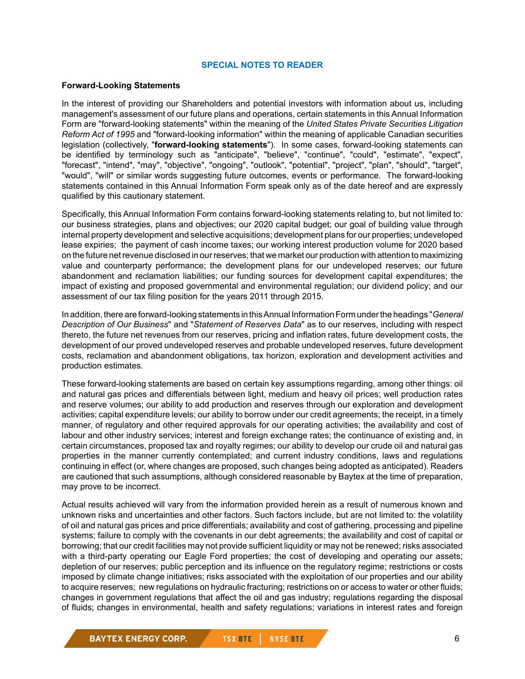#### **SPECIAL NOTES TO READER**

#### **Forward-Looking Statements**

In the interest of providing our Shareholders and potential investors with information about us, including management's assessment of our future plans and operations, certain statements in this Annual Information Form are "forward-looking statements" within the meaning of the *United States Private Securities Litigation Reform Act of 1995* and "forward-looking information" within the meaning of applicable Canadian securities legislation (collectively, "**forward-looking statements**"). In some cases, forward-looking statements can be identified by terminology such as "anticipate", "believe", "continue", "could", "estimate", "expect", "forecast", "intend", "may", "objective", "ongoing", "outlook", "potential", "project", "plan", "should", "target", "would", "will" or similar words suggesting future outcomes, events or performance. The forward-looking statements contained in this Annual Information Form speak only as of the date hereof and are expressly qualified by this cautionary statement.

Specifically, this Annual Information Form contains forward-looking statements relating to, but not limited to: our business strategies, plans and objectives; our 2020 capital budget; our goal of building value through internal property development and selective acquisitions; development plans for our properties; undeveloped lease expiries; the payment of cash income taxes; our working interest production volume for 2020 based on the future net revenue disclosed in our reserves; that we market our production with attention to maximizing value and counterparty performance; the development plans for our undeveloped reserves; our future abandonment and reclamation liabilities; our funding sources for development capital expenditures; the impact of existing and proposed governmental and environmental regulation; our dividend policy; and our assessment of our tax filing position for the years 2011 through 2015.

In addition, there are forward-looking statements in this Annual Information Form under the headings "*General Description of Our Business*" and "*Statement of Reserves Data*" as to our reserves, including with respect thereto, the future net revenues from our reserves, pricing and inflation rates, future development costs, the development of our proved undeveloped reserves and probable undeveloped reserves, future development costs, reclamation and abandonment obligations, tax horizon, exploration and development activities and production estimates.

These forward-looking statements are based on certain key assumptions regarding, among other things: oil and natural gas prices and differentials between light, medium and heavy oil prices; well production rates and reserve volumes; our ability to add production and reserves through our exploration and development activities; capital expenditure levels; our ability to borrow under our credit agreements; the receipt, in a timely manner, of regulatory and other required approvals for our operating activities; the availability and cost of labour and other industry services; interest and foreign exchange rates; the continuance of existing and, in certain circumstances, proposed tax and royalty regimes; our ability to develop our crude oil and natural gas properties in the manner currently contemplated; and current industry conditions, laws and regulations continuing in effect (or, where changes are proposed, such changes being adopted as anticipated). Readers are cautioned that such assumptions, although considered reasonable by Baytex at the time of preparation, may prove to be incorrect.

Actual results achieved will vary from the information provided herein as a result of numerous known and unknown risks and uncertainties and other factors. Such factors include, but are not limited to: the volatility of oil and natural gas prices and price differentials; availability and cost of gathering, processing and pipeline systems; failure to comply with the covenants in our debt agreements; the availability and cost of capital or borrowing; that our credit facilities may not provide sufficient liquidity or may not be renewed; risks associated with a third-party operating our Eagle Ford properties; the cost of developing and operating our assets; depletion of our reserves; public perception and its influence on the regulatory regime; restrictions or costs imposed by climate change initiatives; risks associated with the exploitation of our properties and our ability to acquire reserves; new regulations on hydraulic fracturing; restrictions on or access to water or other fluids; changes in government regulations that affect the oil and gas industry; regulations regarding the disposal of fluids; changes in environmental, health and safety regulations; variations in interest rates and foreign

**TSX BTE**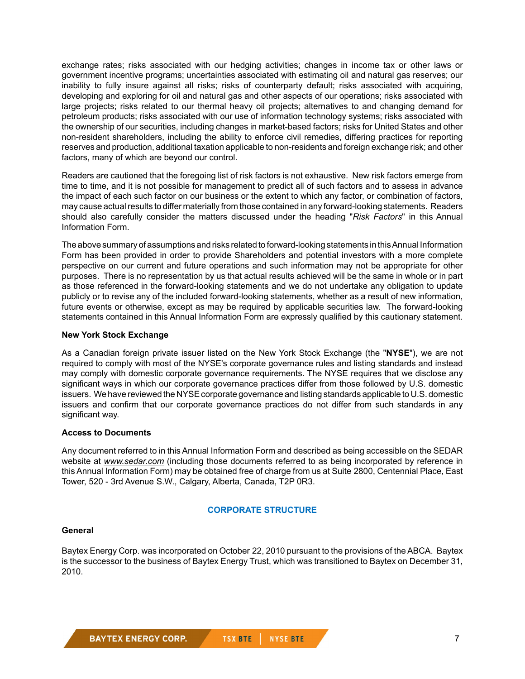exchange rates; risks associated with our hedging activities; changes in income tax or other laws or government incentive programs; uncertainties associated with estimating oil and natural gas reserves; our inability to fully insure against all risks; risks of counterparty default; risks associated with acquiring, developing and exploring for oil and natural gas and other aspects of our operations; risks associated with large projects; risks related to our thermal heavy oil projects; alternatives to and changing demand for petroleum products; risks associated with our use of information technology systems; risks associated with the ownership of our securities, including changes in market-based factors; risks for United States and other non-resident shareholders, including the ability to enforce civil remedies, differing practices for reporting reserves and production, additional taxation applicable to non-residents and foreign exchange risk; and other factors, many of which are beyond our control.

Readers are cautioned that the foregoing list of risk factors is not exhaustive. New risk factors emerge from time to time, and it is not possible for management to predict all of such factors and to assess in advance the impact of each such factor on our business or the extent to which any factor, or combination of factors, may cause actual results to differ materially from those contained in any forward-looking statements. Readers should also carefully consider the matters discussed under the heading "*Risk Factors*" in this Annual Information Form.

The above summary of assumptions and risks related to forward-looking statements in this Annual Information Form has been provided in order to provide Shareholders and potential investors with a more complete perspective on our current and future operations and such information may not be appropriate for other purposes. There is no representation by us that actual results achieved will be the same in whole or in part as those referenced in the forward-looking statements and we do not undertake any obligation to update publicly or to revise any of the included forward-looking statements, whether as a result of new information, future events or otherwise, except as may be required by applicable securities law. The forward-looking statements contained in this Annual Information Form are expressly qualified by this cautionary statement.

# **New York Stock Exchange**

As a Canadian foreign private issuer listed on the New York Stock Exchange (the "**NYSE**"), we are not required to comply with most of the NYSE's corporate governance rules and listing standards and instead may comply with domestic corporate governance requirements. The NYSE requires that we disclose any significant ways in which our corporate governance practices differ from those followed by U.S. domestic issuers. We have reviewed the NYSE corporate governance and listing standards applicable to U.S. domestic issuers and confirm that our corporate governance practices do not differ from such standards in any significant way.

#### **Access to Documents**

Any document referred to in this Annual Information Form and described as being accessible on the SEDAR website at *www.sedar.com* (including those documents referred to as being incorporated by reference in this Annual Information Form) may be obtained free of charge from us at Suite 2800, Centennial Place, East Tower, 520 - 3rd Avenue S.W., Calgary, Alberta, Canada, T2P 0R3.

# **CORPORATE STRUCTURE**

#### **General**

Baytex Energy Corp. was incorporated on October 22, 2010 pursuant to the provisions of the ABCA. Baytex is the successor to the business of Baytex Energy Trust, which was transitioned to Baytex on December 31, 2010.

**NYSE BTE**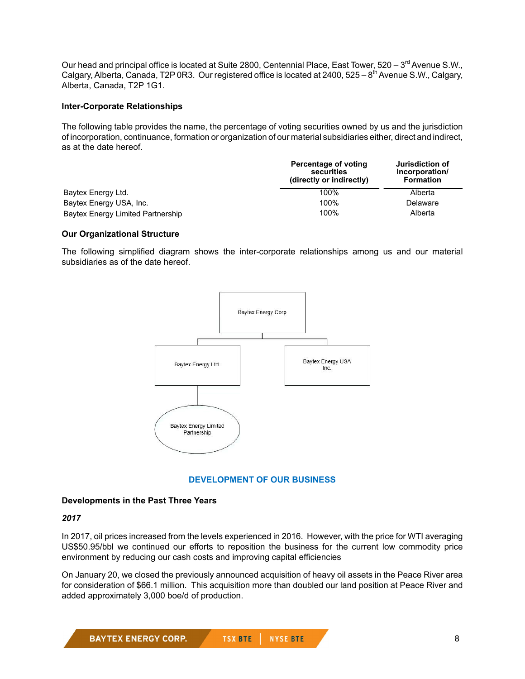Our head and principal office is located at Suite 2800, Centennial Place, East Tower, 520 – 3<sup>rd</sup> Avenue S.W., Calgary, Alberta, Canada, T2P 0R3. Our registered office is located at 2400, 525 – 8<sup>th</sup> Avenue S.W., Calgary, Alberta, Canada, T2P 1G1.

#### **Inter-Corporate Relationships**

The following table provides the name, the percentage of voting securities owned by us and the jurisdiction of incorporation, continuance, formation or organization of our material subsidiaries either, direct and indirect, as at the date hereof.

|                                          | Percentage of voting<br>securities<br>(directly or indirectly) | Jurisdiction of<br>Incorporation/<br><b>Formation</b> |
|------------------------------------------|----------------------------------------------------------------|-------------------------------------------------------|
| Baytex Energy Ltd.                       | 100%                                                           | Alberta                                               |
| Baytex Energy USA, Inc.                  | 100%                                                           | Delaware                                              |
| <b>Baytex Energy Limited Partnership</b> | 100%                                                           | Alberta                                               |

#### **Our Organizational Structure**

The following simplified diagram shows the inter-corporate relationships among us and our material subsidiaries as of the date hereof.





#### **Developments in the Past Three Years**

#### *2017*

In 2017, oil prices increased from the levels experienced in 2016. However, with the price for WTI averaging US\$50.95/bbl we continued our efforts to reposition the business for the current low commodity price environment by reducing our cash costs and improving capital efficiencies

On January 20, we closed the previously announced acquisition of heavy oil assets in the Peace River area for consideration of \$66.1 million. This acquisition more than doubled our land position at Peace River and added approximately 3,000 boe/d of production.

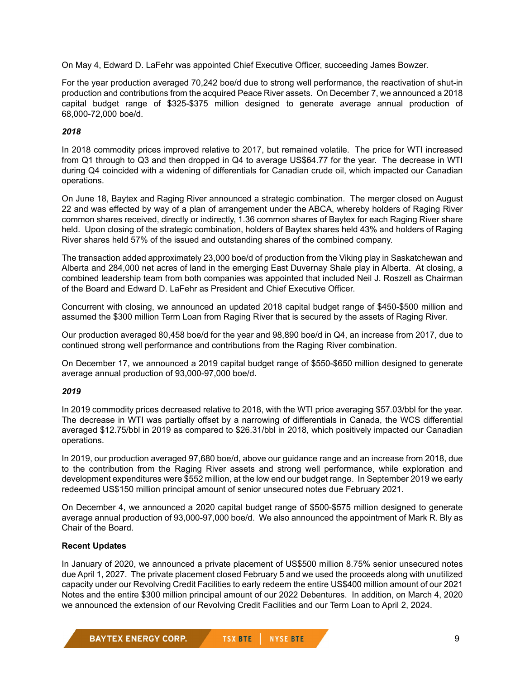On May 4, Edward D. LaFehr was appointed Chief Executive Officer, succeeding James Bowzer.

For the year production averaged 70,242 boe/d due to strong well performance, the reactivation of shut-in production and contributions from the acquired Peace River assets. On December 7, we announced a 2018 capital budget range of \$325-\$375 million designed to generate average annual production of 68,000-72,000 boe/d.

# *2018*

In 2018 commodity prices improved relative to 2017, but remained volatile. The price for WTI increased from Q1 through to Q3 and then dropped in Q4 to average US\$64.77 for the year. The decrease in WTI during Q4 coincided with a widening of differentials for Canadian crude oil, which impacted our Canadian operations.

On June 18, Baytex and Raging River announced a strategic combination. The merger closed on August 22 and was effected by way of a plan of arrangement under the ABCA, whereby holders of Raging River common shares received, directly or indirectly, 1.36 common shares of Baytex for each Raging River share held. Upon closing of the strategic combination, holders of Baytex shares held 43% and holders of Raging River shares held 57% of the issued and outstanding shares of the combined company.

The transaction added approximately 23,000 boe/d of production from the Viking play in Saskatchewan and Alberta and 284,000 net acres of land in the emerging East Duvernay Shale play in Alberta. At closing, a combined leadership team from both companies was appointed that included Neil J. Roszell as Chairman of the Board and Edward D. LaFehr as President and Chief Executive Officer.

Concurrent with closing, we announced an updated 2018 capital budget range of \$450-\$500 million and assumed the \$300 million Term Loan from Raging River that is secured by the assets of Raging River.

Our production averaged 80,458 boe/d for the year and 98,890 boe/d in Q4, an increase from 2017, due to continued strong well performance and contributions from the Raging River combination.

On December 17, we announced a 2019 capital budget range of \$550-\$650 million designed to generate average annual production of 93,000-97,000 boe/d.

#### *2019*

In 2019 commodity prices decreased relative to 2018, with the WTI price averaging \$57.03/bbl for the year. The decrease in WTI was partially offset by a narrowing of differentials in Canada, the WCS differential averaged \$12.75/bbl in 2019 as compared to \$26.31/bbl in 2018, which positively impacted our Canadian operations.

In 2019, our production averaged 97,680 boe/d, above our guidance range and an increase from 2018, due to the contribution from the Raging River assets and strong well performance, while exploration and development expenditures were \$552 million, at the low end our budget range. In September 2019 we early redeemed US\$150 million principal amount of senior unsecured notes due February 2021.

On December 4, we announced a 2020 capital budget range of \$500-\$575 million designed to generate average annual production of 93,000-97,000 boe/d. We also announced the appointment of Mark R. Bly as Chair of the Board.

#### **Recent Updates**

In January of 2020, we announced a private placement of US\$500 million 8.75% senior unsecured notes due April 1, 2027. The private placement closed February 5 and we used the proceeds along with unutilized capacity under our Revolving Credit Facilities to early redeem the entire US\$400 million amount of our 2021 Notes and the entire \$300 million principal amount of our 2022 Debentures. In addition, on March 4, 2020 we announced the extension of our Revolving Credit Facilities and our Term Loan to April 2, 2024.

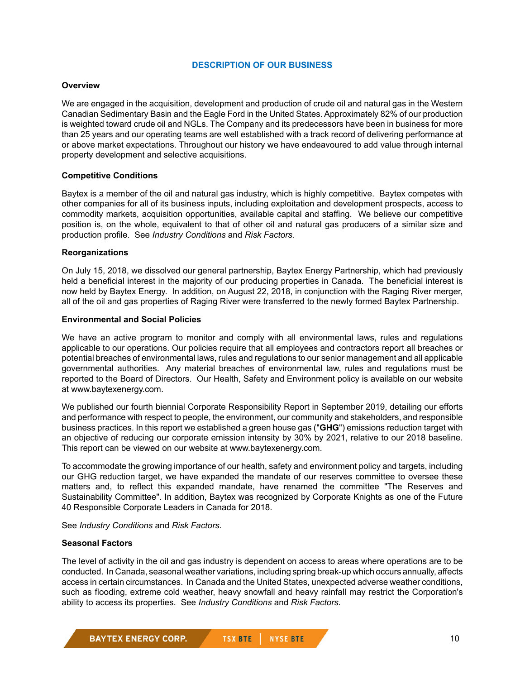#### **DESCRIPTION OF OUR BUSINESS**

#### **Overview**

We are engaged in the acquisition, development and production of crude oil and natural gas in the Western Canadian Sedimentary Basin and the Eagle Ford in the United States. Approximately 82% of our production is weighted toward crude oil and NGLs. The Company and its predecessors have been in business for more than 25 years and our operating teams are well established with a track record of delivering performance at or above market expectations. Throughout our history we have endeavoured to add value through internal property development and selective acquisitions.

#### **Competitive Conditions**

Baytex is a member of the oil and natural gas industry, which is highly competitive. Baytex competes with other companies for all of its business inputs, including exploitation and development prospects, access to commodity markets, acquisition opportunities, available capital and staffing. We believe our competitive position is, on the whole, equivalent to that of other oil and natural gas producers of a similar size and production profile. See *Industry Conditions* and *Risk Factors.*

#### **Reorganizations**

On July 15, 2018, we dissolved our general partnership, Baytex Energy Partnership, which had previously held a beneficial interest in the majority of our producing properties in Canada. The beneficial interest is now held by Baytex Energy. In addition, on August 22, 2018, in conjunction with the Raging River merger, all of the oil and gas properties of Raging River were transferred to the newly formed Baytex Partnership.

#### **Environmental and Social Policies**

We have an active program to monitor and comply with all environmental laws, rules and regulations applicable to our operations. Our policies require that all employees and contractors report all breaches or potential breaches of environmental laws, rules and regulations to our senior management and all applicable governmental authorities. Any material breaches of environmental law, rules and regulations must be reported to the Board of Directors. Our Health, Safety and Environment policy is available on our website at www.baytexenergy.com.

We published our fourth biennial Corporate Responsibility Report in September 2019, detailing our efforts and performance with respect to people, the environment, our community and stakeholders, and responsible business practices. In this report we established a green house gas ("**GHG**") emissions reduction target with an objective of reducing our corporate emission intensity by 30% by 2021, relative to our 2018 baseline. This report can be viewed on our website at www.baytexenergy.com.

To accommodate the growing importance of our health, safety and environment policy and targets, including our GHG reduction target, we have expanded the mandate of our reserves committee to oversee these matters and, to reflect this expanded mandate, have renamed the committee "The Reserves and Sustainability Committee". In addition, Baytex was recognized by Corporate Knights as one of the Future 40 Responsible Corporate Leaders in Canada for 2018.

See *Industry Conditions* and *Risk Factors.*

#### **Seasonal Factors**

The level of activity in the oil and gas industry is dependent on access to areas where operations are to be conducted. In Canada, seasonal weather variations, including spring break-up which occurs annually, affects access in certain circumstances. In Canada and the United States, unexpected adverse weather conditions, such as flooding, extreme cold weather, heavy snowfall and heavy rainfall may restrict the Corporation's ability to access its properties. See *Industry Conditions* and *Risk Factors.*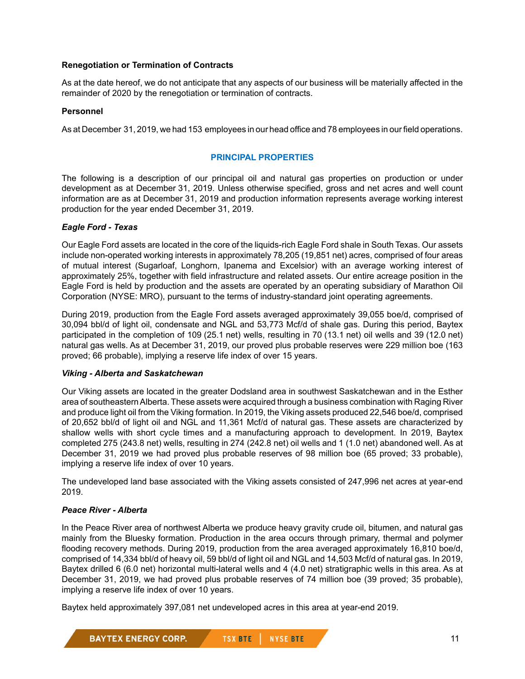#### **Renegotiation or Termination of Contracts**

As at the date hereof, we do not anticipate that any aspects of our business will be materially affected in the remainder of 2020 by the renegotiation or termination of contracts.

# **Personnel**

As at December 31, 2019, we had 153 employees in our head office and 78 employees in our field operations.

# **PRINCIPAL PROPERTIES**

The following is a description of our principal oil and natural gas properties on production or under development as at December 31, 2019. Unless otherwise specified, gross and net acres and well count information are as at December 31, 2019 and production information represents average working interest production for the year ended December 31, 2019.

#### *Eagle Ford - Texas*

Our Eagle Ford assets are located in the core of the liquids-rich Eagle Ford shale in South Texas. Our assets include non-operated working interests in approximately 78,205 (19,851 net) acres, comprised of four areas of mutual interest (Sugarloaf, Longhorn, Ipanema and Excelsior) with an average working interest of approximately 25%, together with field infrastructure and related assets. Our entire acreage position in the Eagle Ford is held by production and the assets are operated by an operating subsidiary of Marathon Oil Corporation (NYSE: MRO), pursuant to the terms of industry-standard joint operating agreements.

During 2019, production from the Eagle Ford assets averaged approximately 39,055 boe/d, comprised of 30,094 bbl/d of light oil, condensate and NGL and 53,773 Mcf/d of shale gas. During this period, Baytex participated in the completion of 109 (25.1 net) wells, resulting in 70 (13.1 net) oil wells and 39 (12.0 net) natural gas wells. As at December 31, 2019, our proved plus probable reserves were 229 million boe (163 proved; 66 probable), implying a reserve life index of over 15 years.

#### *Viking - Alberta and Saskatchewan*

Our Viking assets are located in the greater Dodsland area in southwest Saskatchewan and in the Esther area of southeastern Alberta. These assets were acquired through a business combination with Raging River and produce light oil from the Viking formation. In 2019, the Viking assets produced 22,546 boe/d, comprised of 20,652 bbl/d of light oil and NGL and 11,361 Mcf/d of natural gas. These assets are characterized by shallow wells with short cycle times and a manufacturing approach to development. In 2019, Baytex completed 275 (243.8 net) wells, resulting in 274 (242.8 net) oil wells and 1 (1.0 net) abandoned well. As at December 31, 2019 we had proved plus probable reserves of 98 million boe (65 proved; 33 probable), implying a reserve life index of over 10 years.

The undeveloped land base associated with the Viking assets consisted of 247,996 net acres at year-end 2019.

# *Peace River - Alberta*

In the Peace River area of northwest Alberta we produce heavy gravity crude oil, bitumen, and natural gas mainly from the Bluesky formation. Production in the area occurs through primary, thermal and polymer flooding recovery methods. During 2019, production from the area averaged approximately 16,810 boe/d, comprised of 14,334 bbl/d of heavy oil, 59 bbl/d of light oil and NGLand 14,503 Mcf/d of natural gas. In 2019, Baytex drilled 6 (6.0 net) horizontal multi-lateral wells and 4 (4.0 net) stratigraphic wells in this area. As at December 31, 2019, we had proved plus probable reserves of 74 million boe (39 proved; 35 probable), implying a reserve life index of over 10 years.

Baytex held approximately 397,081 net undeveloped acres in this area at year-end 2019.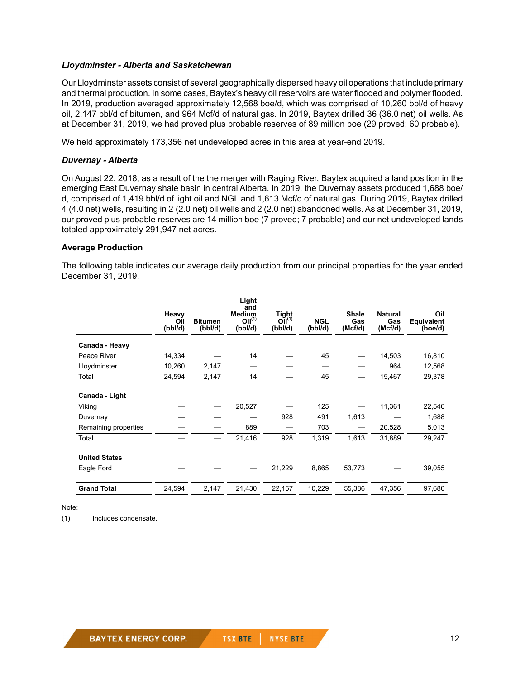#### *Lloydminster - Alberta and Saskatchewan*

Our Lloydminster assets consist of several geographically dispersed heavy oil operations that include primary and thermal production. In some cases, Baytex's heavy oil reservoirs are water flooded and polymer flooded. In 2019, production averaged approximately 12,568 boe/d, which was comprised of 10,260 bbl/d of heavy oil, 2,147 bbl/d of bitumen, and 964 Mcf/d of natural gas. In 2019, Baytex drilled 36 (36.0 net) oil wells. As at December 31, 2019, we had proved plus probable reserves of 89 million boe (29 proved; 60 probable).

We held approximately 173,356 net undeveloped acres in this area at year-end 2019.

#### *Duvernay - Alberta*

On August 22, 2018, as a result of the the merger with Raging River, Baytex acquired a land position in the emerging East Duvernay shale basin in central Alberta. In 2019, the Duvernay assets produced 1,688 boe/ d, comprised of 1,419 bbl/d of light oil and NGL and 1,613 Mcf/d of natural gas. During 2019, Baytex drilled 4 (4.0 net) wells, resulting in 2 (2.0 net) oil wells and 2 (2.0 net) abandoned wells. As at December 31, 2019, our proved plus probable reserves are 14 million boe (7 proved; 7 probable) and our net undeveloped lands totaled approximately 291,947 net acres.

#### **Average Production**

The following table indicates our average daily production from our principal properties for the year ended December 31, 2019.

|                      | Heavy<br>Oil<br>(bbl/d) | <b>Bitumen</b><br>(bbl/d) | Light<br>and<br><b>Medium</b><br>$Oil^{(1)}$<br>(bbl/d) | <b>Tight</b><br>$OII^{(1)}$<br>(bbl/d) | <b>NGL</b><br>(bbl/d) | <b>Shale</b><br>Gas<br>(Mcf/d) | <b>Natural</b><br>Gas<br>(Mcf/d) | Oil<br>Equivalent<br>(boe/d) |
|----------------------|-------------------------|---------------------------|---------------------------------------------------------|----------------------------------------|-----------------------|--------------------------------|----------------------------------|------------------------------|
| Canada - Heavy       |                         |                           |                                                         |                                        |                       |                                |                                  |                              |
| Peace River          | 14,334                  |                           | 14                                                      |                                        | 45                    |                                | 14,503                           | 16,810                       |
| Lloydminster         | 10,260                  | 2,147                     |                                                         |                                        |                       |                                | 964                              | 12,568                       |
| Total                | 24,594                  | 2,147                     | 14                                                      |                                        | 45                    |                                | 15,467                           | 29,378                       |
| Canada - Light       |                         |                           |                                                         |                                        |                       |                                |                                  |                              |
| Viking               |                         |                           | 20,527                                                  |                                        | 125                   |                                | 11,361                           | 22,546                       |
| Duvernay             |                         |                           |                                                         | 928                                    | 491                   | 1,613                          |                                  | 1,688                        |
| Remaining properties |                         |                           | 889                                                     |                                        | 703                   |                                | 20,528                           | 5,013                        |
| Total                |                         |                           | 21,416                                                  | 928                                    | 1,319                 | 1,613                          | 31,889                           | 29,247                       |
| <b>United States</b> |                         |                           |                                                         |                                        |                       |                                |                                  |                              |
| Eagle Ford           |                         |                           |                                                         | 21,229                                 | 8,865                 | 53,773                         |                                  | 39,055                       |
| <b>Grand Total</b>   | 24,594                  | 2,147                     | 21,430                                                  | 22,157                                 | 10,229                | 55,386                         | 47,356                           | 97,680                       |

Note:

(1) Includes condensate.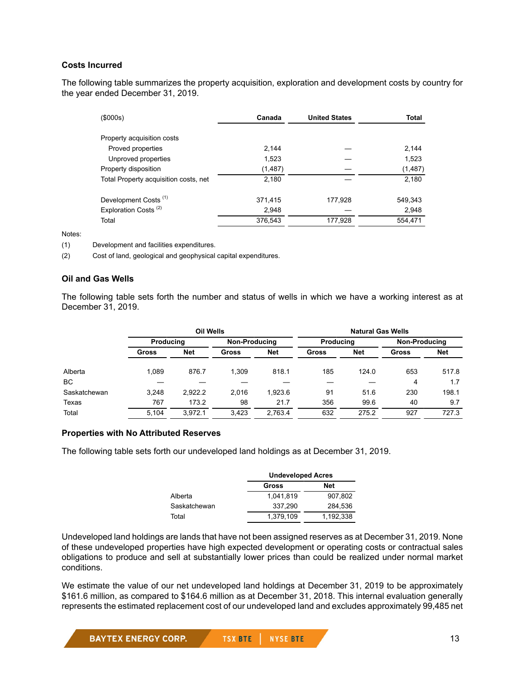#### **Costs Incurred**

The following table summarizes the property acquisition, exploration and development costs by country for the year ended December 31, 2019.

| (\$000s)                              | Canada   | <b>United States</b> | Total    |
|---------------------------------------|----------|----------------------|----------|
| Property acquisition costs            |          |                      |          |
| Proved properties                     | 2.144    |                      | 2,144    |
| Unproved properties                   | 1,523    |                      | 1,523    |
| Property disposition                  | (1, 487) |                      | (1, 487) |
| Total Property acquisition costs, net | 2.180    |                      | 2,180    |
| Development Costs <sup>(1)</sup>      | 371.415  | 177.928              | 549.343  |
| Exploration Costs <sup>(2)</sup>      | 2,948    |                      | 2,948    |
| Total                                 | 376,543  | 177,928              | 554,471  |
|                                       |          |                      |          |

Notes:

(1) Development and facilities expenditures.

(2) Cost of land, geological and geophysical capital expenditures.

# **Oil and Gas Wells**

The following table sets forth the number and status of wells in which we have a working interest as at December 31, 2019.

|              |              | Oil Wells  |               | <b>Natural Gas Wells</b> |           |            |               |            |
|--------------|--------------|------------|---------------|--------------------------|-----------|------------|---------------|------------|
|              | Producing    |            | Non-Producing |                          | Producing |            | Non-Producing |            |
|              | <b>Gross</b> | <b>Net</b> | Gross         | <b>Net</b>               | Gross     | <b>Net</b> | Gross         | <b>Net</b> |
| Alberta      | 1.089        | 876.7      | 1.309         | 818.1                    | 185       | 124.0      | 653           | 517.8      |
| ВC           |              |            |               |                          |           |            | 4             | 1.7        |
| Saskatchewan | 3.248        | 2,922.2    | 2.016         | 1.923.6                  | 91        | 51.6       | 230           | 198.1      |
| Texas        | 767          | 173.2      | 98            | 21.7                     | 356       | 99.6       | 40            | 9.7        |
| Total        | 5.104        | 3.972.1    | 3.423         | 2.763.4                  | 632       | 275.2      | 927           | 727.3      |

#### **Properties with No Attributed Reserves**

The following table sets forth our undeveloped land holdings as at December 31, 2019.

|              | <b>Undeveloped Acres</b> |           |  |  |
|--------------|--------------------------|-----------|--|--|
|              | Gross                    | Net       |  |  |
| Alberta      | 1.041.819                | 907,802   |  |  |
| Saskatchewan | 337.290                  | 284.536   |  |  |
| Total        | 1,379,109                | 1,192,338 |  |  |

Undeveloped land holdings are lands that have not been assigned reserves as at December 31, 2019. None of these undeveloped properties have high expected development or operating costs or contractual sales obligations to produce and sell at substantially lower prices than could be realized under normal market conditions.

We estimate the value of our net undeveloped land holdings at December 31, 2019 to be approximately \$161.6 million, as compared to \$164.6 million as at December 31, 2018. This internal evaluation generally represents the estimated replacement cost of our undeveloped land and excludes approximately 99,485 net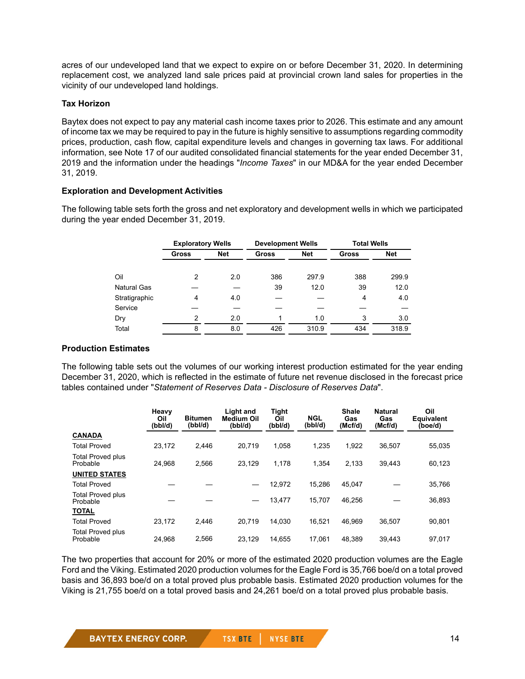acres of our undeveloped land that we expect to expire on or before December 31, 2020. In determining replacement cost, we analyzed land sale prices paid at provincial crown land sales for properties in the vicinity of our undeveloped land holdings.

# **Tax Horizon**

Baytex does not expect to pay any material cash income taxes prior to 2026. This estimate and any amount of income tax we may be required to pay in the future is highly sensitive to assumptions regarding commodity prices, production, cash flow, capital expenditure levels and changes in governing tax laws. For additional information, see Note 17 of our audited consolidated financial statements for the year ended December 31, 2019 and the information under the headings "*Income Taxes*" in our MD&A for the year ended December 31, 2019.

# **Exploration and Development Activities**

The following table sets forth the gross and net exploratory and development wells in which we participated during the year ended December 31, 2019.

|               | <b>Exploratory Wells</b> |            | <b>Development Wells</b> |            | <b>Total Wells</b> |            |  |
|---------------|--------------------------|------------|--------------------------|------------|--------------------|------------|--|
| <b>Gross</b>  |                          | <b>Net</b> | <b>Gross</b>             | <b>Net</b> | <b>Gross</b>       | <b>Net</b> |  |
| Oil           | 2                        | 2.0        | 386                      | 297.9      | 388                | 299.9      |  |
| Natural Gas   |                          |            | 39                       | 12.0       | 39                 | 12.0       |  |
| Stratigraphic | 4                        | 4.0        |                          |            | 4                  | 4.0        |  |
| Service       |                          |            |                          |            |                    |            |  |
| Dry           | $\mathfrak{p}$           | 2.0        |                          | 1.0        | 3                  | 3.0        |  |
| Total         | 8                        | 8.0        | 426                      | 310.9      | 434                | 318.9      |  |

#### **Production Estimates**

The following table sets out the volumes of our working interest production estimated for the year ending December 31, 2020, which is reflected in the estimate of future net revenue disclosed in the forecast price tables contained under "*Statement of Reserves Data - Disclosure of Reserves Data*".

|                                      | Heavy<br>Oil<br>(bbl/d) | <b>Bitumen</b><br>(bbl/d) | Light and<br><b>Medium Oil</b><br>(bbl/d) | <b>Tight</b><br>Oil<br>(bbl/d) | <b>NGL</b><br>(bbl/d) | <b>Shale</b><br>Gas<br>(Mcf/d) | <b>Natural</b><br>Gas<br>(Mcf/d) | Oil<br>Equivalent<br>(boe/d) |
|--------------------------------------|-------------------------|---------------------------|-------------------------------------------|--------------------------------|-----------------------|--------------------------------|----------------------------------|------------------------------|
| <b>CANADA</b>                        |                         |                           |                                           |                                |                       |                                |                                  |                              |
| <b>Total Proved</b>                  | 23.172                  | 2.446                     | 20.719                                    | 1,058                          | 1.235                 | 1,922                          | 36.507                           | 55,035                       |
| <b>Total Proved plus</b><br>Probable | 24.968                  | 2,566                     | 23.129                                    | 1,178                          | 1.354                 | 2.133                          | 39.443                           | 60,123                       |
| <b>UNITED STATES</b>                 |                         |                           |                                           |                                |                       |                                |                                  |                              |
| <b>Total Proved</b>                  |                         |                           |                                           | 12.972                         | 15.286                | 45.047                         |                                  | 35.766                       |
| <b>Total Proved plus</b><br>Probable |                         |                           |                                           | 13,477                         | 15.707                | 46.256                         |                                  | 36,893                       |
| <b>TOTAL</b>                         |                         |                           |                                           |                                |                       |                                |                                  |                              |
| <b>Total Proved</b>                  | 23.172                  | 2.446                     | 20.719                                    | 14,030                         | 16.521                | 46.969                         | 36.507                           | 90.801                       |
| Total Proved plus<br>Probable        | 24.968                  | 2.566                     | 23,129                                    | 14.655                         | 17.061                | 48.389                         | 39.443                           | 97.017                       |

The two properties that account for 20% or more of the estimated 2020 production volumes are the Eagle Ford and the Viking. Estimated 2020 production volumes for the Eagle Ford is 35,766 boe/d on a total proved basis and 36,893 boe/d on a total proved plus probable basis. Estimated 2020 production volumes for the Viking is 21,755 boe/d on a total proved basis and 24,261 boe/d on a total proved plus probable basis.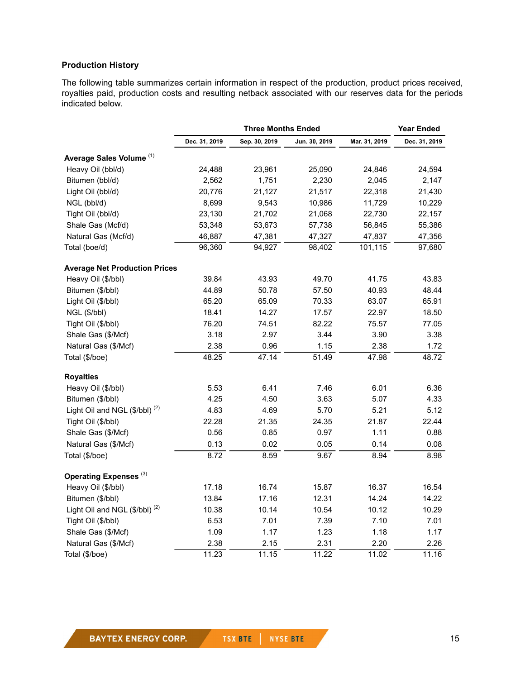# **Production History**

The following table summarizes certain information in respect of the production, product prices received, royalties paid, production costs and resulting netback associated with our reserves data for the periods indicated below.

|                                         |               | <b>Year Ended</b> |               |               |               |
|-----------------------------------------|---------------|-------------------|---------------|---------------|---------------|
|                                         | Dec. 31, 2019 | Sep. 30, 2019     | Jun. 30, 2019 | Mar. 31, 2019 | Dec. 31, 2019 |
| Average Sales Volume <sup>(1)</sup>     |               |                   |               |               |               |
| Heavy Oil (bbl/d)                       | 24,488        | 23,961            | 25,090        | 24,846        | 24,594        |
| Bitumen (bbl/d)                         | 2,562         | 1,751             | 2,230         | 2,045         | 2,147         |
| Light Oil (bbl/d)                       | 20,776        | 21,127            | 21,517        | 22,318        | 21,430        |
| NGL (bbl/d)                             | 8,699         | 9,543             | 10,986        | 11,729        | 10,229        |
| Tight Oil (bbl/d)                       | 23,130        | 21,702            | 21,068        | 22,730        | 22,157        |
| Shale Gas (Mcf/d)                       | 53,348        | 53,673            | 57,738        | 56,845        | 55,386        |
| Natural Gas (Mcf/d)                     | 46,887        | 47,381            | 47,327        | 47,837        | 47,356        |
| Total (boe/d)                           | 96,360        | 94,927            | 98,402        | 101,115       | 97,680        |
| <b>Average Net Production Prices</b>    |               |                   |               |               |               |
| Heavy Oil (\$/bbl)                      | 39.84         | 43.93             | 49.70         | 41.75         | 43.83         |
| Bitumen (\$/bbl)                        | 44.89         | 50.78             | 57.50         | 40.93         | 48.44         |
| Light Oil (\$/bbl)                      | 65.20         | 65.09             | 70.33         | 63.07         | 65.91         |
| NGL (\$/bbl)                            | 18.41         | 14.27             | 17.57         | 22.97         | 18.50         |
| Tight Oil (\$/bbl)                      | 76.20         | 74.51             | 82.22         | 75.57         | 77.05         |
| Shale Gas (\$/Mcf)                      | 3.18          | 2.97              | 3.44          | 3.90          | 3.38          |
| Natural Gas (\$/Mcf)                    | 2.38          | 0.96              | 1.15          | 2.38          | 1.72          |
| Total (\$/boe)                          | 48.25         | 47.14             | 51.49         | 47.98         | 48.72         |
| <b>Royalties</b>                        |               |                   |               |               |               |
| Heavy Oil (\$/bbl)                      | 5.53          | 6.41              | 7.46          | 6.01          | 6.36          |
| Bitumen (\$/bbl)                        | 4.25          | 4.50              | 3.63          | 5.07          | 4.33          |
| Light Oil and NGL $(\frac{6}{b})^{(2)}$ | 4.83          | 4.69              | 5.70          | 5.21          | 5.12          |
| Tight Oil (\$/bbl)                      | 22.28         | 21.35             | 24.35         | 21.87         | 22.44         |
| Shale Gas (\$/Mcf)                      | 0.56          | 0.85              | 0.97          | 1.11          | 0.88          |
| Natural Gas (\$/Mcf)                    | 0.13          | 0.02              | 0.05          | 0.14          | 0.08          |
| Total (\$/boe)                          | 8.72          | 8.59              | 9.67          | 8.94          | 8.98          |
| Operating Expenses <sup>(3)</sup>       |               |                   |               |               |               |
| Heavy Oil (\$/bbl)                      | 17.18         | 16.74             | 15.87         | 16.37         | 16.54         |
| Bitumen (\$/bbl)                        | 13.84         | 17.16             | 12.31         | 14.24         | 14.22         |
| Light Oil and NGL (\$/bbl) (2)          | 10.38         | 10.14             | 10.54         | 10.12         | 10.29         |
| Tight Oil (\$/bbl)                      | 6.53          | 7.01              | 7.39          | 7.10          | 7.01          |
| Shale Gas (\$/Mcf)                      | 1.09          | 1.17              | 1.23          | 1.18          | 1.17          |
| Natural Gas (\$/Mcf)                    | 2.38          | 2.15              | 2.31          | 2.20          | 2.26          |
| Total (\$/boe)                          | 11.23         | 11.15             | 11.22         | 11.02         | 11.16         |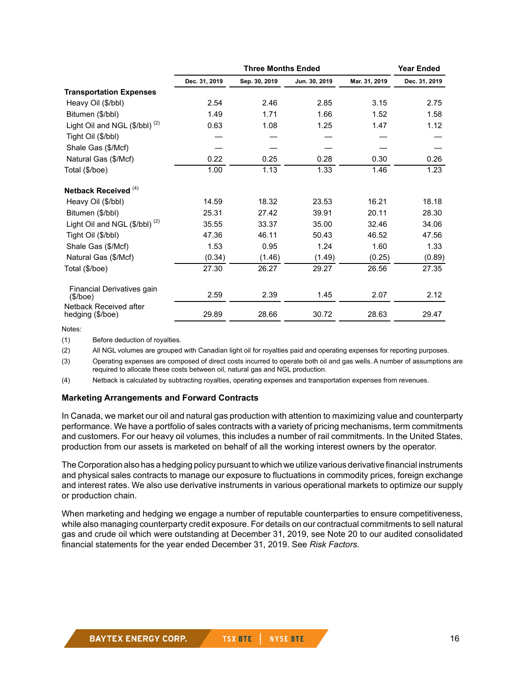|                                            |               | <b>Year Ended</b> |               |               |               |
|--------------------------------------------|---------------|-------------------|---------------|---------------|---------------|
|                                            | Dec. 31, 2019 | Sep. 30, 2019     | Jun. 30, 2019 | Mar. 31, 2019 | Dec. 31, 2019 |
| <b>Transportation Expenses</b>             |               |                   |               |               |               |
| Heavy Oil (\$/bbl)                         | 2.54          | 2.46              | 2.85          | 3.15          | 2.75          |
| Bitumen (\$/bbl)                           | 1.49          | 1.71              | 1.66          | 1.52          | 1.58          |
| Light Oil and NGL $(\frac{6}{bbl})^{(2)}$  | 0.63          | 1.08              | 1.25          | 1.47          | 1.12          |
| Tight Oil (\$/bbl)                         |               |                   |               |               |               |
| Shale Gas (\$/Mcf)                         |               |                   |               |               |               |
| Natural Gas (\$/Mcf)                       | 0.22          | 0.25              | 0.28          | 0.30          | 0.26          |
| Total (\$/boe)                             | 1.00          | 1.13              | 1.33          | 1.46          | 1.23          |
| Netback Received <sup>(4)</sup>            |               |                   |               |               |               |
| Heavy Oil (\$/bbl)                         | 14.59         | 18.32             | 23.53         | 16.21         | 18.18         |
| Bitumen (\$/bbl)                           | 25.31         | 27.42             | 39.91         | 20.11         | 28.30         |
| Light Oil and NGL $(\frac{6}{bbl})^{(2)}$  | 35.55         | 33.37             | 35.00         | 32.46         | 34.06         |
| Tight Oil (\$/bbl)                         | 47.36         | 46.11             | 50.43         | 46.52         | 47.56         |
| Shale Gas (\$/Mcf)                         | 1.53          | 0.95              | 1.24          | 1.60          | 1.33          |
| Natural Gas (\$/Mcf)                       | (0.34)        | (1.46)            | (1.49)        | (0.25)        | (0.89)        |
| Total (\$/boe)                             | 27.30         | 26.27             | 29.27         | 26.56         | 27.35         |
| Financial Derivatives gain<br>(\$/boe)     | 2.59          | 2.39              | 1.45          | 2.07          | 2.12          |
| Netback Received after<br>hedging (\$/boe) | 29.89         | 28.66             | 30.72         | 28.63         | 29.47         |

Notes:

(1) Before deduction of royalties.

(2) All NGL volumes are grouped with Canadian light oil for royalties paid and operating expenses for reporting purposes.

(3) Operating expenses are composed of direct costs incurred to operate both oil and gas wells. A number of assumptions are required to allocate these costs between oil, natural gas and NGL production.

(4) Netback is calculated by subtracting royalties, operating expenses and transportation expenses from revenues.

#### **Marketing Arrangements and Forward Contracts**

In Canada, we market our oil and natural gas production with attention to maximizing value and counterparty performance. We have a portfolio of sales contracts with a variety of pricing mechanisms, term commitments and customers. For our heavy oil volumes, this includes a number of rail commitments. In the United States, production from our assets is marketed on behalf of all the working interest owners by the operator.

The Corporation also has a hedging policy pursuant to which we utilize various derivative financial instruments and physical sales contracts to manage our exposure to fluctuations in commodity prices, foreign exchange and interest rates. We also use derivative instruments in various operational markets to optimize our supply or production chain.

When marketing and hedging we engage a number of reputable counterparties to ensure competitiveness, while also managing counterparty credit exposure. For details on our contractual commitments to sell natural gas and crude oil which were outstanding at December 31, 2019, see Note 20 to our audited consolidated financial statements for the year ended December 31, 2019. See *Risk Factors.*

**NYSE BTE**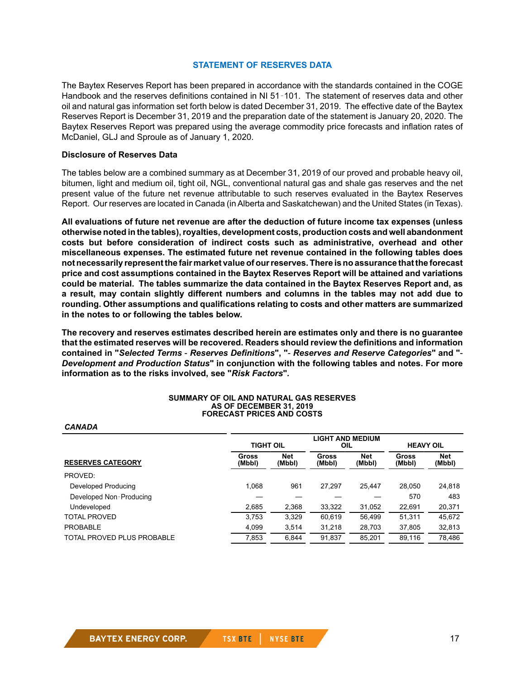#### **STATEMENT OF RESERVES DATA**

The Baytex Reserves Report has been prepared in accordance with the standards contained in the COGE Handbook and the reserves definitions contained in NI 51-101. The statement of reserves data and other oil and natural gas information set forth below is dated December 31, 2019. The effective date of the Baytex Reserves Report is December 31, 2019 and the preparation date of the statement is January 20, 2020. The Baytex Reserves Report was prepared using the average commodity price forecasts and inflation rates of McDaniel, GLJ and Sproule as of January 1, 2020.

#### **Disclosure of Reserves Data**

*CANADA*

The tables below are a combined summary as at December 31, 2019 of our proved and probable heavy oil, bitumen, light and medium oil, tight oil, NGL, conventional natural gas and shale gas reserves and the net present value of the future net revenue attributable to such reserves evaluated in the Baytex Reserves Report. Our reserves are located in Canada (in Alberta and Saskatchewan) and the United States (in Texas).

**All evaluations of future net revenue are after the deduction of future income tax expenses (unless otherwise noted in the tables), royalties, development costs, production costs and well abandonment costs but before consideration of indirect costs such as administrative, overhead and other miscellaneous expenses. The estimated future net revenue contained in the following tables does not necessarily represent the fair market value of our reserves. There is no assurance that the forecast price and cost assumptions contained in the Baytex Reserves Report will be attained and variations could be material. The tables summarize the data contained in the Baytex Reserves Report and, as a result, may contain slightly different numbers and columns in the tables may not add due to rounding. Other assumptions and qualifications relating to costs and other matters are summarized in the notes to or following the tables below.** 

**The recovery and reserves estimates described herein are estimates only and there is no guarantee that the estimated reserves will be recovered. Readers should review the definitions and information contained in "***Selected Terms* - *Reserves Definitions***", "**- *Reserves and Reserve Categories***" and "**- *Development and Production Status***" in conjunction with the following tables and notes. For more information as to the risks involved, see "***Risk Factors***"***.*

#### **SUMMARY OF OIL AND NATURAL GAS RESERVES AS OF DECEMBER 31, 2019 FORECAST PRICES AND COSTS**

|                            | <b>TIGHT OIL</b> |                      | <b>LIGHT AND MEDIUM</b><br>OIL |                      | <b>HEAVY OIL</b> |                      |
|----------------------------|------------------|----------------------|--------------------------------|----------------------|------------------|----------------------|
| <b>RESERVES CATEGORY</b>   | Gross<br>(Mbbl)  | <b>Net</b><br>(Mbbl) | Gross<br>(Mbbl)                | <b>Net</b><br>(Mbbl) | Gross<br>(Mbbl)  | <b>Net</b><br>(Mbbl) |
| PROVED:                    |                  |                      |                                |                      |                  |                      |
| Developed Producing        | 1.068            | 961                  | 27.297                         | 25.447               | 28,050           | 24,818               |
| Developed Non-Producing    |                  |                      |                                |                      | 570              | 483                  |
| Undeveloped                | 2,685            | 2,368                | 33,322                         | 31,052               | 22,691           | 20,371               |
| <b>TOTAL PROVED</b>        | 3.753            | 3,329                | 60.619                         | 56.499               | 51.311           | 45,672               |
| <b>PROBABLE</b>            | 4,099            | 3,514                | 31,218                         | 28,703               | 37,805           | 32,813               |
| TOTAL PROVED PLUS PROBABLE | 7,853            | 6,844                | 91,837                         | 85.201               | 89,116           | 78,486               |
|                            |                  |                      |                                |                      |                  |                      |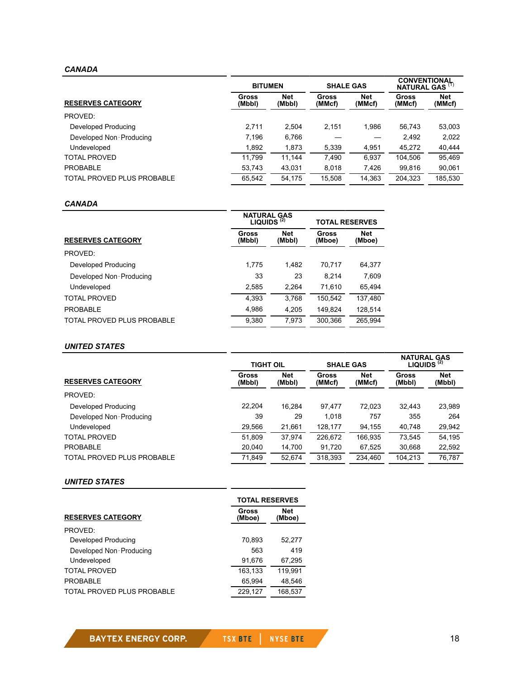## *CANADA*

|                            | <b>BITUMEN</b>  |                      | <b>SHALE GAS</b> |                      | <b>CONVENTIONAL</b><br><b>NATURAL GAS WITH</b> |                      |
|----------------------------|-----------------|----------------------|------------------|----------------------|------------------------------------------------|----------------------|
| <b>RESERVES CATEGORY</b>   | Gross<br>(Mbbl) | <b>Net</b><br>(Mbbl) | Gross<br>(MMcf)  | <b>Net</b><br>(MMcf) | Gross<br>(MMcf)                                | <b>Net</b><br>(MMcf) |
| PROVED:                    |                 |                      |                  |                      |                                                |                      |
| Developed Producing        | 2,711           | 2,504                | 2,151            | 1.986                | 56,743                                         | 53,003               |
| Developed Non-Producing    | 7,196           | 6,766                |                  |                      | 2,492                                          | 2,022                |
| Undeveloped                | 1,892           | 1,873                | 5,339            | 4,951                | 45,272                                         | 40,444               |
| <b>TOTAL PROVED</b>        | 11.799          | 11.144               | 7.490            | 6,937                | 104,506                                        | 95,469               |
| <b>PROBABLE</b>            | 53,743          | 43,031               | 8,018            | 7,426                | 99,816                                         | 90,061               |
| TOTAL PROVED PLUS PROBABLE | 65,542          | 54.175               | 15,508           | 14,363               | 204,323                                        | 185,530              |

#### *CANADA*

|                            | <b>NATURAL GAS</b><br><b>LIQUIDS</b> | (2)                  | <b>TOTAL RESERVES</b> |                      |  |
|----------------------------|--------------------------------------|----------------------|-----------------------|----------------------|--|
| <b>RESERVES CATEGORY</b>   | Gross<br>(Mbbl)                      | <b>Net</b><br>(Mbbl) | Gross<br>(Mboe)       | <b>Net</b><br>(Mboe) |  |
| PROVED:                    |                                      |                      |                       |                      |  |
| Developed Producing        | 1.775                                | 1.482                | 70.717                | 64.377               |  |
| Developed Non-Producing    | 33                                   | 23                   | 8.214                 | 7.609                |  |
| Undeveloped                | 2,585                                | 2,264                | 71.610                | 65,494               |  |
| <b>TOTAL PROVED</b>        | 4,393                                | 3,768                | 150.542               | 137.480              |  |
| <b>PROBABLE</b>            | 4.986                                | 4,205                | 149.824               | 128.514              |  |
| TOTAL PROVED PLUS PROBABLE | 9,380                                | 7.973                | 300.366               | 265.994              |  |
|                            |                                      |                      |                       |                      |  |

#### *UNITED STATES*

|                            | <b>TIGHT OIL</b> |                      | <b>SHALE GAS</b> |                      | <b>NATURAL GAS</b><br>LIQUIDS <sup>(2)</sup> |                      |
|----------------------------|------------------|----------------------|------------------|----------------------|----------------------------------------------|----------------------|
| <b>RESERVES CATEGORY</b>   | Gross<br>(Mbbl)  | <b>Net</b><br>(Mbbl) | Gross<br>(MMcf)  | <b>Net</b><br>(MMcf) | Gross<br>(Mbbl)                              | <b>Net</b><br>(Mbbl) |
| PROVED:                    |                  |                      |                  |                      |                                              |                      |
| Developed Producing        | 22,204           | 16.284               | 97,477           | 72.023               | 32.443                                       | 23,989               |
| Developed Non-Producing    | 39               | 29                   | 1.018            | 757                  | 355                                          | 264                  |
| Undeveloped                | 29,566           | 21,661               | 128.177          | 94,155               | 40,748                                       | 29,942               |
| <b>TOTAL PROVED</b>        | 51,809           | 37.974               | 226.672          | 166.935              | 73.545                                       | 54.195               |
| <b>PROBABLE</b>            | 20,040           | 14,700               | 91,720           | 67,525               | 30,668                                       | 22,592               |
| TOTAL PROVED PLUS PROBABLE | 71,849           | 52.674               | 318,393          | 234,460              | 104,213                                      | 76,787               |

# *UNITED STATES*

|                                   | <b>TOTAL RESERVES</b> |                      |  |  |  |
|-----------------------------------|-----------------------|----------------------|--|--|--|
| <b>RESERVES CATEGORY</b>          | Gross<br>(Mboe)       | <b>Net</b><br>(Mboe) |  |  |  |
| PROVED:                           |                       |                      |  |  |  |
| Developed Producing               | 70,893                | 52,277               |  |  |  |
| Developed Non-Producing           | 563                   | 419                  |  |  |  |
| Undeveloped                       | 91,676                | 67,295               |  |  |  |
| TOTAL PROVED                      | 163.133               | 119.991              |  |  |  |
| <b>PROBABLE</b>                   | 65,994                | 48,546               |  |  |  |
| <b>TOTAL PROVED PLUS PROBABLE</b> | 229,127               | 168,537              |  |  |  |

TSX BTE NYSE BTE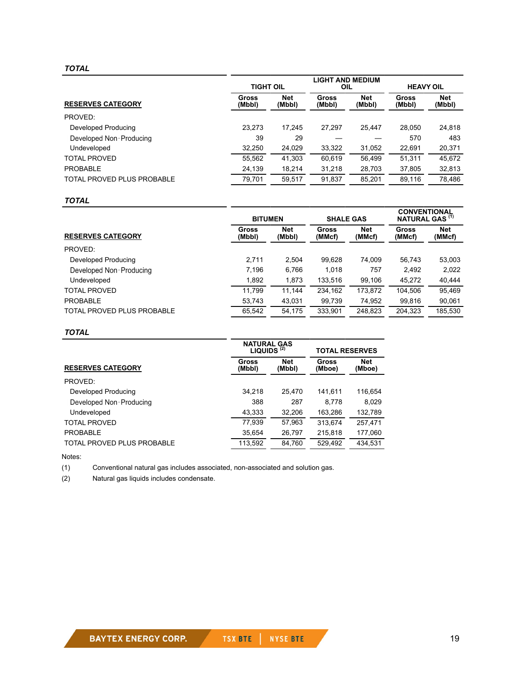# *TOTAL*

|                            | <b>TIGHT OIL</b> |                      | <b>LIGHT AND MEDIUM</b><br>OIL |                      | <b>HEAVY OIL</b> |                      |
|----------------------------|------------------|----------------------|--------------------------------|----------------------|------------------|----------------------|
| <b>RESERVES CATEGORY</b>   | Gross<br>(Mbbl)  | <b>Net</b><br>(Mbbl) | <b>Gross</b><br>(Mbbl)         | <b>Net</b><br>(Mbbl) | Gross<br>(Mbbl)  | <b>Net</b><br>(Mbbl) |
| PROVED:                    |                  |                      |                                |                      |                  |                      |
| Developed Producing        | 23.273           | 17.245               | 27.297                         | 25.447               | 28.050           | 24,818               |
| Developed Non-Producing    | 39               | 29                   |                                |                      | 570              | 483                  |
| Undeveloped                | 32,250           | 24,029               | 33,322                         | 31,052               | 22,691           | 20,371               |
| <b>TOTAL PROVED</b>        | 55,562           | 41,303               | 60,619                         | 56.499               | 51,311           | 45,672               |
| <b>PROBABLE</b>            | 24,139           | 18.214               | 31,218                         | 28,703               | 37,805           | 32,813               |
| TOTAL PROVED PLUS PROBABLE | 79,701           | 59,517               | 91,837                         | 85,201               | 89,116           | 78,486               |
|                            |                  |                      |                                |                      |                  |                      |

## *TOTAL*

|                            | <b>BITUMEN</b>  |                      | <b>SHALE GAS</b> |                      | <b>CONVENTIONAL</b><br>NATURAL GAS <sup>(1)</sup> |                      |
|----------------------------|-----------------|----------------------|------------------|----------------------|---------------------------------------------------|----------------------|
| <b>RESERVES CATEGORY</b>   | Gross<br>(Mbbl) | <b>Net</b><br>(Mbbl) | Gross<br>(MMcf)  | <b>Net</b><br>(MMcf) | Gross<br>(MMcf)                                   | <b>Net</b><br>(MMcf) |
| PROVED:                    |                 |                      |                  |                      |                                                   |                      |
| Developed Producing        | 2.711           | 2,504                | 99,628           | 74,009               | 56.743                                            | 53,003               |
| Developed Non-Producing    | 7,196           | 6,766                | 1,018            | 757                  | 2,492                                             | 2,022                |
| Undeveloped                | 1,892           | 1,873                | 133.516          | 99,106               | 45,272                                            | 40.444               |
| <b>TOTAL PROVED</b>        | 11.799          | 11.144               | 234.162          | 173.872              | 104.506                                           | 95,469               |
| <b>PROBABLE</b>            | 53,743          | 43,031               | 99,739           | 74,952               | 99,816                                            | 90,061               |
| TOTAL PROVED PLUS PROBABLE | 65,542          | 54,175               | 333.901          | 248.823              | 204.323                                           | 185,530              |
|                            |                 |                      |                  |                      |                                                   |                      |

# *TOTAL*

|                            | <b>NATURAL GAS</b><br>(2)<br><b>LIQUIDS</b> |                      | <b>TOTAL RESERVES</b> |                      |
|----------------------------|---------------------------------------------|----------------------|-----------------------|----------------------|
| <b>RESERVES CATEGORY</b>   | Gross<br>(Mbbl)                             | <b>Net</b><br>(Mbbl) | Gross<br>(Mboe)       | <b>Net</b><br>(Mboe) |
| PROVED:                    |                                             |                      |                       |                      |
| Developed Producing        | 34,218                                      | 25.470               | 141,611               | 116,654              |
| Developed Non-Producing    | 388                                         | 287                  | 8.778                 | 8,029                |
| Undeveloped                | 43,333                                      | 32,206               | 163,286               | 132,789              |
| <b>TOTAL PROVED</b>        | 77.939                                      | 57,963               | 313.674               | 257,471              |
| <b>PROBABLE</b>            | 35,654                                      | 26,797               | 215,818               | 177,060              |
| TOTAL PROVED PLUS PROBABLE | 113,592                                     | 84,760               | 529.492               | 434.531              |

Notes:

(1) Conventional natural gas includes associated, non-associated and solution gas.

(2) Natural gas liquids includes condensate.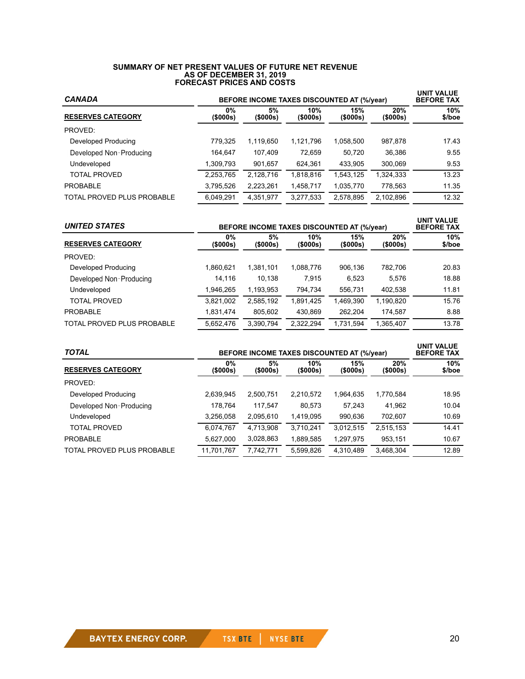#### **SUMMARY OF NET PRESENT VALUES OF FUTURE NET REVENUE AS OF DECEMBER 31, 2019 FORECAST PRICES AND COSTS**

| <b>CANADA</b><br><b>BEFORE INCOME TAXES DISCOUNTED AT (%/year)</b> |                      |                |                       |                       |                       |               |  |
|--------------------------------------------------------------------|----------------------|----------------|-----------------------|-----------------------|-----------------------|---------------|--|
| <b>RESERVES CATEGORY</b>                                           | 0%<br>$($ \$000s $)$ | 5%<br>(\$000s) | 10%<br>$($ \$000s $)$ | 15%<br>$($ \$000s $)$ | 20%<br>$($ \$000s $)$ | 10%<br>\$/boe |  |
| PROVED:                                                            |                      |                |                       |                       |                       |               |  |
| Developed Producing                                                | 779,325              | 1,119,650      | 1,121,796             | 1,058,500             | 987,878               | 17.43         |  |
| Developed Non-Producing                                            | 164.647              | 107.409        | 72,659                | 50,720                | 36,386                | 9.55          |  |
| Undeveloped                                                        | 1,309,793            | 901,657        | 624.361               | 433,905               | 300,069               | 9.53          |  |
| <b>TOTAL PROVED</b>                                                | 2,253,765            | 2,128,716      | 1,818,816             | 1.543.125             | 1,324,333             | 13.23         |  |
| <b>PROBABLE</b>                                                    | 3,795,526            | 2,223,261      | 1,458,717             | 1,035,770             | 778,563               | 11.35         |  |
| <b>TOTAL PROVED PLUS PROBABLE</b>                                  | 6.049.291            | 4.351.977      | 3.277.533             | 2.578.895             | 2.102.896             | 12.32         |  |

| <b>UNITED STATES</b>       | <b>BEFORE INCOME TAXES DISCOUNTED AT (%/year)</b> |                      |                       |                       |                       |               |  |  |  |
|----------------------------|---------------------------------------------------|----------------------|-----------------------|-----------------------|-----------------------|---------------|--|--|--|
| <b>RESERVES CATEGORY</b>   | 0%<br>$($ \$000s $)$                              | 5%<br>$($ \$000s $)$ | 10%<br>$($ \$000s $)$ | 15%<br>$($ \$000s $)$ | 20%<br>$($ \$000s $)$ | 10%<br>\$/boe |  |  |  |
| PROVED:                    |                                                   |                      |                       |                       |                       |               |  |  |  |
| Developed Producing        | 1,860,621                                         | 1,381,101            | 1,088,776             | 906.136               | 782.706               | 20.83         |  |  |  |
| Developed Non-Producing    | 14.116                                            | 10.138               | 7.915                 | 6,523                 | 5.576                 | 18.88         |  |  |  |
| Undeveloped                | 1,946,265                                         | 1,193,953            | 794,734               | 556,731               | 402,538               | 11.81         |  |  |  |
| <b>TOTAL PROVED</b>        | 3,821,002                                         | 2,585,192            | 1,891,425             | 1,469,390             | 1,190,820             | 15.76         |  |  |  |
| <b>PROBABLE</b>            | 1.831.474                                         | 805,602              | 430,869               | 262,204               | 174.587               | 8.88          |  |  |  |
| TOTAL PROVED PLUS PROBABLE | 5,652,476                                         | 3,390,794            | 2,322,294             | 1,731,594             | 1,365,407             | 13.78         |  |  |  |

| <b>TOTAL</b>               | BEFORE INCOME TAXES DISCOUNTED AT (%/year) |                      |                |                       |                       |               |  |  |
|----------------------------|--------------------------------------------|----------------------|----------------|-----------------------|-----------------------|---------------|--|--|
| <b>RESERVES CATEGORY</b>   | $0\%$<br>$($ \$000s $)$                    | 5%<br>$($ \$000s $)$ | 10%<br>(5000s) | 15%<br>$($ \$000s $)$ | 20%<br>$($ \$000s $)$ | 10%<br>\$/boe |  |  |
| PROVED:                    |                                            |                      |                |                       |                       |               |  |  |
| Developed Producing        | 2.639.945                                  | 2,500,751            | 2,210,572      | 1.964.635             | 1.770.584             | 18.95         |  |  |
| Developed Non-Producing    | 178.764                                    | 117.547              | 80.573         | 57.243                | 41,962                | 10.04         |  |  |
| Undeveloped                | 3,256,058                                  | 2,095,610            | 1,419,095      | 990,636               | 702,607               | 10.69         |  |  |
| <b>TOTAL PROVED</b>        | 6,074,767                                  | 4,713,908            | 3,710,241      | 3,012,515             | 2,515,153             | 14.41         |  |  |
| <b>PROBABLE</b>            | 5,627,000                                  | 3.028,863            | 1,889,585      | 1,297,975             | 953,151               | 10.67         |  |  |
| TOTAL PROVED PLUS PROBABLE | 11,701,767                                 | 7,742,771            | 5,599,826      | 4,310,489             | 3,468,304             | 12.89         |  |  |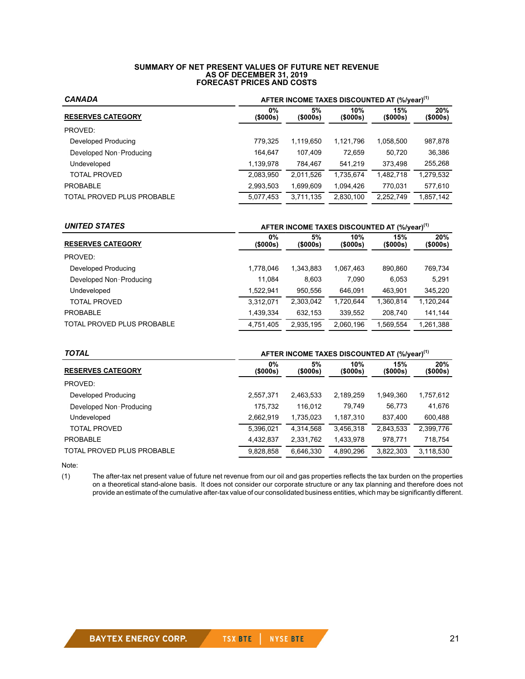#### **SUMMARY OF NET PRESENT VALUES OF FUTURE NET REVENUE AS OF DECEMBER 31, 2019 FORECAST PRICES AND COSTS**

| <b>CANADA</b>              |                   |                | AFTER INCOME TAXES DISCOUNTED AT (%/year) <sup>(1)</sup> |                       |                 |
|----------------------------|-------------------|----------------|----------------------------------------------------------|-----------------------|-----------------|
| <b>RESERVES CATEGORY</b>   | $0\%$<br>(\$000s) | 5%<br>(\$000s) | 10%<br>$($ \$000s $)$                                    | 15%<br>$($ \$000s $)$ | 20%<br>(\$000s) |
| PROVED:                    |                   |                |                                                          |                       |                 |
| Developed Producing        | 779,325           | 1,119,650      | 1,121,796                                                | 1,058,500             | 987,878         |
| Developed Non-Producing    | 164.647           | 107,409        | 72,659                                                   | 50,720                | 36,386          |
| Undeveloped                | 1,139,978         | 784,467        | 541,219                                                  | 373,498               | 255,268         |
| <b>TOTAL PROVED</b>        | 2,083,950         | 2,011,526      | 1,735,674                                                | 1,482,718             | 1,279,532       |
| <b>PROBABLE</b>            | 2,993,503         | 1,699,609      | 1,094,426                                                | 770,031               | 577,610         |
| TOTAL PROVED PLUS PROBABLE | 5,077,453         | 3,711,135      | 2,830,100                                                | 2,252,749             | 1,857,142       |

| <b>UNITED STATES</b>       | AFTER INCOME TAXES DISCOUNTED AT (%/year) <sup>(1)</sup> |                |                       |                       |                       |  |  |
|----------------------------|----------------------------------------------------------|----------------|-----------------------|-----------------------|-----------------------|--|--|
| <b>RESERVES CATEGORY</b>   | $0\%$<br>(5000s)                                         | 5%<br>(\$000s) | 10%<br>$($ \$000s $)$ | 15%<br>$($ \$000s $)$ | 20%<br>$($ \$000s $)$ |  |  |
| PROVED:                    |                                                          |                |                       |                       |                       |  |  |
| Developed Producing        | 1,778,046                                                | 1,343,883      | 1,067,463             | 890,860               | 769,734               |  |  |
| Developed Non-Producing    | 11.084                                                   | 8,603          | 7,090                 | 6,053                 | 5,291                 |  |  |
| Undeveloped                | 1,522,941                                                | 950,556        | 646,091               | 463,901               | 345,220               |  |  |
| TOTAL PROVED               | 3,312,071                                                | 2,303,042      | 1,720,644             | 1,360,814             | 1,120,244             |  |  |
| <b>PROBABLE</b>            | 1,439,334                                                | 632,153        | 339,552               | 208,740               | 141,144               |  |  |
| TOTAL PROVED PLUS PROBABLE | 4,751,405                                                | 2,935,195      | 2.060.196             | 1.569.554             | 1,261,388             |  |  |

| <b>TOTAL</b>               | AFTER INCOME TAXES DISCOUNTED AT (%/year) <sup>(1)</sup> |                |                 |                       |                       |  |  |
|----------------------------|----------------------------------------------------------|----------------|-----------------|-----------------------|-----------------------|--|--|
| <b>RESERVES CATEGORY</b>   | $0\%$<br>(\$000s)                                        | 5%<br>(\$000s) | 10%<br>(\$000s) | 15%<br>$($ \$000s $)$ | 20%<br>$($ \$000s $)$ |  |  |
| PROVED:                    |                                                          |                |                 |                       |                       |  |  |
| Developed Producing        | 2,557,371                                                | 2,463,533      | 2,189,259       | 1,949,360             | 1,757,612             |  |  |
| Developed Non-Producing    | 175,732                                                  | 116,012        | 79.749          | 56,773                | 41,676                |  |  |
| Undeveloped                | 2,662,919                                                | 1,735,023      | 1,187,310       | 837,400               | 600,488               |  |  |
| <b>TOTAL PROVED</b>        | 5,396,021                                                | 4,314,568      | 3,456,318       | 2,843,533             | 2,399,776             |  |  |
| <b>PROBABLE</b>            | 4,432,837                                                | 2,331,762      | 1,433,978       | 978,771               | 718,754               |  |  |
| TOTAL PROVED PLUS PROBABLE | 9,828,858                                                | 6,646,330      | 4,890,296       | 3,822,303             | 3,118,530             |  |  |
|                            |                                                          |                |                 |                       |                       |  |  |

Note:

(1) The after-tax net present value of future net revenue from our oil and gas properties reflects the tax burden on the properties on a theoretical stand-alone basis. It does not consider our corporate structure or any tax planning and therefore does not provide an estimate of the cumulative after-tax value of our consolidated business entities, which may be significantly different.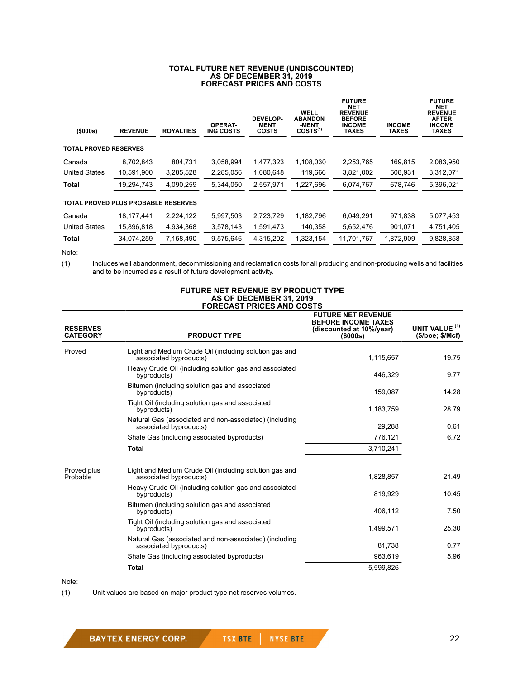#### **TOTAL FUTURE NET REVENUE (UNDISCOUNTED) AS OF DECEMBER 31, 2019 FORECAST PRICES AND COSTS**

| (\$000s)                            | <b>REVENUE</b> | <b>ROYALTIES</b> | <b>OPERAT-</b><br><b>ING COSTS</b> | <b>DEVELOP-</b><br><b>MENT</b><br><b>COSTS</b> | WELL<br><b>ABANDON</b><br>-MENT<br>COSTS <sup>(1)</sup> | <b>FUTURE</b><br><b>NET</b><br><b>REVENUE</b><br><b>BEFORE</b><br><b>INCOME</b><br><b>TAXES</b> | <b>INCOME</b><br><b>TAXES</b> | <b>FUTURE</b><br><b>NET</b><br><b>REVENUE</b><br><b>AFTER</b><br><b>INCOME</b><br><b>TAXES</b> |
|-------------------------------------|----------------|------------------|------------------------------------|------------------------------------------------|---------------------------------------------------------|-------------------------------------------------------------------------------------------------|-------------------------------|------------------------------------------------------------------------------------------------|
| <b>TOTAL PROVED RESERVES</b>        |                |                  |                                    |                                                |                                                         |                                                                                                 |                               |                                                                                                |
| Canada                              | 8,702,843      | 804,731          | 3,058,994                          | 1,477,323                                      | 1,108,030                                               | 2,253,765                                                                                       | 169,815                       | 2,083,950                                                                                      |
| <b>United States</b>                | 10,591,900     | 3,285,528        | 2,285,056                          | 1,080,648                                      | 119.666                                                 | 3,821,002                                                                                       | 508,931                       | 3,312,071                                                                                      |
| <b>Total</b>                        | 19,294,743     | 4,090,259        | 5,344,050                          | 2,557,971                                      | 1,227,696                                               | 6,074,767                                                                                       | 678,746                       | 5,396,021                                                                                      |
| TOTAL PROVED PLUS PROBABLE RESERVES |                |                  |                                    |                                                |                                                         |                                                                                                 |                               |                                                                                                |
| Canada                              | 18,177,441     | 2,224,122        | 5,997,503                          | 2,723,729                                      | 1,182,796                                               | 6,049,291                                                                                       | 971.838                       | 5,077,453                                                                                      |
| <b>United States</b>                | 15,896,818     | 4,934,368        | 3,578,143                          | 1,591,473                                      | 140,358                                                 | 5,652,476                                                                                       | 901,071                       | 4,751,405                                                                                      |
| <b>Total</b>                        | 34,074,259     | 7,158,490        | 9,575,646                          | 4,315,202                                      | 1,323,154                                               | 11,701,767                                                                                      | 1,872,909                     | 9,828,858                                                                                      |
|                                     |                |                  |                                    |                                                |                                                         |                                                                                                 |                               |                                                                                                |

Note:

(1) Includes well abandonment, decommissioning and reclamation costs for all producing and non-producing wells and facilities and to be incurred as a result of future development activity.

#### **FUTURE NET REVENUE BY PRODUCT TYPE AS OF DECEMBER 31, 2019 FORECAST PRICES AND COSTS**

| <b>RESERVES</b><br><b>CATEGORY</b> | <b>PRODUCT TYPE</b>                                                              | <b>FUTURE NET REVENUE</b><br><b>BEFORE INCOME TAXES</b><br>(discounted at 10%/year)<br>(\$000s) | UNIT VALUE <sup>(1)</sup><br>(\$/boe; \$/Mcf) |
|------------------------------------|----------------------------------------------------------------------------------|-------------------------------------------------------------------------------------------------|-----------------------------------------------|
|                                    |                                                                                  |                                                                                                 |                                               |
| Proved                             | Light and Medium Crude Oil (including solution gas and<br>associated byproducts) | 1,115,657                                                                                       | 19.75                                         |
|                                    | Heavy Crude Oil (including solution gas and associated<br>byproducts)            | 446,329                                                                                         | 9.77                                          |
|                                    | Bitumen (including solution gas and associated<br>byproducts)                    | 159,087                                                                                         | 14.28                                         |
|                                    | Tight Oil (including solution gas and associated<br>byproducts)                  | 1,183,759                                                                                       | 28.79                                         |
|                                    | Natural Gas (associated and non-associated) (including                           |                                                                                                 |                                               |
|                                    | associated byproducts)                                                           | 29,288                                                                                          | 0.61                                          |
|                                    | Shale Gas (including associated byproducts)                                      | 776,121                                                                                         | 6.72                                          |
|                                    | <b>Total</b>                                                                     | 3,710,241                                                                                       |                                               |
| Proved plus<br>Probable            | Light and Medium Crude Oil (including solution gas and<br>associated byproducts) | 1,828,857                                                                                       | 21.49                                         |
|                                    | Heavy Crude Oil (including solution gas and associated<br>byproducts)            | 819,929                                                                                         | 10.45                                         |
|                                    | Bitumen (including solution gas and associated<br>byproducts)                    | 406,112                                                                                         | 7.50                                          |
|                                    | Tight Oil (including solution gas and associated<br>byproducts)                  | 1,499,571                                                                                       | 25.30                                         |
|                                    | Natural Gas (associated and non-associated) (including<br>associated byproducts) | 81,738                                                                                          | 0.77                                          |
|                                    | Shale Gas (including associated byproducts)                                      | 963,619                                                                                         | 5.96                                          |
|                                    | <b>Total</b>                                                                     | 5,599,826                                                                                       |                                               |
|                                    |                                                                                  |                                                                                                 |                                               |

Note:

(1) Unit values are based on major product type net reserves volumes.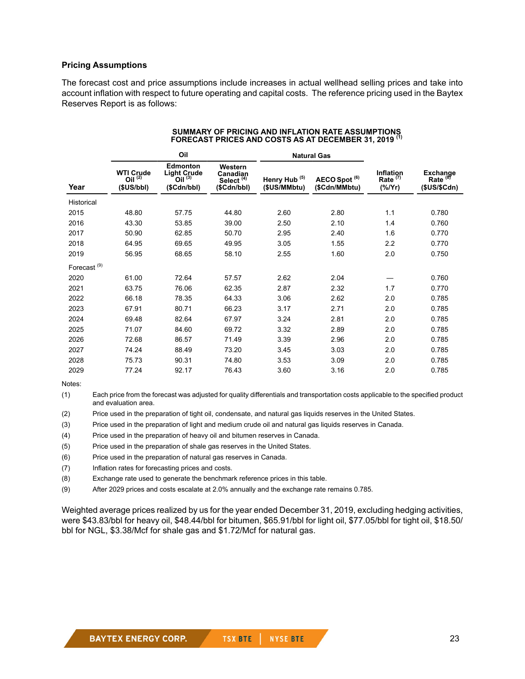#### **Pricing Assumptions**

The forecast cost and price assumptions include increases in actual wellhead selling prices and take into account inflation with respect to future operating and capital costs. The reference pricing used in the Baytex Reserves Report is as follows:

|                         |                                             | Oil                                                                  |                                                             |                                          | <b>Natural Gas</b>                        |                                          |                                                      |
|-------------------------|---------------------------------------------|----------------------------------------------------------------------|-------------------------------------------------------------|------------------------------------------|-------------------------------------------|------------------------------------------|------------------------------------------------------|
| Year                    | <b>WTI Crude</b><br>Oil $(2)$<br>(\$US/bbl) | <b>Edmonton</b><br><b>Light Crude</b><br>Oil $^{(3)}$<br>(\$Cdn/bbl) | Western<br>Canadian<br>Select <sup>(4)</sup><br>(\$Cdn/bbl) | Henry Hub <sup>(5)</sup><br>(\$US/MMbtu) | AECO Spot <sup>(6)</sup><br>(\$Cdn/MMbtu) | <b>Inflation</b><br>Rate $(7)$<br>(%/Yr) | <b>Exchange</b><br>Rate <sup>(87</sup><br>(SUS/SCdn) |
| Historical              |                                             |                                                                      |                                                             |                                          |                                           |                                          |                                                      |
| 2015                    | 48.80                                       | 57.75                                                                | 44.80                                                       | 2.60                                     | 2.80                                      | 1.1                                      | 0.780                                                |
| 2016                    | 43.30                                       | 53.85                                                                | 39.00                                                       | 2.50                                     | 2.10                                      | 1.4                                      | 0.760                                                |
| 2017                    | 50.90                                       | 62.85                                                                | 50.70                                                       | 2.95                                     | 2.40                                      | 1.6                                      | 0.770                                                |
| 2018                    | 64.95                                       | 69.65                                                                | 49.95                                                       | 3.05                                     | 1.55                                      | 2.2                                      | 0.770                                                |
| 2019                    | 56.95                                       | 68.65                                                                | 58.10                                                       | 2.55                                     | 1.60                                      | 2.0                                      | 0.750                                                |
| Forecast <sup>(9)</sup> |                                             |                                                                      |                                                             |                                          |                                           |                                          |                                                      |
| 2020                    | 61.00                                       | 72.64                                                                | 57.57                                                       | 2.62                                     | 2.04                                      |                                          | 0.760                                                |
| 2021                    | 63.75                                       | 76.06                                                                | 62.35                                                       | 2.87                                     | 2.32                                      | 1.7                                      | 0.770                                                |
| 2022                    | 66.18                                       | 78.35                                                                | 64.33                                                       | 3.06                                     | 2.62                                      | 2.0                                      | 0.785                                                |
| 2023                    | 67.91                                       | 80.71                                                                | 66.23                                                       | 3.17                                     | 2.71                                      | 2.0                                      | 0.785                                                |
| 2024                    | 69.48                                       | 82.64                                                                | 67.97                                                       | 3.24                                     | 2.81                                      | 2.0                                      | 0.785                                                |
| 2025                    | 71.07                                       | 84.60                                                                | 69.72                                                       | 3.32                                     | 2.89                                      | 2.0                                      | 0.785                                                |
| 2026                    | 72.68                                       | 86.57                                                                | 71.49                                                       | 3.39                                     | 2.96                                      | 2.0                                      | 0.785                                                |
| 2027                    | 74.24                                       | 88.49                                                                | 73.20                                                       | 3.45                                     | 3.03                                      | 2.0                                      | 0.785                                                |
| 2028                    | 75.73                                       | 90.31                                                                | 74.80                                                       | 3.53                                     | 3.09                                      | 2.0                                      | 0.785                                                |
| 2029                    | 77.24                                       | 92.17                                                                | 76.43                                                       | 3.60                                     | 3.16                                      | 2.0                                      | 0.785                                                |

# **SUMMARY OF PRICING AND INFLATION RATE ASSUMPTIONS FORECAST PRICES AND COSTS AS AT DECEMBER 31, 2019 (1)**

Notes:

(1) Each price from the forecast was adjusted for quality differentials and transportation costs applicable to the specified product and evaluation area.

(2) Price used in the preparation of tight oil, condensate, and natural gas liquids reserves in the United States.

(3) Price used in the preparation of light and medium crude oil and natural gas liquids reserves in Canada.

(4) Price used in the preparation of heavy oil and bitumen reserves in Canada.

(5) Price used in the preparation of shale gas reserves in the United States.

(6) Price used in the preparation of natural gas reserves in Canada.

(7) Inflation rates for forecasting prices and costs.

(8) Exchange rate used to generate the benchmark reference prices in this table.

(9) After 2029 prices and costs escalate at 2.0% annually and the exchange rate remains 0.785.

Weighted average prices realized by us for the year ended December 31, 2019, excluding hedging activities, were \$43.83/bbl for heavy oil, \$48.44/bbl for bitumen, \$65.91/bbl for light oil, \$77.05/bbl for tight oil, \$18.50/ bbl for NGL, \$3.38/Mcf for shale gas and \$1.72/Mcf for natural gas.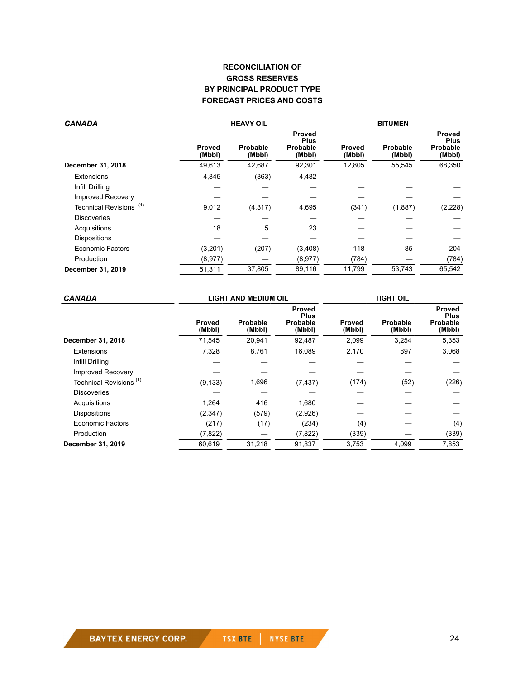# **RECONCILIATION OF GROSS RESERVES BY PRINCIPAL PRODUCT TYPE FORECAST PRICES AND COSTS**

| <b>CANADA</b>                      |                         | <b>HEAVY OIL</b>   |                                                           |                  | <b>BITUMEN</b>     |                                                           |  |  |
|------------------------------------|-------------------------|--------------------|-----------------------------------------------------------|------------------|--------------------|-----------------------------------------------------------|--|--|
|                                    | <b>Proved</b><br>(Mbbl) | Probable<br>(Mbbl) | <b>Proved</b><br><b>Plus</b><br><b>Probable</b><br>(Mbbl) | Proved<br>(Mbbl) | Probable<br>(Mbbl) | <b>Proved</b><br><b>Plus</b><br><b>Probable</b><br>(Mbbl) |  |  |
| December 31, 2018                  | 49,613                  | 42,687             | 92,301                                                    | 12,805           | 55,545             | 68,350                                                    |  |  |
| <b>Extensions</b>                  | 4,845                   | (363)              | 4,482                                                     |                  |                    |                                                           |  |  |
| Infill Drilling                    |                         |                    |                                                           |                  |                    |                                                           |  |  |
| <b>Improved Recovery</b>           |                         |                    |                                                           |                  |                    |                                                           |  |  |
| Technical Revisions <sup>(1)</sup> | 9,012                   | (4, 317)           | 4,695                                                     | (341)            | (1,887)            | (2,228)                                                   |  |  |
| <b>Discoveries</b>                 |                         |                    |                                                           |                  |                    |                                                           |  |  |
| Acquisitions                       | 18                      | 5                  | 23                                                        |                  |                    |                                                           |  |  |
| <b>Dispositions</b>                |                         |                    |                                                           |                  |                    |                                                           |  |  |
| <b>Economic Factors</b>            | (3,201)                 | (207)              | (3,408)                                                   | 118              | 85                 | 204                                                       |  |  |
| Production                         | (8, 977)                |                    | (8,977)                                                   | (784)            |                    | (784)                                                     |  |  |
| December 31, 2019                  | 51,311                  | 37,805             | 89,116                                                    | 11,799           | 53,743             | 65,542                                                    |  |  |
|                                    |                         |                    |                                                           |                  |                    |                                                           |  |  |

| <b>CANADA</b>                      |                         | <b>LIGHT AND MEDIUM OIL</b> |                                                    |                         | <b>TIGHT OIL</b>   |                                                    |
|------------------------------------|-------------------------|-----------------------------|----------------------------------------------------|-------------------------|--------------------|----------------------------------------------------|
|                                    | <b>Proved</b><br>(Mbbl) | Probable<br>(Mbbl)          | <b>Proved</b><br><b>Plus</b><br>Probable<br>(Mbbl) | <b>Proved</b><br>(Mbbl) | Probable<br>(Mbbl) | <b>Proved</b><br><b>Plus</b><br>Probable<br>(Mbbl) |
| December 31, 2018                  | 71,545                  | 20,941                      | 92,487                                             | 2,099                   | 3,254              | 5,353                                              |
| <b>Extensions</b>                  | 7,328                   | 8,761                       | 16,089                                             | 2,170                   | 897                | 3,068                                              |
| Infill Drilling                    |                         |                             |                                                    |                         |                    |                                                    |
| <b>Improved Recovery</b>           |                         |                             |                                                    |                         |                    |                                                    |
| Technical Revisions <sup>(1)</sup> | (9, 133)                | 1,696                       | (7, 437)                                           | (174)                   | (52)               | (226)                                              |
| <b>Discoveries</b>                 |                         |                             |                                                    |                         |                    |                                                    |
| Acquisitions                       | 1,264                   | 416                         | 1,680                                              |                         |                    |                                                    |
| <b>Dispositions</b>                | (2,347)                 | (579)                       | (2,926)                                            |                         |                    |                                                    |
| <b>Economic Factors</b>            | (217)                   | (17)                        | (234)                                              | (4)                     |                    | (4)                                                |
| Production                         | (7, 822)                |                             | (7, 822)                                           | (339)                   |                    | (339)                                              |
| December 31, 2019                  | 60,619                  | 31,218                      | 91,837                                             | 3,753                   | 4,099              | 7,853                                              |

TSX BTE NYSE BTE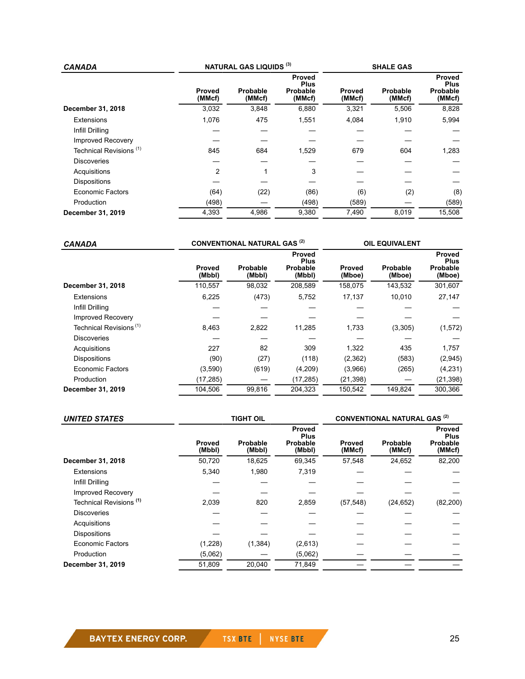| <b>CANADA</b>                      |                         | <b>NATURAL GAS LIQUIDS (3)</b> | <b>SHALE GAS</b>                                   |                         |                           |                                                    |
|------------------------------------|-------------------------|--------------------------------|----------------------------------------------------|-------------------------|---------------------------|----------------------------------------------------|
|                                    | <b>Proved</b><br>(MMcf) | <b>Probable</b><br>(MMcf)      | <b>Proved</b><br><b>Plus</b><br>Probable<br>(MMcf) | <b>Proved</b><br>(MMcf) | <b>Probable</b><br>(MMcf) | <b>Proved</b><br><b>Plus</b><br>Probable<br>(MMcf) |
| December 31, 2018                  | 3,032                   | 3,848                          | 6,880                                              | 3,321                   | 5,506                     | 8,828                                              |
| <b>Extensions</b>                  | 1,076                   | 475                            | 1,551                                              | 4,084                   | 1,910                     | 5,994                                              |
| Infill Drilling                    |                         |                                |                                                    |                         |                           |                                                    |
| Improved Recovery                  |                         |                                |                                                    |                         |                           |                                                    |
| Technical Revisions <sup>(1)</sup> | 845                     | 684                            | 1,529                                              | 679                     | 604                       | 1,283                                              |
| <b>Discoveries</b>                 |                         |                                |                                                    |                         |                           |                                                    |
| Acquisitions                       | 2                       |                                | 3                                                  |                         |                           |                                                    |
| <b>Dispositions</b>                |                         |                                |                                                    |                         |                           |                                                    |
| <b>Economic Factors</b>            | (64)                    | (22)                           | (86)                                               | (6)                     | (2)                       | (8)                                                |
| Production                         | (498)                   |                                | (498)                                              | (589)                   |                           | (589)                                              |
| December 31, 2019                  | 4,393                   | 4,986                          | 9.380                                              | 7,490                   | 8.019                     | 15.508                                             |

| <b>Proved</b><br>(Mbbl) | Probable<br>(Mbbl) | Proved<br><b>Plus</b><br><b>Probable</b><br>(Mbbl) | <b>Proved</b><br>(Mboe)             | <b>Probable</b><br>(Mboe) | <b>Proved</b><br><b>Plus</b><br>Probable<br>(Mboe) |
|-------------------------|--------------------|----------------------------------------------------|-------------------------------------|---------------------------|----------------------------------------------------|
| 110,557                 | 98,032             | 208,589                                            | 158,075                             | 143,532                   | 301,607                                            |
| 6,225                   | (473)              | 5,752                                              | 17.137                              | 10,010                    | 27,147                                             |
|                         |                    |                                                    |                                     |                           |                                                    |
|                         |                    |                                                    |                                     |                           |                                                    |
| 8,463                   | 2,822              | 11.285                                             | 1,733                               | (3,305)                   | (1,572)                                            |
|                         |                    |                                                    |                                     |                           |                                                    |
| 227                     | 82                 | 309                                                | 1,322                               | 435                       | 1,757                                              |
| (90)                    | (27)               | (118)                                              | (2,362)                             | (583)                     | (2,945)                                            |
| (3,590)                 | (619)              | (4,209)                                            | (3,966)                             | (265)                     | (4,231)                                            |
| (17, 285)               |                    | (17, 285)                                          | (21, 398)                           |                           | (21, 398)                                          |
| 104,506                 | 99,816             | 204,323                                            | 150,542                             | 149,824                   | 300,366                                            |
|                         |                    |                                                    | <b>CONVENTIONAL NATURAL GAS (2)</b> |                           | <b>OIL EQUIVALENT</b>                              |

| <b>UNITED STATES</b>               |                         | <b>TIGHT OIL</b>   |                                                    | <b>CONVENTIONAL NATURAL GAS (2)</b> |                           |                                                    |  |
|------------------------------------|-------------------------|--------------------|----------------------------------------------------|-------------------------------------|---------------------------|----------------------------------------------------|--|
|                                    | <b>Proved</b><br>(Mbbl) | Probable<br>(Mbbl) | <b>Proved</b><br><b>Plus</b><br>Probable<br>(Mbbl) | <b>Proved</b><br>(MMcf)             | <b>Probable</b><br>(MMcf) | <b>Proved</b><br><b>Plus</b><br>Probable<br>(MMcf) |  |
| December 31, 2018                  | 50,720                  | 18,625             | 69,345                                             | 57,548                              | 24,652                    | 82,200                                             |  |
| <b>Extensions</b>                  | 5,340                   | 1,980              | 7,319                                              |                                     |                           |                                                    |  |
| Infill Drilling                    |                         |                    |                                                    |                                     |                           |                                                    |  |
| Improved Recovery                  |                         |                    |                                                    |                                     |                           |                                                    |  |
| Technical Revisions <sup>(1)</sup> | 2,039                   | 820                | 2,859                                              | (57, 548)                           | (24, 652)                 | (82, 200)                                          |  |
| <b>Discoveries</b>                 |                         |                    |                                                    |                                     |                           |                                                    |  |
| Acquisitions                       |                         |                    |                                                    |                                     |                           |                                                    |  |
| <b>Dispositions</b>                |                         |                    |                                                    |                                     |                           |                                                    |  |
| <b>Economic Factors</b>            | (1,228)                 | (1, 384)           | (2,613)                                            |                                     |                           |                                                    |  |
| Production                         | (5,062)                 |                    | (5,062)                                            |                                     |                           |                                                    |  |
| December 31, 2019                  | 51,809                  | 20,040             | 71,849                                             |                                     |                           |                                                    |  |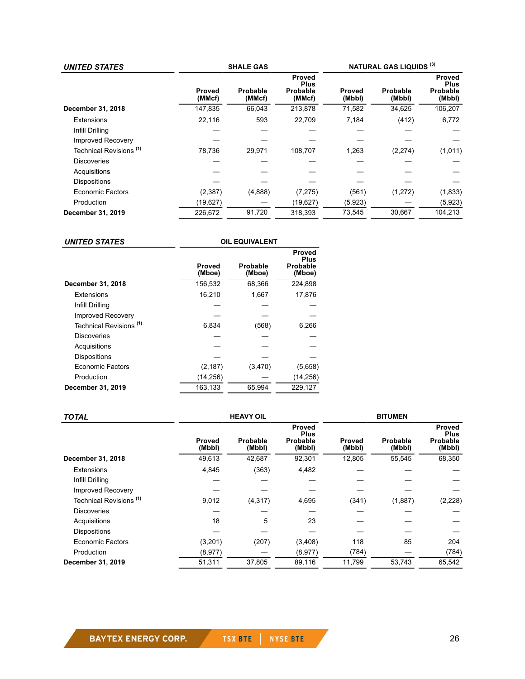| <b>UNITED STATES</b>               |                         | <b>SHALE GAS</b>          |                                                    |                         | <b>NATURAL GAS LIQUIDS (3)</b> |                                             |
|------------------------------------|-------------------------|---------------------------|----------------------------------------------------|-------------------------|--------------------------------|---------------------------------------------|
|                                    | <b>Proved</b><br>(MMcf) | <b>Probable</b><br>(MMcf) | <b>Proved</b><br><b>Plus</b><br>Probable<br>(MMcf) | <b>Proved</b><br>(Mbbl) | <b>Probable</b><br>(Mbbl)      | Proved<br><b>Plus</b><br>Probable<br>(Mbbl) |
| December 31, 2018                  | 147,835                 | 66,043                    | 213,878                                            | 71,582                  | 34,625                         | 106,207                                     |
| <b>Extensions</b>                  | 22,116                  | 593                       | 22,709                                             | 7,184                   | (412)                          | 6,772                                       |
| Infill Drilling                    |                         |                           |                                                    |                         |                                |                                             |
| <b>Improved Recovery</b>           |                         |                           |                                                    |                         |                                |                                             |
| Technical Revisions <sup>(1)</sup> | 78,736                  | 29,971                    | 108,707                                            | 1,263                   | (2,274)                        | (1,011)                                     |
| <b>Discoveries</b>                 |                         |                           |                                                    |                         |                                |                                             |
| Acquisitions                       |                         |                           |                                                    |                         |                                |                                             |
| <b>Dispositions</b>                |                         |                           |                                                    |                         |                                |                                             |
| <b>Economic Factors</b>            | (2,387)                 | (4,888)                   | (7, 275)                                           | (561)                   | (1, 272)                       | (1,833)                                     |
| Production                         | (19, 627)               |                           | (19,627)                                           | (5,923)                 |                                | (5,923)                                     |
| December 31, 2019                  | 226,672                 | 91,720                    | 318,393                                            | 73,545                  | 30,667                         | 104,213                                     |

| <b>UNITED STATES</b>               | <b>OIL EQUIVALENT</b> |                           |                                                    |  |  |
|------------------------------------|-----------------------|---------------------------|----------------------------------------------------|--|--|
|                                    | Proved<br>(Mboe)      | <b>Probable</b><br>(Mboe) | <b>Proved</b><br><b>Plus</b><br>Probable<br>(Mboe) |  |  |
| December 31, 2018                  | 156,532               | 68,366                    | 224,898                                            |  |  |
| Extensions                         | 16,210                | 1,667                     | 17,876                                             |  |  |
| Infill Drilling                    |                       |                           |                                                    |  |  |
| Improved Recovery                  |                       |                           |                                                    |  |  |
| Technical Revisions <sup>(1)</sup> | 6,834                 | (568)                     | 6,266                                              |  |  |
| <b>Discoveries</b>                 |                       |                           |                                                    |  |  |
| Acquisitions                       |                       |                           |                                                    |  |  |
| <b>Dispositions</b>                |                       |                           |                                                    |  |  |
| Economic Factors                   | (2, 187)              | (3,470)                   | (5,658)                                            |  |  |
| Production                         | (14, 256)             |                           | (14, 256)                                          |  |  |
| December 31, 2019                  | 163,133               | 65.994                    | 229.127                                            |  |  |

| <b>TOTAL</b>                       | <b>HEAVY OIL</b>        |                    |                                                           | <b>BITUMEN</b>          |                           |                                             |
|------------------------------------|-------------------------|--------------------|-----------------------------------------------------------|-------------------------|---------------------------|---------------------------------------------|
|                                    | <b>Proved</b><br>(Mbbl) | Probable<br>(Mbbl) | <b>Proved</b><br><b>Plus</b><br><b>Probable</b><br>(Mbbl) | <b>Proved</b><br>(Mbbl) | <b>Probable</b><br>(Mbbl) | Proved<br><b>Plus</b><br>Probable<br>(Mbbl) |
| December 31, 2018                  | 49,613                  | 42,687             | 92,301                                                    | 12,805                  | 55,545                    | 68,350                                      |
| Extensions                         | 4,845                   | (363)              | 4,482                                                     |                         |                           |                                             |
| Infill Drilling                    |                         |                    |                                                           |                         |                           |                                             |
| Improved Recovery                  |                         |                    |                                                           |                         |                           |                                             |
| Technical Revisions <sup>(1)</sup> | 9,012                   | (4, 317)           | 4,695                                                     | (341)                   | (1,887)                   | (2, 228)                                    |
| <b>Discoveries</b>                 |                         |                    |                                                           |                         |                           |                                             |
| Acquisitions                       | 18                      | 5                  | 23                                                        |                         |                           |                                             |
| <b>Dispositions</b>                |                         |                    |                                                           |                         |                           |                                             |
| <b>Economic Factors</b>            | (3,201)                 | (207)              | (3,408)                                                   | 118                     | 85                        | 204                                         |
| Production                         | (8,977)                 |                    | (8, 977)                                                  | (784)                   |                           | (784)                                       |
| December 31, 2019                  | 51,311                  | 37,805             | 89,116                                                    | 11,799                  | 53,743                    | 65,542                                      |

TSX BTE NYSE BTE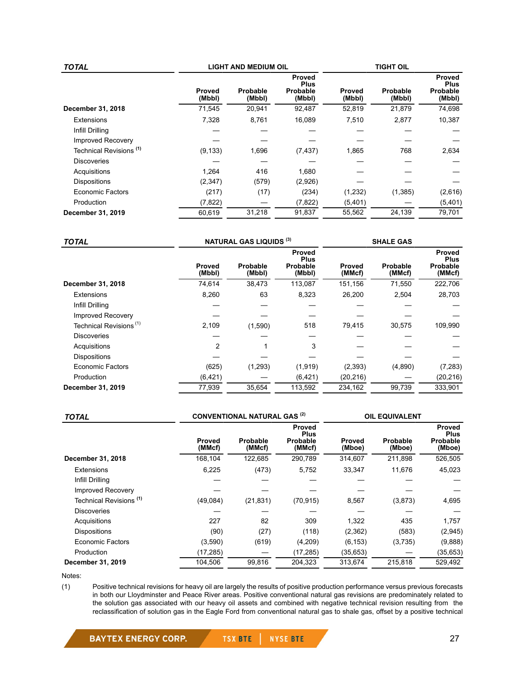| <b>LIGHT AND MEDIUM OIL</b> |                    |                                                    | <b>TIGHT OIL</b>        |                    |                                                           |
|-----------------------------|--------------------|----------------------------------------------------|-------------------------|--------------------|-----------------------------------------------------------|
| <b>Proved</b><br>(Mbbl)     | Probable<br>(Mbbl) | <b>Proved</b><br><b>Plus</b><br>Probable<br>(Mbbl) | <b>Proved</b><br>(Mbbl) | Probable<br>(Mbbl) | <b>Proved</b><br><b>Plus</b><br><b>Probable</b><br>(Mbbl) |
| 71,545                      | 20,941             | 92,487                                             | 52,819                  | 21,879             | 74,698                                                    |
| 7,328                       | 8,761              | 16,089                                             | 7,510                   | 2,877              | 10,387                                                    |
|                             |                    |                                                    |                         |                    |                                                           |
|                             |                    |                                                    |                         |                    |                                                           |
| (9, 133)                    | 1,696              | (7, 437)                                           | 1,865                   | 768                | 2,634                                                     |
|                             |                    |                                                    |                         |                    |                                                           |
| 1.264                       | 416                | 1.680                                              |                         |                    |                                                           |
| (2,347)                     | (579)              | (2,926)                                            |                         |                    |                                                           |
| (217)                       | (17)               | (234)                                              | (1,232)                 | (1, 385)           | (2,616)                                                   |
| (7, 822)                    |                    | (7, 822)                                           | (5,401)                 |                    | (5,401)                                                   |
| 60,619                      | 31,218             | 91,837                                             | 55,562                  | 24,139             | 79,701                                                    |
|                             |                    |                                                    |                         |                    |                                                           |

| <b>TOTAL</b>                       |                         | <b>NATURAL GAS LIQUIDS (3)</b> |                                                           |                         | <b>SHALE GAS</b>          |                                                    |  |
|------------------------------------|-------------------------|--------------------------------|-----------------------------------------------------------|-------------------------|---------------------------|----------------------------------------------------|--|
|                                    | <b>Proved</b><br>(Mbbl) | Probable<br>(Mbbl)             | <b>Proved</b><br><b>Plus</b><br><b>Probable</b><br>(Mbbl) | <b>Proved</b><br>(MMcf) | <b>Probable</b><br>(MMcf) | <b>Proved</b><br><b>Plus</b><br>Probable<br>(MMcf) |  |
| December 31, 2018                  | 74,614                  | 38,473                         | 113,087                                                   | 151,156                 | 71,550                    | 222,706                                            |  |
| <b>Extensions</b>                  | 8,260                   | 63                             | 8,323                                                     | 26,200                  | 2,504                     | 28,703                                             |  |
| Infill Drilling                    |                         |                                |                                                           |                         |                           |                                                    |  |
| <b>Improved Recovery</b>           |                         |                                |                                                           |                         |                           |                                                    |  |
| Technical Revisions <sup>(1)</sup> | 2,109                   | (1,590)                        | 518                                                       | 79.415                  | 30,575                    | 109,990                                            |  |
| <b>Discoveries</b>                 |                         |                                |                                                           |                         |                           |                                                    |  |
| Acquisitions                       | 2                       |                                | 3                                                         |                         |                           |                                                    |  |
| <b>Dispositions</b>                |                         |                                |                                                           |                         |                           |                                                    |  |
| Economic Factors                   | (625)                   | (1,293)                        | (1, 919)                                                  | (2, 393)                | (4,890)                   | (7, 283)                                           |  |
| Production                         | (6, 421)                |                                | (6, 421)                                                  | (20, 216)               |                           | (20, 216)                                          |  |
| December 31, 2019                  | 77,939                  | 35,654                         | 113,592                                                   | 234,162                 | 99,739                    | 333,901                                            |  |
|                                    |                         |                                |                                                           |                         |                           |                                                    |  |

| <b>TOTAL</b>                       |                         | <b>CONVENTIONAL NATURAL GAS<sup>(2)</sup></b> |                                                           | <b>OIL EQUIVALENT</b>   |                    |                                                           |
|------------------------------------|-------------------------|-----------------------------------------------|-----------------------------------------------------------|-------------------------|--------------------|-----------------------------------------------------------|
|                                    | <b>Proved</b><br>(MMcf) | Probable<br>(MMcf)                            | <b>Proved</b><br><b>Plus</b><br><b>Probable</b><br>(MMcf) | <b>Proved</b><br>(Mboe) | Probable<br>(Mboe) | <b>Proved</b><br><b>Plus</b><br><b>Probable</b><br>(Mboe) |
| December 31, 2018                  | 168,104                 | 122.685                                       | 290,789                                                   | 314,607                 | 211,898            | 526,505                                                   |
| Extensions                         | 6,225                   | (473)                                         | 5,752                                                     | 33,347                  | 11,676             | 45,023                                                    |
| Infill Drilling                    |                         |                                               |                                                           |                         |                    |                                                           |
| Improved Recovery                  |                         |                                               |                                                           |                         |                    |                                                           |
| Technical Revisions <sup>(1)</sup> | (49,084)                | (21, 831)                                     | (70, 915)                                                 | 8,567                   | (3,873)            | 4,695                                                     |
| <b>Discoveries</b>                 |                         |                                               |                                                           |                         |                    |                                                           |
| Acquisitions                       | 227                     | 82                                            | 309                                                       | 1,322                   | 435                | 1,757                                                     |
| <b>Dispositions</b>                | (90)                    | (27)                                          | (118)                                                     | (2,362)                 | (583)              | (2,945)                                                   |
| <b>Economic Factors</b>            | (3,590)                 | (619)                                         | (4,209)                                                   | (6, 153)                | (3,735)            | (9,888)                                                   |
| Production                         | (17, 285)               |                                               | (17, 285)                                                 | (35, 653)               |                    | (35,653)                                                  |
| December 31, 2019                  | 104,506                 | 99,816                                        | 204,323                                                   | 313,674                 | 215,818            | 529,492                                                   |
|                                    |                         |                                               |                                                           |                         |                    |                                                           |

Notes:

(1) Positive technical revisions for heavy oil are largely the results of positive production performance versus previous forecasts in both our Lloydminster and Peace River areas. Positive conventional natural gas revisions are predominately related to the solution gas associated with our heavy oil assets and combined with negative technical revision resulting from the reclassification of solution gas in the Eagle Ford from conventional natural gas to shale gas, offset by a positive technical

**NYSE BTE TSX BTE**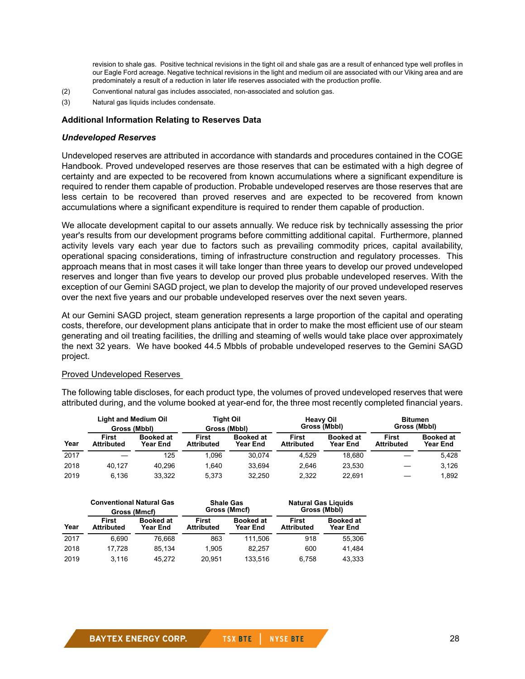revision to shale gas. Positive technical revisions in the tight oil and shale gas are a result of enhanced type well profiles in our Eagle Ford acreage. Negative technical revisions in the light and medium oil are associated with our Viking area and are predominately a result of a reduction in later life reserves associated with the production profile.

- (2) Conventional natural gas includes associated, non-associated and solution gas.
- (3) Natural gas liquids includes condensate.

#### **Additional Information Relating to Reserves Data**

#### *Undeveloped Reserves*

Undeveloped reserves are attributed in accordance with standards and procedures contained in the COGE Handbook. Proved undeveloped reserves are those reserves that can be estimated with a high degree of certainty and are expected to be recovered from known accumulations where a significant expenditure is required to render them capable of production. Probable undeveloped reserves are those reserves that are less certain to be recovered than proved reserves and are expected to be recovered from known accumulations where a significant expenditure is required to render them capable of production.

We allocate development capital to our assets annually. We reduce risk by technically assessing the prior year's results from our development programs before committing additional capital. Furthermore, planned activity levels vary each year due to factors such as prevailing commodity prices, capital availability, operational spacing considerations, timing of infrastructure construction and regulatory processes. This approach means that in most cases it will take longer than three years to develop our proved undeveloped reserves and longer than five years to develop our proved plus probable undeveloped reserves. With the exception of our Gemini SAGD project, we plan to develop the majority of our proved undeveloped reserves over the next five years and our probable undeveloped reserves over the next seven years.

At our Gemini SAGD project, steam generation represents a large proportion of the capital and operating costs, therefore, our development plans anticipate that in order to make the most efficient use of our steam generating and oil treating facilities, the drilling and steaming of wells would take place over approximately the next 32 years. We have booked 44.5 Mbbls of probable undeveloped reserves to the Gemini SAGD project.

#### Proved Undeveloped Reserves

The following table discloses, for each product type, the volumes of proved undeveloped reserves that were attributed during, and the volume booked at year-end for, the three most recently completed financial years.

|      | <b>Light and Medium Oil</b><br>Gross (Mbbl) |                              | <b>Tight Oil</b><br>Gross (Mbbl) |                              | <b>Heavy Oil</b><br>Gross (Mbbl)  |                                     | <b>Bitumen</b><br>Gross (Mbbl)    |                                     |
|------|---------------------------------------------|------------------------------|----------------------------------|------------------------------|-----------------------------------|-------------------------------------|-----------------------------------|-------------------------------------|
| Year | <b>First</b><br><b>Attributed</b>           | <b>Booked at</b><br>Year End | First<br><b>Attributed</b>       | <b>Booked at</b><br>Year End | <b>First</b><br><b>Attributed</b> | <b>Booked at</b><br><b>Year End</b> | <b>First</b><br><b>Attributed</b> | <b>Booked at</b><br><b>Year End</b> |
| 2017 |                                             | 125                          | 1.096                            | 30.074                       | 4.529                             | 18.680                              |                                   | 5.428                               |
| 2018 | 40.127                                      | 40.296                       | 1.640                            | 33.694                       | 2.646                             | 23.530                              |                                   | 3.126                               |
| 2019 | 6.136                                       | 33.322                       | 5.373                            | 32.250                       | 2.322                             | 22.691                              |                                   | 1.892                               |

| <b>Conventional Natural Gas</b><br>Gross (Mmcf) |                            |                              | <b>Shale Gas</b>                  | Gross (Mmcf)                 | <b>Natural Gas Liquids</b><br>Gross (Mbbl) |                              |  |
|-------------------------------------------------|----------------------------|------------------------------|-----------------------------------|------------------------------|--------------------------------------------|------------------------------|--|
| Year                                            | First<br><b>Attributed</b> | <b>Booked at</b><br>Year End | <b>First</b><br><b>Attributed</b> | <b>Booked at</b><br>Year End | First<br><b>Attributed</b>                 | <b>Booked at</b><br>Year End |  |
| 2017                                            | 6.690                      | 76.668                       | 863                               | 111.506                      | 918                                        | 55,306                       |  |
| 2018                                            | 17.728                     | 85.134                       | 1.905                             | 82.257                       | 600                                        | 41.484                       |  |
| 2019                                            | 3.116                      | 45.272                       | 20.951                            | 133.516                      | 6.758                                      | 43,333                       |  |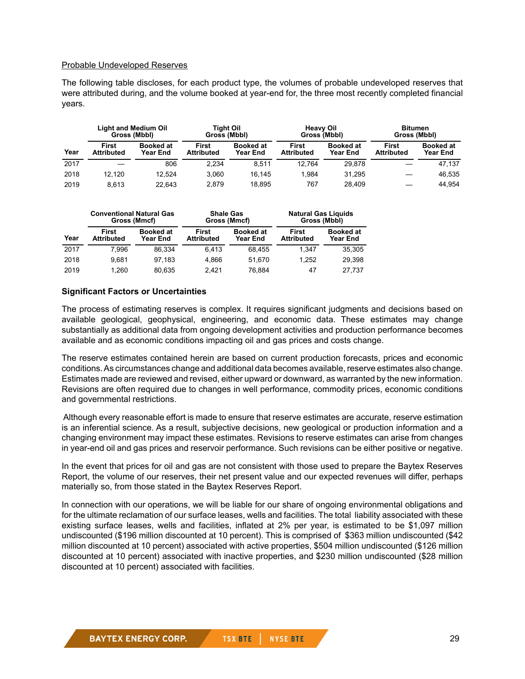#### Probable Undeveloped Reserves

The following table discloses, for each product type, the volumes of probable undeveloped reserves that were attributed during, and the volume booked at year-end for, the three most recently completed financial years.

| <b>Light and Medium Oil</b><br>Gross (Mbbl) |                                   |                              | Tiaht Oil<br>Gross (Mbbl)  |                              | <b>Heavy Oil</b><br>Gross (Mbbl)  |                              | <b>Bitumen</b><br>Gross (Mbbl)    |                                     |
|---------------------------------------------|-----------------------------------|------------------------------|----------------------------|------------------------------|-----------------------------------|------------------------------|-----------------------------------|-------------------------------------|
| Year                                        | <b>First</b><br><b>Attributed</b> | <b>Booked at</b><br>Year End | First<br><b>Attributed</b> | <b>Booked at</b><br>Year End | <b>First</b><br><b>Attributed</b> | <b>Booked at</b><br>Year End | <b>First</b><br><b>Attributed</b> | <b>Booked at</b><br><b>Year End</b> |
| 2017                                        |                                   | 806                          | 2.234                      | 8.511                        | 12.764                            | 29.878                       |                                   | 47.137                              |
| 2018                                        | 12.120                            | 12.524                       | 3.060                      | 16.145                       | 1.984                             | 31.295                       |                                   | 46.535                              |
| 2019                                        | 8.613                             | 22.643                       | 2.879                      | 18.895                       | 767                               | 28.409                       |                                   | 44.954                              |

| <b>Conventional Natural Gas</b><br>Gross (Mmcf) |                            |                              | <b>Shale Gas</b>                  | Gross (Mmcf)                 | <b>Natural Gas Liquids</b><br>Gross (Mbbl) |                                     |  |
|-------------------------------------------------|----------------------------|------------------------------|-----------------------------------|------------------------------|--------------------------------------------|-------------------------------------|--|
| Year                                            | First<br><b>Attributed</b> | <b>Booked at</b><br>Year End | <b>First</b><br><b>Attributed</b> | <b>Booked at</b><br>Year End | First<br><b>Attributed</b>                 | <b>Booked at</b><br><b>Year End</b> |  |
| 2017                                            | 7.996                      | 86.334                       | 6.413                             | 68.455                       | 1.347                                      | 35,305                              |  |
| 2018                                            | 9.681                      | 97.183                       | 4.866                             | 51.670                       | 1.252                                      | 29.398                              |  |
| 2019                                            | 1.260                      | 80,635                       | 2.421                             | 76,884                       | 47                                         | 27.737                              |  |

#### **Significant Factors or Uncertainties**

The process of estimating reserves is complex. It requires significant judgments and decisions based on available geological, geophysical, engineering, and economic data. These estimates may change substantially as additional data from ongoing development activities and production performance becomes available and as economic conditions impacting oil and gas prices and costs change.

The reserve estimates contained herein are based on current production forecasts, prices and economic conditions. As circumstances change and additional data becomes available, reserve estimates also change. Estimates made are reviewed and revised, either upward or downward, as warranted by the new information. Revisions are often required due to changes in well performance, commodity prices, economic conditions and governmental restrictions.

Although every reasonable effort is made to ensure that reserve estimates are accurate, reserve estimation is an inferential science. As a result, subjective decisions, new geological or production information and a changing environment may impact these estimates. Revisions to reserve estimates can arise from changes in year-end oil and gas prices and reservoir performance. Such revisions can be either positive or negative.

In the event that prices for oil and gas are not consistent with those used to prepare the Baytex Reserves Report, the volume of our reserves, their net present value and our expected revenues will differ, perhaps materially so, from those stated in the Baytex Reserves Report.

In connection with our operations, we will be liable for our share of ongoing environmental obligations and for the ultimate reclamation of our surface leases, wells and facilities. The total liability associated with these existing surface leases, wells and facilities, inflated at 2% per year, is estimated to be \$1,097 million undiscounted (\$196 million discounted at 10 percent). This is comprised of \$363 million undiscounted (\$42 million discounted at 10 percent) associated with active properties, \$504 million undiscounted (\$126 million discounted at 10 percent) associated with inactive properties, and \$230 million undiscounted (\$28 million discounted at 10 percent) associated with facilities.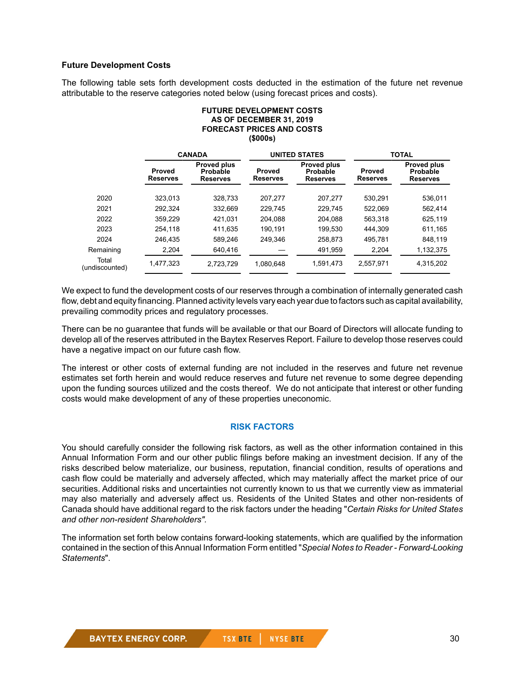#### **Future Development Costs**

The following table sets forth development costs deducted in the estimation of the future net revenue attributable to the reserve categories noted below (using forecast prices and costs).

#### **FUTURE DEVELOPMENT COSTS AS OF DECEMBER 31, 2019 FORECAST PRICES AND COSTS (\$000s)**

|                         | <b>CANADA</b>                    |                                                   |                                  | <b>UNITED STATES</b>                              | <b>TOTAL</b>                     |                                                   |  |
|-------------------------|----------------------------------|---------------------------------------------------|----------------------------------|---------------------------------------------------|----------------------------------|---------------------------------------------------|--|
|                         | <b>Proved</b><br><b>Reserves</b> | <b>Proved plus</b><br>Probable<br><b>Reserves</b> | <b>Proved</b><br><b>Reserves</b> | <b>Proved plus</b><br>Probable<br><b>Reserves</b> | <b>Proved</b><br><b>Reserves</b> | <b>Proved plus</b><br>Probable<br><b>Reserves</b> |  |
| 2020                    | 323,013                          | 328.733                                           | 207,277                          | 207,277                                           | 530,291                          | 536,011                                           |  |
| 2021                    | 292.324                          | 332.669                                           | 229.745                          | 229,745                                           | 522.069                          | 562,414                                           |  |
| 2022                    | 359.229                          | 421.031                                           | 204.088                          | 204.088                                           | 563,318                          | 625,119                                           |  |
| 2023                    | 254.118                          | 411.635                                           | 190.191                          | 199.530                                           | 444.309                          | 611,165                                           |  |
| 2024                    | 246.435                          | 589.246                                           | 249.346                          | 258.873                                           | 495.781                          | 848.119                                           |  |
| Remaining               | 2,204                            | 640.416                                           |                                  | 491,959                                           | 2,204                            | 1,132,375                                         |  |
| Total<br>(undiscounted) | 1,477,323                        | 2,723,729                                         | 1.080.648                        | 1.591.473                                         | 2.557.971                        | 4,315,202                                         |  |

We expect to fund the development costs of our reserves through a combination of internally generated cash flow, debt and equity financing. Planned activity levels vary each year due to factors such as capital availability, prevailing commodity prices and regulatory processes.

There can be no guarantee that funds will be available or that our Board of Directors will allocate funding to develop all of the reserves attributed in the Baytex Reserves Report. Failure to develop those reserves could have a negative impact on our future cash flow.

The interest or other costs of external funding are not included in the reserves and future net revenue estimates set forth herein and would reduce reserves and future net revenue to some degree depending upon the funding sources utilized and the costs thereof. We do not anticipate that interest or other funding costs would make development of any of these properties uneconomic.

#### **RISK FACTORS**

You should carefully consider the following risk factors, as well as the other information contained in this Annual Information Form and our other public filings before making an investment decision. If any of the risks described below materialize, our business, reputation, financial condition, results of operations and cash flow could be materially and adversely affected, which may materially affect the market price of our securities. Additional risks and uncertainties not currently known to us that we currently view as immaterial may also materially and adversely affect us. Residents of the United States and other non-residents of Canada should have additional regard to the risk factors under the heading "*Certain Risks for United States and other non-resident Shareholders".*

The information set forth below contains forward-looking statements, which are qualified by the information contained in the section of this Annual Information Form entitled "*Special Notes to Reader - Forward-Looking Statements*".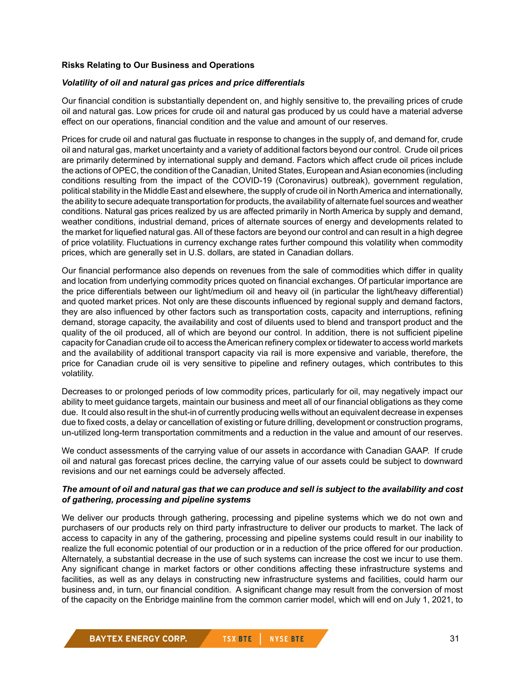## **Risks Relating to Our Business and Operations**

## *Volatility of oil and natural gas prices and price differentials*

Our financial condition is substantially dependent on, and highly sensitive to, the prevailing prices of crude oil and natural gas. Low prices for crude oil and natural gas produced by us could have a material adverse effect on our operations, financial condition and the value and amount of our reserves.

Prices for crude oil and natural gas fluctuate in response to changes in the supply of, and demand for, crude oil and natural gas, market uncertainty and a variety of additional factors beyond our control. Crude oil prices are primarily determined by international supply and demand. Factors which affect crude oil prices include the actions of OPEC, the condition of the Canadian, United States, European and Asian economies (including conditions resulting from the impact of the COVID-19 (Coronavirus) outbreak), government regulation, political stability in the Middle East and elsewhere, the supply of crude oil in North America and internationally, the ability to secure adequate transportation for products, the availability of alternate fuel sources and weather conditions. Natural gas prices realized by us are affected primarily in North America by supply and demand, weather conditions, industrial demand, prices of alternate sources of energy and developments related to the market for liquefied natural gas. All of these factors are beyond our control and can result in a high degree of price volatility. Fluctuations in currency exchange rates further compound this volatility when commodity prices, which are generally set in U.S. dollars, are stated in Canadian dollars.

Our financial performance also depends on revenues from the sale of commodities which differ in quality and location from underlying commodity prices quoted on financial exchanges. Of particular importance are the price differentials between our light/medium oil and heavy oil (in particular the light/heavy differential) and quoted market prices. Not only are these discounts influenced by regional supply and demand factors, they are also influenced by other factors such as transportation costs, capacity and interruptions, refining demand, storage capacity, the availability and cost of diluents used to blend and transport product and the quality of the oil produced, all of which are beyond our control. In addition, there is not sufficient pipeline capacity for Canadian crude oil to access the American refinery complex or tidewater to access world markets and the availability of additional transport capacity via rail is more expensive and variable, therefore, the price for Canadian crude oil is very sensitive to pipeline and refinery outages, which contributes to this volatility.

Decreases to or prolonged periods of low commodity prices, particularly for oil, may negatively impact our ability to meet guidance targets, maintain our business and meet all of our financial obligations as they come due. It could also result in the shut-in of currently producing wells without an equivalent decrease in expenses due to fixed costs, a delay or cancellation of existing or future drilling, development or construction programs, un-utilized long-term transportation commitments and a reduction in the value and amount of our reserves.

We conduct assessments of the carrying value of our assets in accordance with Canadian GAAP. If crude oil and natural gas forecast prices decline, the carrying value of our assets could be subject to downward revisions and our net earnings could be adversely affected.

# *The amount of oil and natural gas that we can produce and sell is subject to the availability and cost of gathering, processing and pipeline systems*

We deliver our products through gathering, processing and pipeline systems which we do not own and purchasers of our products rely on third party infrastructure to deliver our products to market. The lack of access to capacity in any of the gathering, processing and pipeline systems could result in our inability to realize the full economic potential of our production or in a reduction of the price offered for our production. Alternately, a substantial decrease in the use of such systems can increase the cost we incur to use them. Any significant change in market factors or other conditions affecting these infrastructure systems and facilities, as well as any delays in constructing new infrastructure systems and facilities, could harm our business and, in turn, our financial condition. A significant change may result from the conversion of most of the capacity on the Enbridge mainline from the common carrier model, which will end on July 1, 2021, to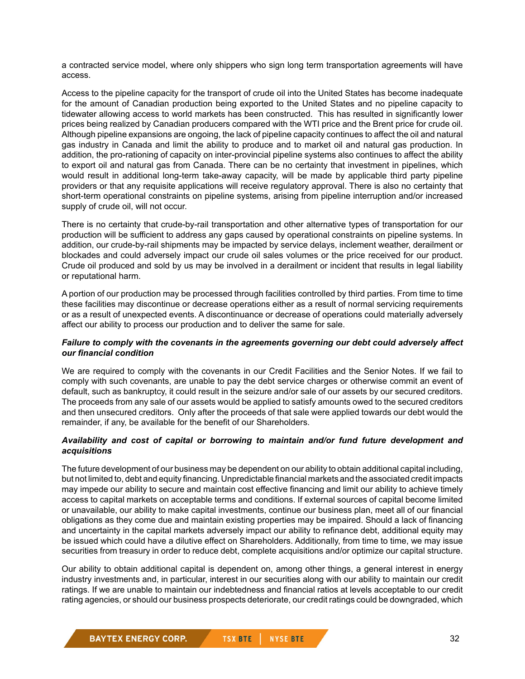a contracted service model, where only shippers who sign long term transportation agreements will have access.

Access to the pipeline capacity for the transport of crude oil into the United States has become inadequate for the amount of Canadian production being exported to the United States and no pipeline capacity to tidewater allowing access to world markets has been constructed. This has resulted in significantly lower prices being realized by Canadian producers compared with the WTI price and the Brent price for crude oil. Although pipeline expansions are ongoing, the lack of pipeline capacity continues to affect the oil and natural gas industry in Canada and limit the ability to produce and to market oil and natural gas production. In addition, the pro-rationing of capacity on inter-provincial pipeline systems also continues to affect the ability to export oil and natural gas from Canada. There can be no certainty that investment in pipelines, which would result in additional long-term take-away capacity, will be made by applicable third party pipeline providers or that any requisite applications will receive regulatory approval. There is also no certainty that short-term operational constraints on pipeline systems, arising from pipeline interruption and/or increased supply of crude oil, will not occur.

There is no certainty that crude-by-rail transportation and other alternative types of transportation for our production will be sufficient to address any gaps caused by operational constraints on pipeline systems. In addition, our crude-by-rail shipments may be impacted by service delays, inclement weather, derailment or blockades and could adversely impact our crude oil sales volumes or the price received for our product. Crude oil produced and sold by us may be involved in a derailment or incident that results in legal liability or reputational harm.

A portion of our production may be processed through facilities controlled by third parties. From time to time these facilities may discontinue or decrease operations either as a result of normal servicing requirements or as a result of unexpected events. A discontinuance or decrease of operations could materially adversely affect our ability to process our production and to deliver the same for sale.

# *Failure to comply with the covenants in the agreements governing our debt could adversely affect our financial condition*

We are required to comply with the covenants in our Credit Facilities and the Senior Notes. If we fail to comply with such covenants, are unable to pay the debt service charges or otherwise commit an event of default, such as bankruptcy, it could result in the seizure and/or sale of our assets by our secured creditors. The proceeds from any sale of our assets would be applied to satisfy amounts owed to the secured creditors and then unsecured creditors. Only after the proceeds of that sale were applied towards our debt would the remainder, if any, be available for the benefit of our Shareholders.

# *Availability and cost of capital or borrowing to maintain and/or fund future development and acquisitions*

The future development of our business may be dependent on our ability to obtain additional capital including, but not limited to, debt and equity financing. Unpredictable financial markets and the associated credit impacts may impede our ability to secure and maintain cost effective financing and limit our ability to achieve timely access to capital markets on acceptable terms and conditions. If external sources of capital become limited or unavailable, our ability to make capital investments, continue our business plan, meet all of our financial obligations as they come due and maintain existing properties may be impaired. Should a lack of financing and uncertainty in the capital markets adversely impact our ability to refinance debt, additional equity may be issued which could have a dilutive effect on Shareholders. Additionally, from time to time, we may issue securities from treasury in order to reduce debt, complete acquisitions and/or optimize our capital structure.

Our ability to obtain additional capital is dependent on, among other things, a general interest in energy industry investments and, in particular, interest in our securities along with our ability to maintain our credit ratings. If we are unable to maintain our indebtedness and financial ratios at levels acceptable to our credit rating agencies, or should our business prospects deteriorate, our credit ratings could be downgraded, which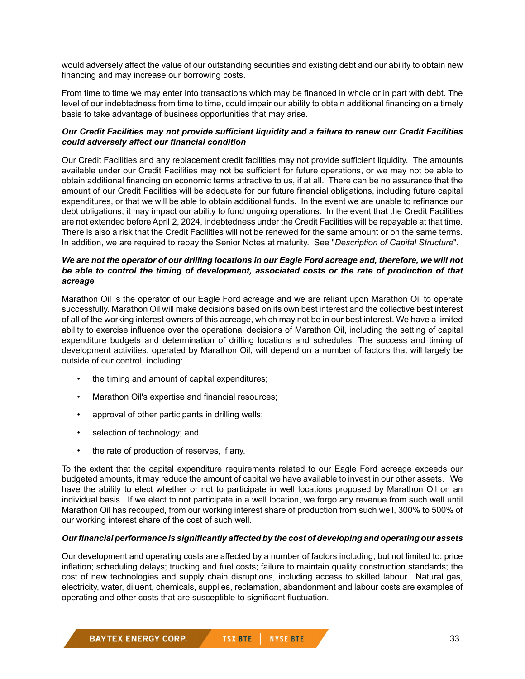would adversely affect the value of our outstanding securities and existing debt and our ability to obtain new financing and may increase our borrowing costs.

From time to time we may enter into transactions which may be financed in whole or in part with debt. The level of our indebtedness from time to time, could impair our ability to obtain additional financing on a timely basis to take advantage of business opportunities that may arise.

# *Our Credit Facilities may not provide sufficient liquidity and a failure to renew our Credit Facilities could adversely affect our financial condition*

Our Credit Facilities and any replacement credit facilities may not provide sufficient liquidity. The amounts available under our Credit Facilities may not be sufficient for future operations, or we may not be able to obtain additional financing on economic terms attractive to us, if at all. There can be no assurance that the amount of our Credit Facilities will be adequate for our future financial obligations, including future capital expenditures, or that we will be able to obtain additional funds. In the event we are unable to refinance our debt obligations, it may impact our ability to fund ongoing operations. In the event that the Credit Facilities are not extended before April 2, 2024, indebtedness under the Credit Facilities will be repayable at that time. There is also a risk that the Credit Facilities will not be renewed for the same amount or on the same terms. In addition, we are required to repay the Senior Notes at maturity. See "*Description of Capital Structure*".

# *We are not the operator of our drilling locations in our Eagle Ford acreage and, therefore, we will not be able to control the timing of development, associated costs or the rate of production of that acreage*

Marathon Oil is the operator of our Eagle Ford acreage and we are reliant upon Marathon Oil to operate successfully. Marathon Oil will make decisions based on its own best interest and the collective best interest of all of the working interest owners of this acreage, which may not be in our best interest. We have a limited ability to exercise influence over the operational decisions of Marathon Oil, including the setting of capital expenditure budgets and determination of drilling locations and schedules. The success and timing of development activities, operated by Marathon Oil, will depend on a number of factors that will largely be outside of our control, including:

- the timing and amount of capital expenditures;
- Marathon Oil's expertise and financial resources;
- approval of other participants in drilling wells;
- selection of technology; and
- the rate of production of reserves, if any.

To the extent that the capital expenditure requirements related to our Eagle Ford acreage exceeds our budgeted amounts, it may reduce the amount of capital we have available to invest in our other assets. We have the ability to elect whether or not to participate in well locations proposed by Marathon Oil on an individual basis. If we elect to not participate in a well location, we forgo any revenue from such well until Marathon Oil has recouped, from our working interest share of production from such well, 300% to 500% of our working interest share of the cost of such well.

#### *Our financial performance is significantly affected by the cost of developing and operating our assets*

Our development and operating costs are affected by a number of factors including, but not limited to: price inflation; scheduling delays; trucking and fuel costs; failure to maintain quality construction standards; the cost of new technologies and supply chain disruptions, including access to skilled labour. Natural gas, electricity, water, diluent, chemicals, supplies, reclamation, abandonment and labour costs are examples of operating and other costs that are susceptible to significant fluctuation.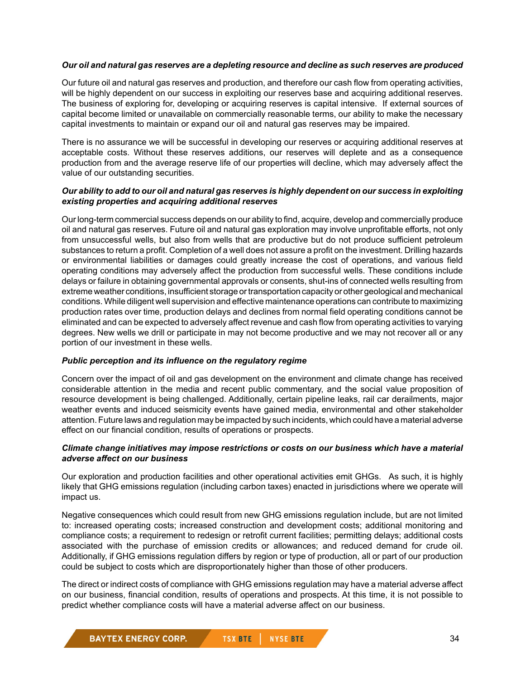#### *Our oil and natural gas reserves are a depleting resource and decline as such reserves are produced*

Our future oil and natural gas reserves and production, and therefore our cash flow from operating activities, will be highly dependent on our success in exploiting our reserves base and acquiring additional reserves. The business of exploring for, developing or acquiring reserves is capital intensive. If external sources of capital become limited or unavailable on commercially reasonable terms, our ability to make the necessary capital investments to maintain or expand our oil and natural gas reserves may be impaired.

There is no assurance we will be successful in developing our reserves or acquiring additional reserves at acceptable costs. Without these reserves additions, our reserves will deplete and as a consequence production from and the average reserve life of our properties will decline, which may adversely affect the value of our outstanding securities.

# *Our ability to add to our oil and natural gas reserves is highly dependent on our success in exploiting existing properties and acquiring additional reserves*

Our long-term commercial success depends on our ability to find, acquire, develop and commercially produce oil and natural gas reserves. Future oil and natural gas exploration may involve unprofitable efforts, not only from unsuccessful wells, but also from wells that are productive but do not produce sufficient petroleum substances to return a profit. Completion of a well does not assure a profit on the investment. Drilling hazards or environmental liabilities or damages could greatly increase the cost of operations, and various field operating conditions may adversely affect the production from successful wells. These conditions include delays or failure in obtaining governmental approvals or consents, shut-ins of connected wells resulting from extreme weather conditions, insufficient storage or transportation capacity or other geological and mechanical conditions. While diligent well supervision and effective maintenance operations can contribute to maximizing production rates over time, production delays and declines from normal field operating conditions cannot be eliminated and can be expected to adversely affect revenue and cash flow from operating activities to varying degrees. New wells we drill or participate in may not become productive and we may not recover all or any portion of our investment in these wells.

#### *Public perception and its influence on the regulatory regime*

Concern over the impact of oil and gas development on the environment and climate change has received considerable attention in the media and recent public commentary, and the social value proposition of resource development is being challenged. Additionally, certain pipeline leaks, rail car derailments, major weather events and induced seismicity events have gained media, environmental and other stakeholder attention. Future laws and regulation may be impacted by such incidents, which could have a material adverse effect on our financial condition, results of operations or prospects.

# *Climate change initiatives may impose restrictions or costs on our business which have a material adverse affect on our business*

Our exploration and production facilities and other operational activities emit GHGs. As such, it is highly likely that GHG emissions regulation (including carbon taxes) enacted in jurisdictions where we operate will impact us.

Negative consequences which could result from new GHG emissions regulation include, but are not limited to: increased operating costs; increased construction and development costs; additional monitoring and compliance costs; a requirement to redesign or retrofit current facilities; permitting delays; additional costs associated with the purchase of emission credits or allowances; and reduced demand for crude oil. Additionally, if GHG emissions regulation differs by region or type of production, all or part of our production could be subject to costs which are disproportionately higher than those of other producers.

The direct or indirect costs of compliance with GHG emissions regulation may have a material adverse affect on our business, financial condition, results of operations and prospects. At this time, it is not possible to predict whether compliance costs will have a material adverse affect on our business.

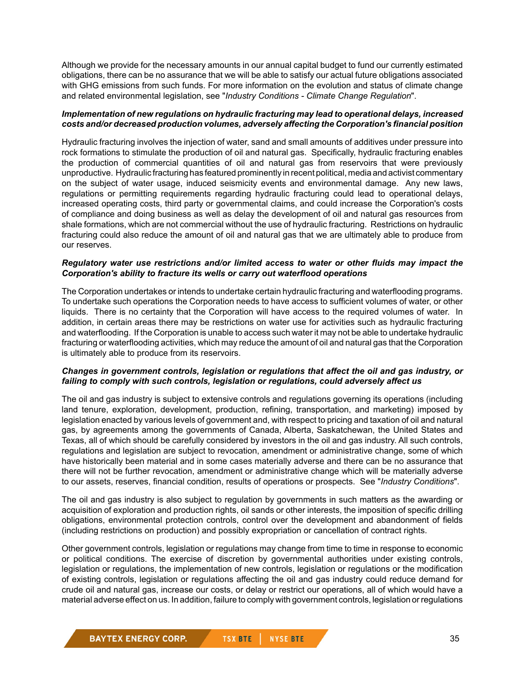Although we provide for the necessary amounts in our annual capital budget to fund our currently estimated obligations, there can be no assurance that we will be able to satisfy our actual future obligations associated with GHG emissions from such funds. For more information on the evolution and status of climate change and related environmental legislation, see "*Industry Conditions - Climate Change Regulation*".

## *Implementation of new regulations on hydraulic fracturing may lead to operational delays, increased costs and/or decreased production volumes, adversely affecting the Corporation's financial position*

Hydraulic fracturing involves the injection of water, sand and small amounts of additives under pressure into rock formations to stimulate the production of oil and natural gas. Specifically, hydraulic fracturing enables the production of commercial quantities of oil and natural gas from reservoirs that were previously unproductive. Hydraulic fracturing has featured prominently in recent political, media and activist commentary on the subject of water usage, induced seismicity events and environmental damage. Any new laws, regulations or permitting requirements regarding hydraulic fracturing could lead to operational delays, increased operating costs, third party or governmental claims, and could increase the Corporation's costs of compliance and doing business as well as delay the development of oil and natural gas resources from shale formations, which are not commercial without the use of hydraulic fracturing. Restrictions on hydraulic fracturing could also reduce the amount of oil and natural gas that we are ultimately able to produce from our reserves.

# *Regulatory water use restrictions and/or limited access to water or other fluids may impact the Corporation's ability to fracture its wells or carry out waterflood operations*

The Corporation undertakes or intends to undertake certain hydraulic fracturing and waterflooding programs. To undertake such operations the Corporation needs to have access to sufficient volumes of water, or other liquids. There is no certainty that the Corporation will have access to the required volumes of water. In addition, in certain areas there may be restrictions on water use for activities such as hydraulic fracturing and waterflooding. If the Corporation is unable to access such water it may not be able to undertake hydraulic fracturing or waterflooding activities, which may reduce the amount of oil and natural gas that the Corporation is ultimately able to produce from its reservoirs.

# *Changes in government controls, legislation or regulations that affect the oil and gas industry, or failing to comply with such controls, legislation or regulations, could adversely affect us*

The oil and gas industry is subject to extensive controls and regulations governing its operations (including land tenure, exploration, development, production, refining, transportation, and marketing) imposed by legislation enacted by various levels of government and, with respect to pricing and taxation of oil and natural gas, by agreements among the governments of Canada, Alberta, Saskatchewan, the United States and Texas, all of which should be carefully considered by investors in the oil and gas industry. All such controls, regulations and legislation are subject to revocation, amendment or administrative change, some of which have historically been material and in some cases materially adverse and there can be no assurance that there will not be further revocation, amendment or administrative change which will be materially adverse to our assets, reserves, financial condition, results of operations or prospects. See "*Industry Conditions*".

The oil and gas industry is also subject to regulation by governments in such matters as the awarding or acquisition of exploration and production rights, oil sands or other interests, the imposition of specific drilling obligations, environmental protection controls, control over the development and abandonment of fields (including restrictions on production) and possibly expropriation or cancellation of contract rights.

Other government controls, legislation or regulations may change from time to time in response to economic or political conditions. The exercise of discretion by governmental authorities under existing controls, legislation or regulations, the implementation of new controls, legislation or regulations or the modification of existing controls, legislation or regulations affecting the oil and gas industry could reduce demand for crude oil and natural gas, increase our costs, or delay or restrict our operations, all of which would have a material adverse effect on us. In addition, failure to comply with government controls, legislation or regulations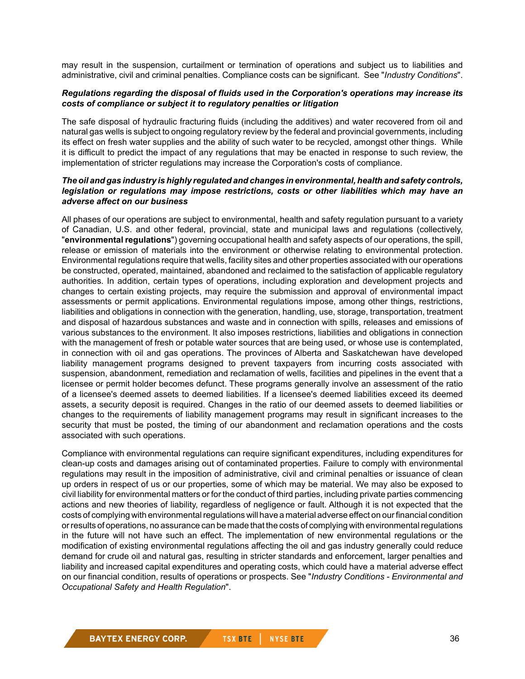may result in the suspension, curtailment or termination of operations and subject us to liabilities and administrative, civil and criminal penalties. Compliance costs can be significant. See "*Industry Conditions*".

# *Regulations regarding the disposal of fluids used in the Corporation's operations may increase its costs of compliance or subject it to regulatory penalties or litigation*

The safe disposal of hydraulic fracturing fluids (including the additives) and water recovered from oil and natural gas wells is subject to ongoing regulatory review by the federal and provincial governments, including its effect on fresh water supplies and the ability of such water to be recycled, amongst other things. While it is difficult to predict the impact of any regulations that may be enacted in response to such review, the implementation of stricter regulations may increase the Corporation's costs of compliance.

## *The oil and gas industry is highly regulated and changes in environmental, health and safety controls, legislation or regulations may impose restrictions, costs or other liabilities which may have an adverse affect on our business*

All phases of our operations are subject to environmental, health and safety regulation pursuant to a variety of Canadian, U.S. and other federal, provincial, state and municipal laws and regulations (collectively, "**environmental regulations**") governing occupational health and safety aspects of our operations, the spill, release or emission of materials into the environment or otherwise relating to environmental protection. Environmental regulations require that wells, facility sites and other properties associated with our operations be constructed, operated, maintained, abandoned and reclaimed to the satisfaction of applicable regulatory authorities. In addition, certain types of operations, including exploration and development projects and changes to certain existing projects, may require the submission and approval of environmental impact assessments or permit applications. Environmental regulations impose, among other things, restrictions, liabilities and obligations in connection with the generation, handling, use, storage, transportation, treatment and disposal of hazardous substances and waste and in connection with spills, releases and emissions of various substances to the environment. It also imposes restrictions, liabilities and obligations in connection with the management of fresh or potable water sources that are being used, or whose use is contemplated, in connection with oil and gas operations. The provinces of Alberta and Saskatchewan have developed liability management programs designed to prevent taxpayers from incurring costs associated with suspension, abandonment, remediation and reclamation of wells, facilities and pipelines in the event that a licensee or permit holder becomes defunct. These programs generally involve an assessment of the ratio of a licensee's deemed assets to deemed liabilities. If a licensee's deemed liabilities exceed its deemed assets, a security deposit is required. Changes in the ratio of our deemed assets to deemed liabilities or changes to the requirements of liability management programs may result in significant increases to the security that must be posted, the timing of our abandonment and reclamation operations and the costs associated with such operations.

Compliance with environmental regulations can require significant expenditures, including expenditures for clean-up costs and damages arising out of contaminated properties. Failure to comply with environmental regulations may result in the imposition of administrative, civil and criminal penalties or issuance of clean up orders in respect of us or our properties, some of which may be material. We may also be exposed to civil liability for environmental matters or for the conduct of third parties, including private parties commencing actions and new theories of liability, regardless of negligence or fault. Although it is not expected that the costs of complying with environmental regulations will have a material adverse effect on our financial condition or results of operations, no assurance can be made that the costs of complying with environmental regulations in the future will not have such an effect. The implementation of new environmental regulations or the modification of existing environmental regulations affecting the oil and gas industry generally could reduce demand for crude oil and natural gas, resulting in stricter standards and enforcement, larger penalties and liability and increased capital expenditures and operating costs, which could have a material adverse effect on our financial condition, results of operations or prospects. See "*Industry Conditions - Environmental and Occupational Safety and Health Regulation*".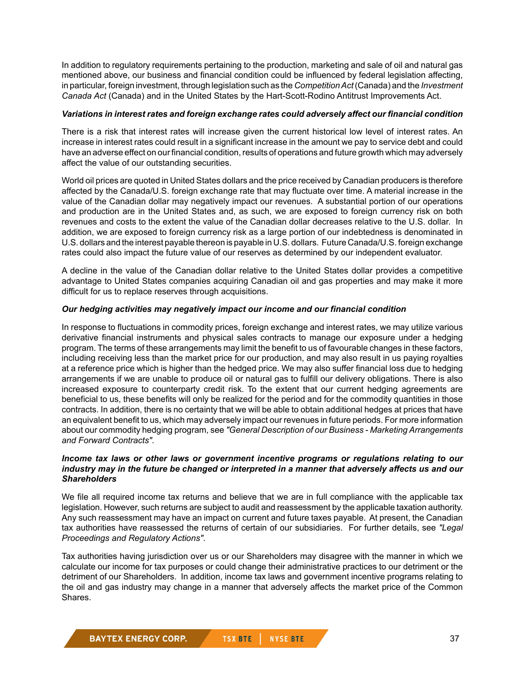In addition to regulatory requirements pertaining to the production, marketing and sale of oil and natural gas mentioned above, our business and financial condition could be influenced by federal legislation affecting, in particular, foreign investment, through legislation such as the *Competition Act*(Canada) and the *Investment Canada Act* (Canada) and in the United States by the Hart-Scott-Rodino Antitrust Improvements Act.

#### *Variations in interest rates and foreign exchange rates could adversely affect our financial condition*

There is a risk that interest rates will increase given the current historical low level of interest rates. An increase in interest rates could result in a significant increase in the amount we pay to service debt and could have an adverse effect on our financial condition, results of operations and future growth which may adversely affect the value of our outstanding securities.

World oil prices are quoted in United States dollars and the price received by Canadian producers is therefore affected by the Canada/U.S. foreign exchange rate that may fluctuate over time. A material increase in the value of the Canadian dollar may negatively impact our revenues. A substantial portion of our operations and production are in the United States and, as such, we are exposed to foreign currency risk on both revenues and costs to the extent the value of the Canadian dollar decreases relative to the U.S. dollar. In addition, we are exposed to foreign currency risk as a large portion of our indebtedness is denominated in U.S. dollars and the interest payable thereon is payable in U.S. dollars. Future Canada/U.S. foreign exchange rates could also impact the future value of our reserves as determined by our independent evaluator.

A decline in the value of the Canadian dollar relative to the United States dollar provides a competitive advantage to United States companies acquiring Canadian oil and gas properties and may make it more difficult for us to replace reserves through acquisitions.

# *Our hedging activities may negatively impact our income and our financial condition*

In response to fluctuations in commodity prices, foreign exchange and interest rates, we may utilize various derivative financial instruments and physical sales contracts to manage our exposure under a hedging program. The terms of these arrangements may limit the benefit to us of favourable changes in these factors, including receiving less than the market price for our production, and may also result in us paying royalties at a reference price which is higher than the hedged price. We may also suffer financial loss due to hedging arrangements if we are unable to produce oil or natural gas to fulfill our delivery obligations. There is also increased exposure to counterparty credit risk. To the extent that our current hedging agreements are beneficial to us, these benefits will only be realized for the period and for the commodity quantities in those contracts. In addition, there is no certainty that we will be able to obtain additional hedges at prices that have an equivalent benefit to us, which may adversely impact our revenues in future periods. For more information about our commodity hedging program, see *"General Description of our Business - Marketing Arrangements and Forward Contracts"*.

#### *Income tax laws or other laws or government incentive programs or regulations relating to our industry may in the future be changed or interpreted in a manner that adversely affects us and our Shareholders*

We file all required income tax returns and believe that we are in full compliance with the applicable tax legislation. However, such returns are subject to audit and reassessment by the applicable taxation authority. Any such reassessment may have an impact on current and future taxes payable. At present, the Canadian tax authorities have reassessed the returns of certain of our subsidiaries. For further details, see *"Legal Proceedings and Regulatory Actions"*.

Tax authorities having jurisdiction over us or our Shareholders may disagree with the manner in which we calculate our income for tax purposes or could change their administrative practices to our detriment or the detriment of our Shareholders. In addition, income tax laws and government incentive programs relating to the oil and gas industry may change in a manner that adversely affects the market price of the Common Shares.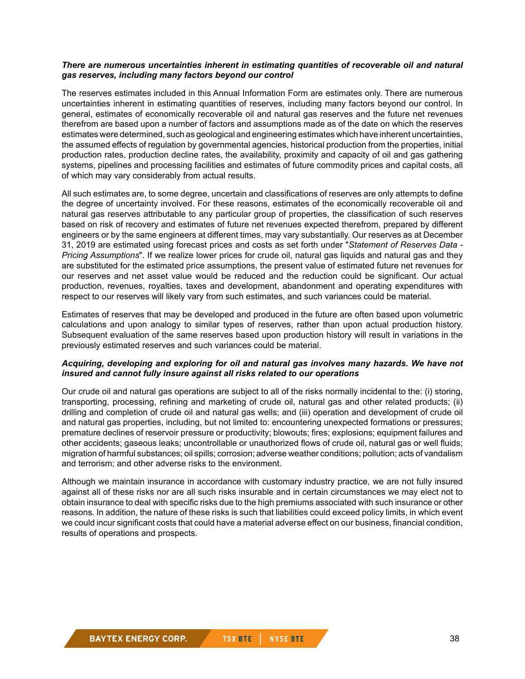## *There are numerous uncertainties inherent in estimating quantities of recoverable oil and natural gas reserves, including many factors beyond our control*

The reserves estimates included in this Annual Information Form are estimates only. There are numerous uncertainties inherent in estimating quantities of reserves, including many factors beyond our control. In general, estimates of economically recoverable oil and natural gas reserves and the future net revenues therefrom are based upon a number of factors and assumptions made as of the date on which the reserves estimates were determined, such as geological and engineering estimates which have inherent uncertainties, the assumed effects of regulation by governmental agencies, historical production from the properties, initial production rates, production decline rates, the availability, proximity and capacity of oil and gas gathering systems, pipelines and processing facilities and estimates of future commodity prices and capital costs, all of which may vary considerably from actual results.

All such estimates are, to some degree, uncertain and classifications of reserves are only attempts to define the degree of uncertainty involved. For these reasons, estimates of the economically recoverable oil and natural gas reserves attributable to any particular group of properties, the classification of such reserves based on risk of recovery and estimates of future net revenues expected therefrom, prepared by different engineers or by the same engineers at different times, may vary substantially. Our reserves as at December 31, 2019 are estimated using forecast prices and costs as set forth under "*Statement of Reserves Data - Pricing Assumptions*". If we realize lower prices for crude oil, natural gas liquids and natural gas and they are substituted for the estimated price assumptions, the present value of estimated future net revenues for our reserves and net asset value would be reduced and the reduction could be significant. Our actual production, revenues, royalties, taxes and development, abandonment and operating expenditures with respect to our reserves will likely vary from such estimates, and such variances could be material.

Estimates of reserves that may be developed and produced in the future are often based upon volumetric calculations and upon analogy to similar types of reserves, rather than upon actual production history. Subsequent evaluation of the same reserves based upon production history will result in variations in the previously estimated reserves and such variances could be material.

#### *Acquiring, developing and exploring for oil and natural gas involves many hazards. We have not insured and cannot fully insure against all risks related to our operations*

Our crude oil and natural gas operations are subject to all of the risks normally incidental to the: (i) storing, transporting, processing, refining and marketing of crude oil, natural gas and other related products; (ii) drilling and completion of crude oil and natural gas wells; and (iii) operation and development of crude oil and natural gas properties, including, but not limited to: encountering unexpected formations or pressures; premature declines of reservoir pressure or productivity; blowouts; fires; explosions; equipment failures and other accidents; gaseous leaks; uncontrollable or unauthorized flows of crude oil, natural gas or well fluids; migration of harmful substances; oil spills; corrosion; adverse weather conditions; pollution; acts of vandalism and terrorism; and other adverse risks to the environment.

Although we maintain insurance in accordance with customary industry practice, we are not fully insured against all of these risks nor are all such risks insurable and in certain circumstances we may elect not to obtain insurance to deal with specific risks due to the high premiums associated with such insurance or other reasons. In addition, the nature of these risks is such that liabilities could exceed policy limits, in which event we could incur significant costs that could have a material adverse effect on our business, financial condition, results of operations and prospects.

**NYSE BTE**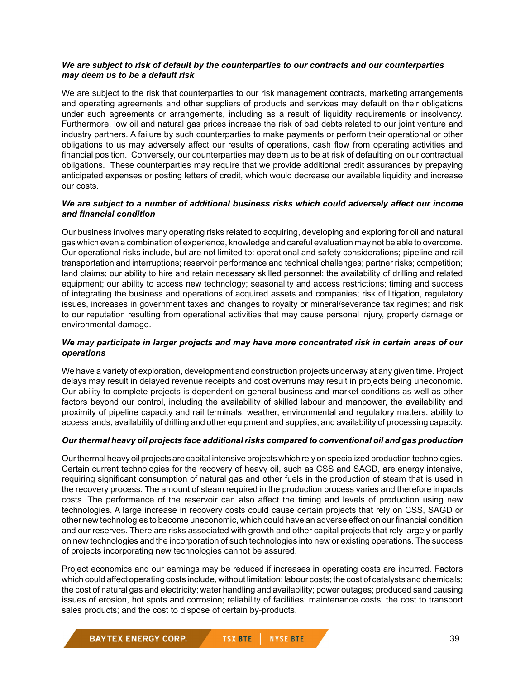# *We are subject to risk of default by the counterparties to our contracts and our counterparties may deem us to be a default risk*

We are subject to the risk that counterparties to our risk management contracts, marketing arrangements and operating agreements and other suppliers of products and services may default on their obligations under such agreements or arrangements, including as a result of liquidity requirements or insolvency. Furthermore, low oil and natural gas prices increase the risk of bad debts related to our joint venture and industry partners. A failure by such counterparties to make payments or perform their operational or other obligations to us may adversely affect our results of operations, cash flow from operating activities and financial position. Conversely, our counterparties may deem us to be at risk of defaulting on our contractual obligations. These counterparties may require that we provide additional credit assurances by prepaying anticipated expenses or posting letters of credit, which would decrease our available liquidity and increase our costs.

# *We are subject to a number of additional business risks which could adversely affect our income and financial condition*

Our business involves many operating risks related to acquiring, developing and exploring for oil and natural gas which even a combination of experience, knowledge and careful evaluation may not be able to overcome. Our operational risks include, but are not limited to: operational and safety considerations; pipeline and rail transportation and interruptions; reservoir performance and technical challenges; partner risks; competition; land claims; our ability to hire and retain necessary skilled personnel; the availability of drilling and related equipment; our ability to access new technology; seasonality and access restrictions; timing and success of integrating the business and operations of acquired assets and companies; risk of litigation, regulatory issues, increases in government taxes and changes to royalty or mineral/severance tax regimes; and risk to our reputation resulting from operational activities that may cause personal injury, property damage or environmental damage.

# *We may participate in larger projects and may have more concentrated risk in certain areas of our operations*

We have a variety of exploration, development and construction projects underway at any given time. Project delays may result in delayed revenue receipts and cost overruns may result in projects being uneconomic. Our ability to complete projects is dependent on general business and market conditions as well as other factors beyond our control, including the availability of skilled labour and manpower, the availability and proximity of pipeline capacity and rail terminals, weather, environmental and regulatory matters, ability to access lands, availability of drilling and other equipment and supplies, and availability of processing capacity.

#### *Our thermal heavy oil projects face additional risks compared to conventional oil and gas production*

Our thermal heavy oil projects are capital intensive projects which rely on specialized production technologies. Certain current technologies for the recovery of heavy oil, such as CSS and SAGD, are energy intensive, requiring significant consumption of natural gas and other fuels in the production of steam that is used in the recovery process. The amount of steam required in the production process varies and therefore impacts costs. The performance of the reservoir can also affect the timing and levels of production using new technologies. A large increase in recovery costs could cause certain projects that rely on CSS, SAGD or other new technologies to become uneconomic, which could have an adverse effect on our financial condition and our reserves. There are risks associated with growth and other capital projects that rely largely or partly on new technologies and the incorporation of such technologies into new or existing operations. The success of projects incorporating new technologies cannot be assured.

Project economics and our earnings may be reduced if increases in operating costs are incurred. Factors which could affect operating costs include, without limitation: labour costs; the cost of catalysts and chemicals; the cost of natural gas and electricity; water handling and availability; power outages; produced sand causing issues of erosion, hot spots and corrosion; reliability of facilities; maintenance costs; the cost to transport sales products; and the cost to dispose of certain by-products.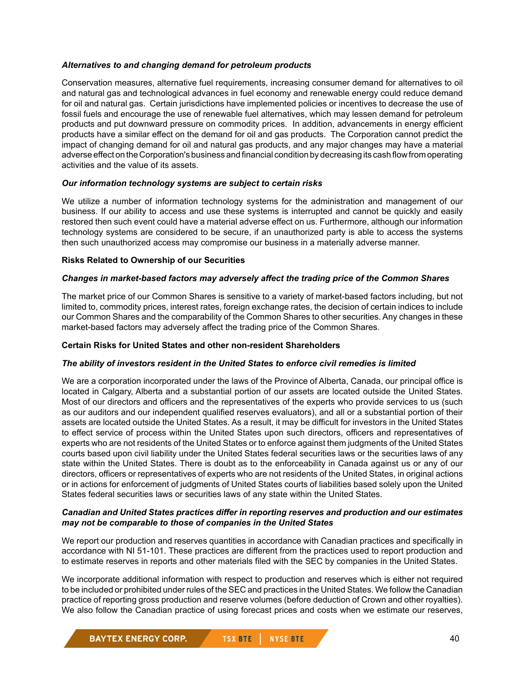# *Alternatives to and changing demand for petroleum products*

Conservation measures, alternative fuel requirements, increasing consumer demand for alternatives to oil and natural gas and technological advances in fuel economy and renewable energy could reduce demand for oil and natural gas. Certain jurisdictions have implemented policies or incentives to decrease the use of fossil fuels and encourage the use of renewable fuel alternatives, which may lessen demand for petroleum products and put downward pressure on commodity prices. In addition, advancements in energy efficient products have a similar effect on the demand for oil and gas products. The Corporation cannot predict the impact of changing demand for oil and natural gas products, and any major changes may have a material adverse effect on the Corporation's business and financial condition by decreasing its cash flow from operating activities and the value of its assets.

#### *Our information technology systems are subject to certain risks*

We utilize a number of information technology systems for the administration and management of our business. If our ability to access and use these systems is interrupted and cannot be quickly and easily restored then such event could have a material adverse effect on us. Furthermore, although our information technology systems are considered to be secure, if an unauthorized party is able to access the systems then such unauthorized access may compromise our business in a materially adverse manner.

# **Risks Related to Ownership of our Securities**

# *Changes in market-based factors may adversely affect the trading price of the Common Shares*

The market price of our Common Shares is sensitive to a variety of market-based factors including, but not limited to, commodity prices, interest rates, foreign exchange rates, the decision of certain indices to include our Common Shares and the comparability of the Common Shares to other securities. Any changes in these market-based factors may adversely affect the trading price of the Common Shares.

#### **Certain Risks for United States and other non-resident Shareholders**

#### *The ability of investors resident in the United States to enforce civil remedies is limited*

We are a corporation incorporated under the laws of the Province of Alberta, Canada, our principal office is located in Calgary, Alberta and a substantial portion of our assets are located outside the United States. Most of our directors and officers and the representatives of the experts who provide services to us (such as our auditors and our independent qualified reserves evaluators), and all or a substantial portion of their assets are located outside the United States. As a result, it may be difficult for investors in the United States to effect service of process within the United States upon such directors, officers and representatives of experts who are not residents of the United States or to enforce against them judgments of the United States courts based upon civil liability under the United States federal securities laws or the securities laws of any state within the United States. There is doubt as to the enforceability in Canada against us or any of our directors, officers or representatives of experts who are not residents of the United States, in original actions or in actions for enforcement of judgments of United States courts of liabilities based solely upon the United States federal securities laws or securities laws of any state within the United States.

# *Canadian and United States practices differ in reporting reserves and production and our estimates may not be comparable to those of companies in the United States*

We report our production and reserves quantities in accordance with Canadian practices and specifically in accordance with NI 51-101. These practices are different from the practices used to report production and to estimate reserves in reports and other materials filed with the SEC by companies in the United States.

We incorporate additional information with respect to production and reserves which is either not required to be included or prohibited under rules of the SEC and practices in the United States. We follow the Canadian practice of reporting gross production and reserve volumes (before deduction of Crown and other royalties). We also follow the Canadian practice of using forecast prices and costs when we estimate our reserves,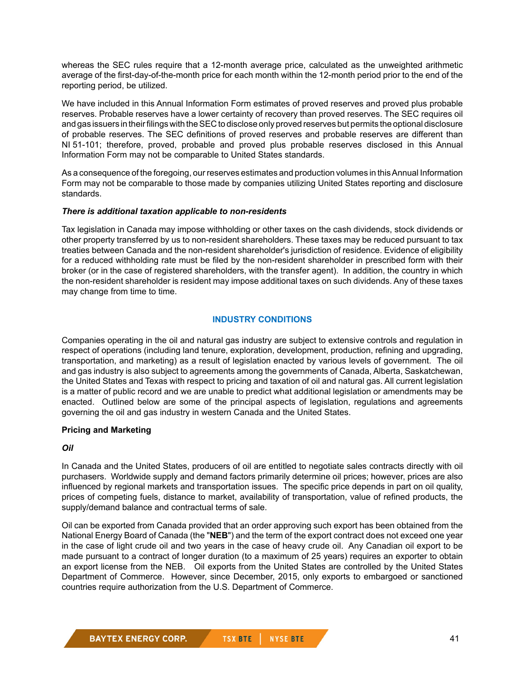whereas the SEC rules require that a 12-month average price, calculated as the unweighted arithmetic average of the first-day-of-the-month price for each month within the 12-month period prior to the end of the reporting period, be utilized.

We have included in this Annual Information Form estimates of proved reserves and proved plus probable reserves. Probable reserves have a lower certainty of recovery than proved reserves. The SEC requires oil and gas issuers in their filings with the SEC to disclose only proved reserves but permits the optional disclosure of probable reserves. The SEC definitions of proved reserves and probable reserves are different than NI 51-101; therefore, proved, probable and proved plus probable reserves disclosed in this Annual Information Form may not be comparable to United States standards.

As a consequence of the foregoing, our reserves estimates and production volumes in this Annual Information Form may not be comparable to those made by companies utilizing United States reporting and disclosure standards.

#### *There is additional taxation applicable to non-residents*

Tax legislation in Canada may impose withholding or other taxes on the cash dividends, stock dividends or other property transferred by us to non-resident shareholders. These taxes may be reduced pursuant to tax treaties between Canada and the non-resident shareholder's jurisdiction of residence. Evidence of eligibility for a reduced withholding rate must be filed by the non-resident shareholder in prescribed form with their broker (or in the case of registered shareholders, with the transfer agent). In addition, the country in which the non-resident shareholder is resident may impose additional taxes on such dividends. Any of these taxes may change from time to time.

# **INDUSTRY CONDITIONS**

Companies operating in the oil and natural gas industry are subject to extensive controls and regulation in respect of operations (including land tenure, exploration, development, production, refining and upgrading, transportation, and marketing) as a result of legislation enacted by various levels of government. The oil and gas industry is also subject to agreements among the governments of Canada, Alberta, Saskatchewan, the United States and Texas with respect to pricing and taxation of oil and natural gas. All current legislation is a matter of public record and we are unable to predict what additional legislation or amendments may be enacted. Outlined below are some of the principal aspects of legislation, regulations and agreements governing the oil and gas industry in western Canada and the United States.

#### **Pricing and Marketing**

#### *Oil*

In Canada and the United States, producers of oil are entitled to negotiate sales contracts directly with oil purchasers. Worldwide supply and demand factors primarily determine oil prices; however, prices are also influenced by regional markets and transportation issues. The specific price depends in part on oil quality, prices of competing fuels, distance to market, availability of transportation, value of refined products, the supply/demand balance and contractual terms of sale.

Oil can be exported from Canada provided that an order approving such export has been obtained from the National Energy Board of Canada (the "**NEB**") and the term of the export contract does not exceed one year in the case of light crude oil and two years in the case of heavy crude oil. Any Canadian oil export to be made pursuant to a contract of longer duration (to a maximum of 25 years) requires an exporter to obtain an export license from the NEB. Oil exports from the United States are controlled by the United States Department of Commerce. However, since December, 2015, only exports to embargoed or sanctioned countries require authorization from the U.S. Department of Commerce.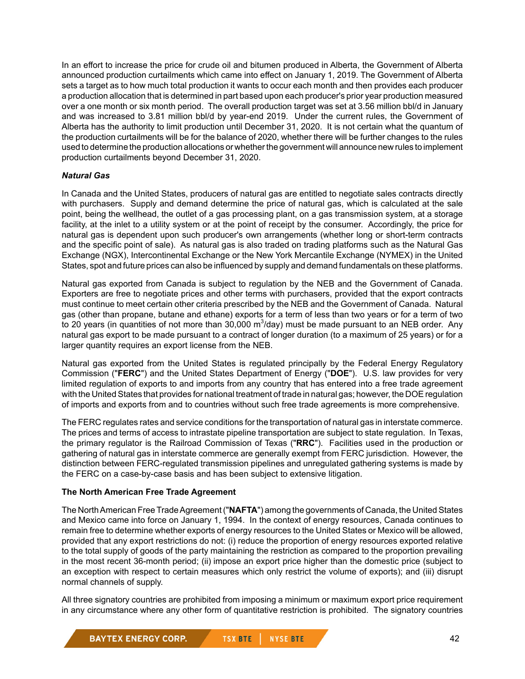In an effort to increase the price for crude oil and bitumen produced in Alberta, the Government of Alberta announced production curtailments which came into effect on January 1, 2019. The Government of Alberta sets a target as to how much total production it wants to occur each month and then provides each producer a production allocation that is determined in part based upon each producer's prior year production measured over a one month or six month period. The overall production target was set at 3.56 million bbl/d in January and was increased to 3.81 million bbl/d by year-end 2019. Under the current rules, the Government of Alberta has the authority to limit production until December 31, 2020. It is not certain what the quantum of the production curtailments will be for the balance of 2020, whether there will be further changes to the rules used to determine the production allocations or whether the government will announce new rules to implement production curtailments beyond December 31, 2020.

# *Natural Gas*

In Canada and the United States, producers of natural gas are entitled to negotiate sales contracts directly with purchasers. Supply and demand determine the price of natural gas, which is calculated at the sale point, being the wellhead, the outlet of a gas processing plant, on a gas transmission system, at a storage facility, at the inlet to a utility system or at the point of receipt by the consumer. Accordingly, the price for natural gas is dependent upon such producer's own arrangements (whether long or short-term contracts and the specific point of sale). As natural gas is also traded on trading platforms such as the Natural Gas Exchange (NGX), Intercontinental Exchange or the New York Mercantile Exchange (NYMEX) in the United States, spot and future prices can also be influenced by supply and demand fundamentals on these platforms.

Natural gas exported from Canada is subject to regulation by the NEB and the Government of Canada. Exporters are free to negotiate prices and other terms with purchasers, provided that the export contracts must continue to meet certain other criteria prescribed by the NEB and the Government of Canada. Natural gas (other than propane, butane and ethane) exports for a term of less than two years or for a term of two to 20 years (in quantities of not more than 30,000 m<sup>3</sup>/day) must be made pursuant to an NEB order. Any natural gas export to be made pursuant to a contract of longer duration (to a maximum of 25 years) or for a larger quantity requires an export license from the NEB.

Natural gas exported from the United States is regulated principally by the Federal Energy Regulatory Commission ("**FERC**") and the United States Department of Energy ("**DOE**"). U.S. law provides for very limited regulation of exports to and imports from any country that has entered into a free trade agreement with the United States that provides for national treatment of trade in natural gas; however, the DOE regulation of imports and exports from and to countries without such free trade agreements is more comprehensive.

The FERC regulates rates and service conditions for the transportation of natural gas in interstate commerce. The prices and terms of access to intrastate pipeline transportation are subject to state regulation. In Texas, the primary regulator is the Railroad Commission of Texas ("**RRC**"). Facilities used in the production or gathering of natural gas in interstate commerce are generally exempt from FERC jurisdiction. However, the distinction between FERC-regulated transmission pipelines and unregulated gathering systems is made by the FERC on a case-by-case basis and has been subject to extensive litigation.

#### **The North American Free Trade Agreement**

The North American Free Trade Agreement ("**NAFTA**") among the governments of Canada, the United States and Mexico came into force on January 1, 1994. In the context of energy resources, Canada continues to remain free to determine whether exports of energy resources to the United States or Mexico will be allowed, provided that any export restrictions do not: (i) reduce the proportion of energy resources exported relative to the total supply of goods of the party maintaining the restriction as compared to the proportion prevailing in the most recent 36-month period; (ii) impose an export price higher than the domestic price (subject to an exception with respect to certain measures which only restrict the volume of exports); and (iii) disrupt normal channels of supply.

All three signatory countries are prohibited from imposing a minimum or maximum export price requirement in any circumstance where any other form of quantitative restriction is prohibited. The signatory countries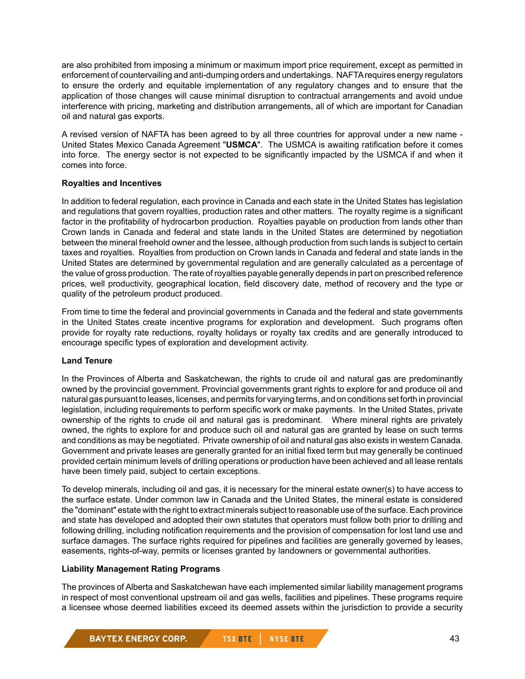are also prohibited from imposing a minimum or maximum import price requirement, except as permitted in enforcement of countervailing and anti-dumping orders and undertakings. NAFTArequires energy regulators to ensure the orderly and equitable implementation of any regulatory changes and to ensure that the application of those changes will cause minimal disruption to contractual arrangements and avoid undue interference with pricing, marketing and distribution arrangements, all of which are important for Canadian oil and natural gas exports.

A revised version of NAFTA has been agreed to by all three countries for approval under a new name - United States Mexico Canada Agreement "**USMCA**". The USMCA is awaiting ratification before it comes into force. The energy sector is not expected to be significantly impacted by the USMCA if and when it comes into force.

# **Royalties and Incentives**

In addition to federal regulation, each province in Canada and each state in the United States has legislation and regulations that govern royalties, production rates and other matters. The royalty regime is a significant factor in the profitability of hydrocarbon production. Royalties payable on production from lands other than Crown lands in Canada and federal and state lands in the United States are determined by negotiation between the mineral freehold owner and the lessee, although production from such lands is subject to certain taxes and royalties. Royalties from production on Crown lands in Canada and federal and state lands in the United States are determined by governmental regulation and are generally calculated as a percentage of the value of gross production. The rate of royalties payable generally depends in part on prescribed reference prices, well productivity, geographical location, field discovery date, method of recovery and the type or quality of the petroleum product produced.

From time to time the federal and provincial governments in Canada and the federal and state governments in the United States create incentive programs for exploration and development. Such programs often provide for royalty rate reductions, royalty holidays or royalty tax credits and are generally introduced to encourage specific types of exploration and development activity.

# **Land Tenure**

In the Provinces of Alberta and Saskatchewan, the rights to crude oil and natural gas are predominantly owned by the provincial government. Provincial governments grant rights to explore for and produce oil and natural gas pursuant to leases, licenses, and permits for varying terms, and on conditions set forth in provincial legislation, including requirements to perform specific work or make payments. In the United States, private ownership of the rights to crude oil and natural gas is predominant. Where mineral rights are privately owned, the rights to explore for and produce such oil and natural gas are granted by lease on such terms and conditions as may be negotiated. Private ownership of oil and natural gas also exists in western Canada. Government and private leases are generally granted for an initial fixed term but may generally be continued provided certain minimum levels of drilling operations or production have been achieved and all lease rentals have been timely paid, subject to certain exceptions.

To develop minerals, including oil and gas, it is necessary for the mineral estate owner(s) to have access to the surface estate. Under common law in Canada and the United States, the mineral estate is considered the "dominant" estate with the right to extract minerals subject to reasonable use of the surface. Each province and state has developed and adopted their own statutes that operators must follow both prior to drilling and following drilling, including notification requirements and the provision of compensation for lost land use and surface damages. The surface rights required for pipelines and facilities are generally governed by leases, easements, rights-of-way, permits or licenses granted by landowners or governmental authorities.

#### **Liability Management Rating Programs**

The provinces of Alberta and Saskatchewan have each implemented similar liability management programs in respect of most conventional upstream oil and gas wells, facilities and pipelines. These programs require a licensee whose deemed liabilities exceed its deemed assets within the jurisdiction to provide a security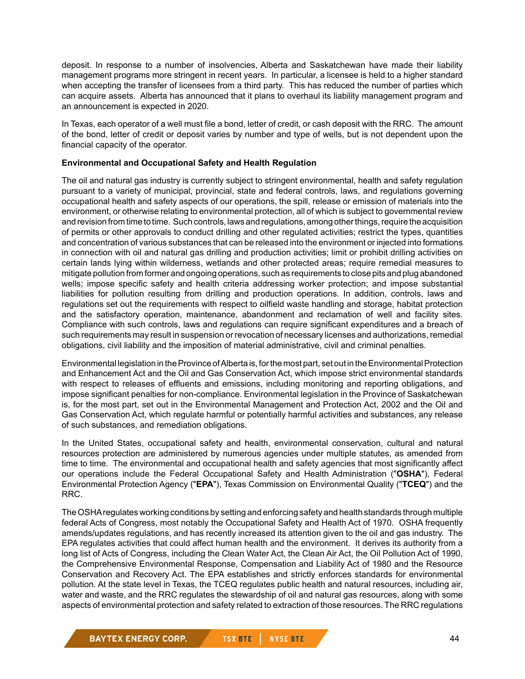deposit. In response to a number of insolvencies, Alberta and Saskatchewan have made their liability management programs more stringent in recent years. In particular, a licensee is held to a higher standard when accepting the transfer of licensees from a third party. This has reduced the number of parties which can acquire assets. Alberta has announced that it plans to overhaul its liability management program and an announcement is expected in 2020.

In Texas, each operator of a well must file a bond, letter of credit, or cash deposit with the RRC. The amount of the bond, letter of credit or deposit varies by number and type of wells, but is not dependent upon the financial capacity of the operator.

# **Environmental and Occupational Safety and Health Regulation**

The oil and natural gas industry is currently subject to stringent environmental, health and safety regulation pursuant to a variety of municipal, provincial, state and federal controls, laws, and regulations governing occupational health and safety aspects of our operations, the spill, release or emission of materials into the environment, or otherwise relating to environmental protection, all of which is subject to governmental review and revision from time to time. Such controls, laws and regulations, among other things, require the acquisition of permits or other approvals to conduct drilling and other regulated activities; restrict the types, quantities and concentration of various substances that can be released into the environment or injected into formations in connection with oil and natural gas drilling and production activities; limit or prohibit drilling activities on certain lands lying within wilderness, wetlands and other protected areas; require remedial measures to mitigate pollution from former and ongoing operations, such as requirements to close pits and plug abandoned wells; impose specific safety and health criteria addressing worker protection; and impose substantial liabilities for pollution resulting from drilling and production operations. In addition, controls, laws and regulations set out the requirements with respect to oilfield waste handling and storage, habitat protection and the satisfactory operation, maintenance, abandonment and reclamation of well and facility sites. Compliance with such controls, laws and regulations can require significant expenditures and a breach of such requirements may result in suspension or revocation of necessary licenses and authorizations, remedial obligations, civil liability and the imposition of material administrative, civil and criminal penalties.

Environmental legislation in the Province of Alberta is, for the most part, set out in the Environmental Protection and Enhancement Act and the Oil and Gas Conservation Act, which impose strict environmental standards with respect to releases of effluents and emissions, including monitoring and reporting obligations, and impose significant penalties for non-compliance. Environmental legislation in the Province of Saskatchewan is, for the most part, set out in the Environmental Management and Protection Act, 2002 and the Oil and Gas Conservation Act, which regulate harmful or potentially harmful activities and substances, any release of such substances, and remediation obligations.

In the United States, occupational safety and health, environmental conservation, cultural and natural resources protection are administered by numerous agencies under multiple statutes, as amended from time to time. The environmental and occupational health and safety agencies that most significantly affect our operations include the Federal Occupational Safety and Health Administration ("**OSHA**"), Federal Environmental Protection Agency ("**EPA**"), Texas Commission on Environmental Quality ("**TCEQ**") and the RRC.

The OSHAregulates working conditions by setting and enforcing safety and health standards through multiple federal Acts of Congress, most notably the Occupational Safety and Health Act of 1970. OSHA frequently amends/updates regulations, and has recently increased its attention given to the oil and gas industry. The EPA regulates activities that could affect human health and the environment. It derives its authority from a long list of Acts of Congress, including the Clean Water Act, the Clean Air Act, the Oil Pollution Act of 1990, the Comprehensive Environmental Response, Compensation and Liability Act of 1980 and the Resource Conservation and Recovery Act. The EPA establishes and strictly enforces standards for environmental pollution. At the state level in Texas, the TCEQ regulates public health and natural resources, including air, water and waste, and the RRC regulates the stewardship of oil and natural gas resources, along with some aspects of environmental protection and safety related to extraction of those resources. The RRC regulations

**TSX BTE**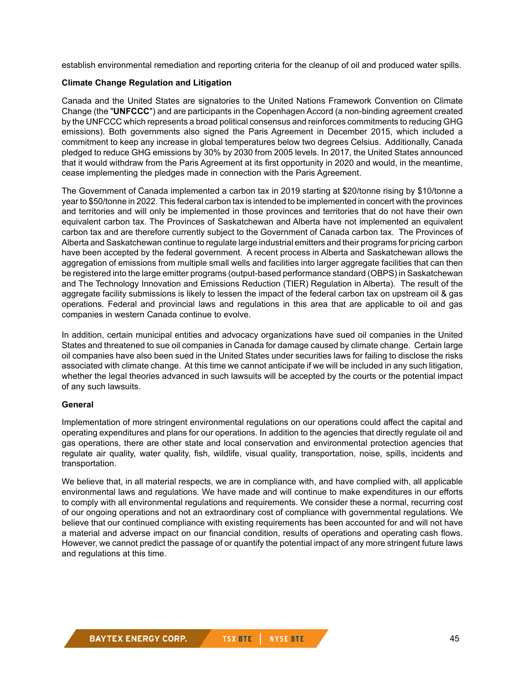establish environmental remediation and reporting criteria for the cleanup of oil and produced water spills.

## **Climate Change Regulation and Litigation**

Canada and the United States are signatories to the United Nations Framework Convention on Climate Change (the "**UNFCCC**") and are participants in the Copenhagen Accord (a non-binding agreement created by the UNFCCC which represents a broad political consensus and reinforces commitments to reducing GHG emissions). Both governments also signed the Paris Agreement in December 2015, which included a commitment to keep any increase in global temperatures below two degrees Celsius. Additionally, Canada pledged to reduce GHG emissions by 30% by 2030 from 2005 levels. In 2017, the United States announced that it would withdraw from the Paris Agreement at its first opportunity in 2020 and would, in the meantime, cease implementing the pledges made in connection with the Paris Agreement.

The Government of Canada implemented a carbon tax in 2019 starting at \$20/tonne rising by \$10/tonne a year to \$50/tonne in 2022. This federal carbon tax is intended to be implemented in concert with the provinces and territories and will only be implemented in those provinces and territories that do not have their own equivalent carbon tax. The Provinces of Saskatchewan and Alberta have not implemented an equivalent carbon tax and are therefore currently subject to the Government of Canada carbon tax. The Provinces of Alberta and Saskatchewan continue to regulate large industrial emitters and their programs for pricing carbon have been accepted by the federal government. A recent process in Alberta and Saskatchewan allows the aggregation of emissions from multiple small wells and facilities into larger aggregate facilities that can then be registered into the large emitter programs (output-based performance standard (OBPS) in Saskatchewan and The Technology Innovation and Emissions Reduction (TIER) Regulation in Alberta). The result of the aggregate facility submissions is likely to lessen the impact of the federal carbon tax on upstream oil & gas operations. Federal and provincial laws and regulations in this area that are applicable to oil and gas companies in western Canada continue to evolve.

In addition, certain municipal entities and advocacy organizations have sued oil companies in the United States and threatened to sue oil companies in Canada for damage caused by climate change. Certain large oil companies have also been sued in the United States under securities laws for failing to disclose the risks associated with climate change. At this time we cannot anticipate if we will be included in any such litigation, whether the legal theories advanced in such lawsuits will be accepted by the courts or the potential impact of any such lawsuits.

#### **General**

Implementation of more stringent environmental regulations on our operations could affect the capital and operating expenditures and plans for our operations. In addition to the agencies that directly regulate oil and gas operations, there are other state and local conservation and environmental protection agencies that regulate air quality, water quality, fish, wildlife, visual quality, transportation, noise, spills, incidents and transportation.

We believe that, in all material respects, we are in compliance with, and have complied with, all applicable environmental laws and regulations. We have made and will continue to make expenditures in our efforts to comply with all environmental regulations and requirements. We consider these a normal, recurring cost of our ongoing operations and not an extraordinary cost of compliance with governmental regulations. We believe that our continued compliance with existing requirements has been accounted for and will not have a material and adverse impact on our financial condition, results of operations and operating cash flows. However, we cannot predict the passage of or quantify the potential impact of any more stringent future laws and regulations at this time.

**NYSE BTE**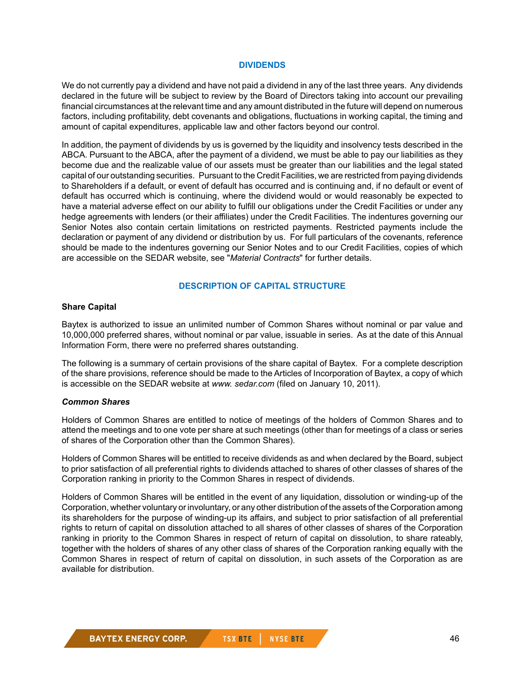#### **DIVIDENDS**

We do not currently pay a dividend and have not paid a dividend in any of the last three years. Any dividends declared in the future will be subject to review by the Board of Directors taking into account our prevailing financial circumstances at the relevant time and any amount distributed in the future will depend on numerous factors, including profitability, debt covenants and obligations, fluctuations in working capital, the timing and amount of capital expenditures, applicable law and other factors beyond our control.

In addition, the payment of dividends by us is governed by the liquidity and insolvency tests described in the ABCA. Pursuant to the ABCA, after the payment of a dividend, we must be able to pay our liabilities as they become due and the realizable value of our assets must be greater than our liabilities and the legal stated capital of our outstanding securities. Pursuant to the Credit Facilities, we are restricted from paying dividends to Shareholders if a default, or event of default has occurred and is continuing and, if no default or event of default has occurred which is continuing, where the dividend would or would reasonably be expected to have a material adverse effect on our ability to fulfill our obligations under the Credit Facilities or under any hedge agreements with lenders (or their affiliates) under the Credit Facilities. The indentures governing our Senior Notes also contain certain limitations on restricted payments. Restricted payments include the declaration or payment of any dividend or distribution by us. For full particulars of the covenants, reference should be made to the indentures governing our Senior Notes and to our Credit Facilities, copies of which are accessible on the SEDAR website, see "*Material Contracts*" for further details.

#### **DESCRIPTION OF CAPITAL STRUCTURE**

#### **Share Capital**

Baytex is authorized to issue an unlimited number of Common Shares without nominal or par value and 10,000,000 preferred shares, without nominal or par value, issuable in series. As at the date of this Annual Information Form, there were no preferred shares outstanding.

The following is a summary of certain provisions of the share capital of Baytex. For a complete description of the share provisions, reference should be made to the Articles of Incorporation of Baytex, a copy of which is accessible on the SEDAR website at *www. sedar.com* (filed on January 10, 2011).

#### *Common Shares*

Holders of Common Shares are entitled to notice of meetings of the holders of Common Shares and to attend the meetings and to one vote per share at such meetings (other than for meetings of a class or series of shares of the Corporation other than the Common Shares).

Holders of Common Shares will be entitled to receive dividends as and when declared by the Board, subject to prior satisfaction of all preferential rights to dividends attached to shares of other classes of shares of the Corporation ranking in priority to the Common Shares in respect of dividends.

Holders of Common Shares will be entitled in the event of any liquidation, dissolution or winding-up of the Corporation, whether voluntary or involuntary, or any other distribution of the assets of the Corporation among its shareholders for the purpose of winding-up its affairs, and subject to prior satisfaction of all preferential rights to return of capital on dissolution attached to all shares of other classes of shares of the Corporation ranking in priority to the Common Shares in respect of return of capital on dissolution, to share rateably, together with the holders of shares of any other class of shares of the Corporation ranking equally with the Common Shares in respect of return of capital on dissolution, in such assets of the Corporation as are available for distribution.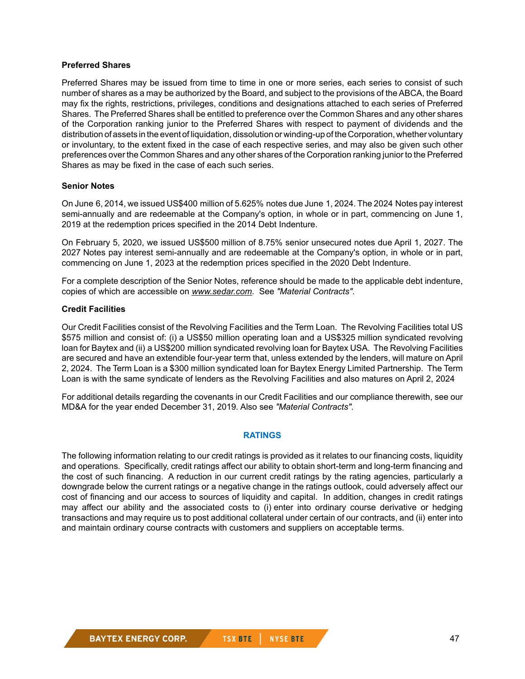#### **Preferred Shares**

Preferred Shares may be issued from time to time in one or more series, each series to consist of such number of shares as a may be authorized by the Board, and subject to the provisions of the ABCA, the Board may fix the rights, restrictions, privileges, conditions and designations attached to each series of Preferred Shares. The Preferred Shares shall be entitled to preference over the Common Shares and any other shares of the Corporation ranking junior to the Preferred Shares with respect to payment of dividends and the distribution of assets in the event of liquidation, dissolution or winding-up of the Corporation, whether voluntary or involuntary, to the extent fixed in the case of each respective series, and may also be given such other preferences over the Common Shares and any other shares of the Corporation ranking junior to the Preferred Shares as may be fixed in the case of each such series.

#### **Senior Notes**

On June 6, 2014, we issued US\$400 million of 5.625% notes due June 1, 2024. The 2024 Notes pay interest semi-annually and are redeemable at the Company's option, in whole or in part, commencing on June 1, 2019 at the redemption prices specified in the 2014 Debt Indenture.

On February 5, 2020, we issued US\$500 million of 8.75% senior unsecured notes due April 1, 2027. The 2027 Notes pay interest semi-annually and are redeemable at the Company's option, in whole or in part, commencing on June 1, 2023 at the redemption prices specified in the 2020 Debt Indenture.

For a complete description of the Senior Notes, reference should be made to the applicable debt indenture, copies of which are accessible on *www.sedar.com*. See *"Material Contracts"*.

#### **Credit Facilities**

Our Credit Facilities consist of the Revolving Facilities and the Term Loan. The Revolving Facilities total US \$575 million and consist of: (i) a US\$50 million operating loan and a US\$325 million syndicated revolving loan for Baytex and (ii) a US\$200 million syndicated revolving loan for Baytex USA. The Revolving Facilities are secured and have an extendible four-year term that, unless extended by the lenders, will mature on April 2, 2024. The Term Loan is a \$300 million syndicated loan for Baytex Energy Limited Partnership. The Term Loan is with the same syndicate of lenders as the Revolving Facilities and also matures on April 2, 2024

For additional details regarding the covenants in our Credit Facilities and our compliance therewith, see our MD&A for the year ended December 31, 2019*.* Also see *"Material Contracts"*.

#### **RATINGS**

The following information relating to our credit ratings is provided as it relates to our financing costs, liquidity and operations. Specifically, credit ratings affect our ability to obtain short-term and long-term financing and the cost of such financing. A reduction in our current credit ratings by the rating agencies, particularly a downgrade below the current ratings or a negative change in the ratings outlook, could adversely affect our cost of financing and our access to sources of liquidity and capital. In addition, changes in credit ratings may affect our ability and the associated costs to (i) enter into ordinary course derivative or hedging transactions and may require us to post additional collateral under certain of our contracts, and (ii) enter into and maintain ordinary course contracts with customers and suppliers on acceptable terms.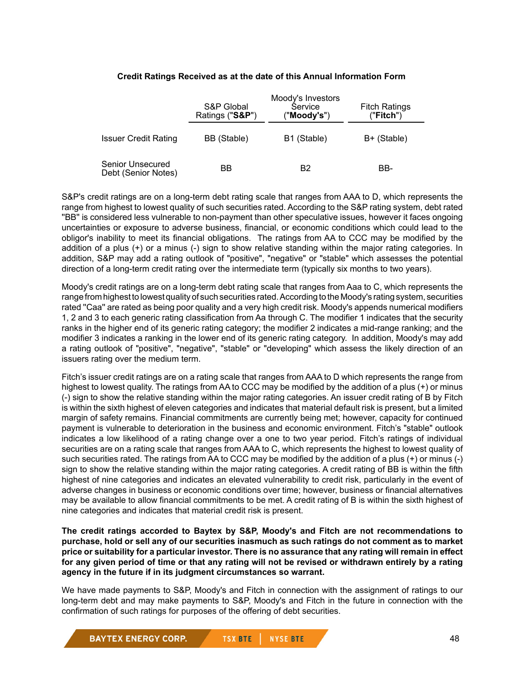# **Credit Ratings Received as at the date of this Annual Information Form**

|                                                | S&P Global<br>Ratings ("S&P") | Moody's Investors<br>Service<br>("Moody's") | <b>Fitch Ratings</b><br>("Fitch") |
|------------------------------------------------|-------------------------------|---------------------------------------------|-----------------------------------|
| <b>Issuer Credit Rating</b>                    | BB (Stable)                   | B <sub>1</sub> (Stable)                     | B+ (Stable)                       |
| <b>Senior Unsecured</b><br>Debt (Senior Notes) | ΒB                            | B2                                          | BB-                               |

S&P's credit ratings are on a long-term debt rating scale that ranges from AAA to D, which represents the range from highest to lowest quality of such securities rated. According to the S&P rating system, debt rated ''BB'' is considered less vulnerable to non-payment than other speculative issues, however it faces ongoing uncertainties or exposure to adverse business, financial, or economic conditions which could lead to the obligor's inability to meet its financial obligations. The ratings from AA to CCC may be modified by the addition of a plus (+) or a minus (-) sign to show relative standing within the major rating categories. In addition, S&P may add a rating outlook of "positive", "negative" or "stable" which assesses the potential direction of a long-term credit rating over the intermediate term (typically six months to two years).

Moody's credit ratings are on a long-term debt rating scale that ranges from Aaa to C, which represents the range from highest to lowest quality of such securities rated. According to the Moody's rating system, securities rated ''Caa'' are rated as being poor quality and a very high credit risk. Moody's appends numerical modifiers 1, 2 and 3 to each generic rating classification from Aa through C. The modifier 1 indicates that the security ranks in the higher end of its generic rating category; the modifier 2 indicates a mid-range ranking; and the modifier 3 indicates a ranking in the lower end of its generic rating category. In addition, Moody's may add a rating outlook of "positive", "negative", "stable" or "developing" which assess the likely direction of an issuers rating over the medium term.

Fitch's issuer credit ratings are on a rating scale that ranges from AAA to D which represents the range from highest to lowest quality. The ratings from AA to CCC may be modified by the addition of a plus (+) or minus (-) sign to show the relative standing within the major rating categories. An issuer credit rating of B by Fitch is within the sixth highest of eleven categories and indicates that material default risk is present, but a limited margin of safety remains. Financial commitments are currently being met; however, capacity for continued payment is vulnerable to deterioration in the business and economic environment. Fitch's "stable" outlook indicates a low likelihood of a rating change over a one to two year period. Fitch's ratings of individual securities are on a rating scale that ranges from AAA to C, which represents the highest to lowest quality of such securities rated. The ratings from AA to CCC may be modified by the addition of a plus (+) or minus (-) sign to show the relative standing within the major rating categories. A credit rating of BB is within the fifth highest of nine categories and indicates an elevated vulnerability to credit risk, particularly in the event of adverse changes in business or economic conditions over time; however, business or financial alternatives may be available to allow financial commitments to be met. A credit rating of B is within the sixth highest of nine categories and indicates that material credit risk is present.

**The credit ratings accorded to Baytex by S&P, Moody's and Fitch are not recommendations to purchase, hold or sell any of our securities inasmuch as such ratings do not comment as to market price or suitability for a particular investor. There is no assurance that any rating will remain in effect for any given period of time or that any rating will not be revised or withdrawn entirely by a rating agency in the future if in its judgment circumstances so warrant.**

We have made payments to S&P, Moody's and Fitch in connection with the assignment of ratings to our long-term debt and may make payments to S&P, Moody's and Fitch in the future in connection with the confirmation of such ratings for purposes of the offering of debt securities.

**TSX BTE NYSE BTE BAYTEX ENERGY CORP.**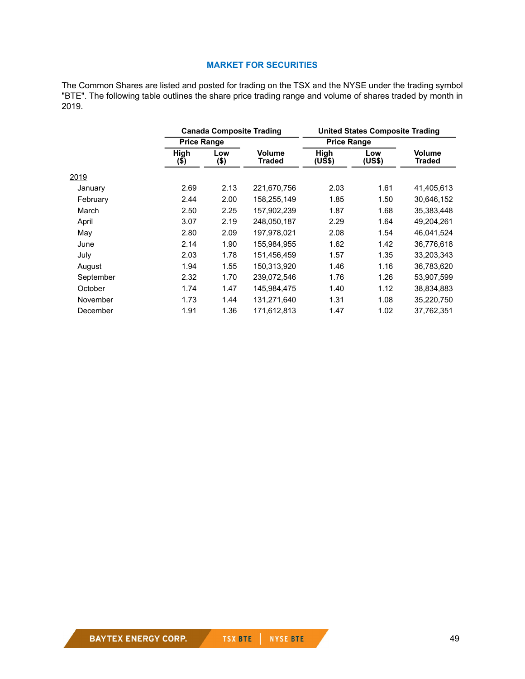#### **MARKET FOR SECURITIES**

The Common Shares are listed and posted for trading on the TSX and the NYSE under the trading symbol "BTE". The following table outlines the share price trading range and volume of shares traded by month in 2019.

|           |                    | <b>Canada Composite Trading</b> |                                |                    | <b>United States Composite Trading</b> |                                |  |
|-----------|--------------------|---------------------------------|--------------------------------|--------------------|----------------------------------------|--------------------------------|--|
|           | <b>Price Range</b> |                                 |                                | <b>Price Range</b> |                                        |                                |  |
|           | High<br>(\$)       | Low<br>$($ \$)                  | <b>Volume</b><br><b>Traded</b> | High<br>(US\$)     | Low<br>(US\$)                          | <b>Volume</b><br><b>Traded</b> |  |
| 2019      |                    |                                 |                                |                    |                                        |                                |  |
| January   | 2.69               | 2.13                            | 221,670,756                    | 2.03               | 1.61                                   | 41,405,613                     |  |
| February  | 2.44               | 2.00                            | 158,255,149                    | 1.85               | 1.50                                   | 30,646,152                     |  |
| March     | 2.50               | 2.25                            | 157,902,239                    | 1.87               | 1.68                                   | 35,383,448                     |  |
| April     | 3.07               | 2.19                            | 248.050.187                    | 2.29               | 1.64                                   | 49,204,261                     |  |
| May       | 2.80               | 2.09                            | 197,978,021                    | 2.08               | 1.54                                   | 46,041,524                     |  |
| June      | 2.14               | 1.90                            | 155,984,955                    | 1.62               | 1.42                                   | 36,776,618                     |  |
| July      | 2.03               | 1.78                            | 151,456,459                    | 1.57               | 1.35                                   | 33,203,343                     |  |
| August    | 1.94               | 1.55                            | 150.313.920                    | 1.46               | 1.16                                   | 36,783,620                     |  |
| September | 2.32               | 1.70                            | 239,072,546                    | 1.76               | 1.26                                   | 53,907,599                     |  |
| October   | 1.74               | 1.47                            | 145,984,475                    | 1.40               | 1.12                                   | 38,834,883                     |  |
| November  | 1.73               | 1.44                            | 131,271,640                    | 1.31               | 1.08                                   | 35,220,750                     |  |
| December  | 1.91               | 1.36                            | 171,612,813                    | 1.47               | 1.02                                   | 37,762,351                     |  |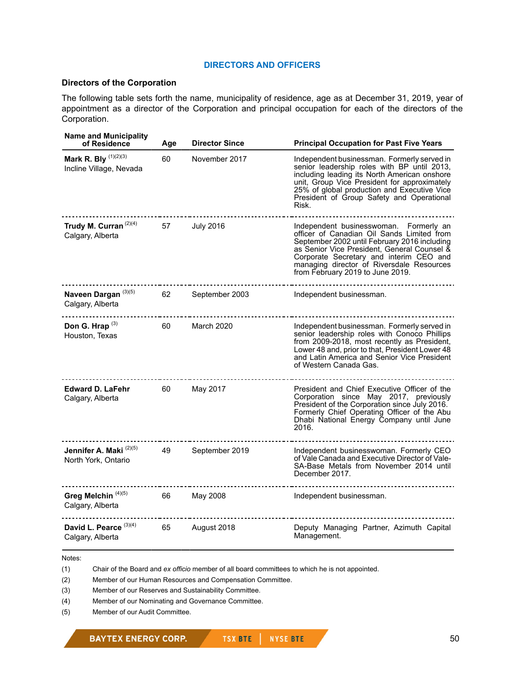#### **DIRECTORS AND OFFICERS**

## **Directors of the Corporation**

The following table sets forth the name, municipality of residence, age as at December 31, 2019, year of appointment as a director of the Corporation and principal occupation for each of the directors of the Corporation.

| <b>Name and Municipality</b><br>of Residence          | Age  | <b>Director Since</b> | <b>Principal Occupation for Past Five Years</b>                                                                                                                                                                                                                                                                 |
|-------------------------------------------------------|------|-----------------------|-----------------------------------------------------------------------------------------------------------------------------------------------------------------------------------------------------------------------------------------------------------------------------------------------------------------|
| Mark R. Bly $(1)(2)(3)$<br>Incline Village, Nevada    | 60   | November 2017         | Independent businessman. Formerly served in<br>senior leadership roles with BP until 2013,<br>including leading its North American onshore<br>unit, Group Vice President for approximately<br>25% of global production and Executive Vice<br>President of Group Safety and Operational<br>Risk.                 |
| Trudy M. Curran <sup>(2)(4)</sup><br>Calgary, Alberta | 57 — | <b>July 2016</b>      | Independent businesswoman. Formerly an<br>officer of Canadian Oil Sands Limited from<br>September 2002 until February 2016 including<br>as Senior Vice President, General Counsel &<br>Corporate Secretary and interim CEO and<br>managing director of Riversdale Resources<br>from February 2019 to June 2019. |
| Naveen Dargan <sup>(3)(5)</sup><br>Calgary, Alberta   | 62   | September 2003        | Independent businessman.                                                                                                                                                                                                                                                                                        |
| Don G. Hrap $(3)$<br>Houston, Texas                   | 60   | <b>March 2020</b>     | Independent businessman. Formerly served in<br>senior leadership roles with Conoco Phillips<br>from 2009-2018, most recently as President,<br>Lower 48 and, prior to that, President Lower 48<br>and Latin America and Senior Vice President<br>of Western Canada Gas.                                          |
| <b>Edward D. LaFehr</b><br>Calgary, Alberta           | 60   | May 2017              | President and Chief Executive Officer of the<br>Corporation since May 2017, previously<br>President of the Corporation since July 2016.<br>Formerly Chief Operating Officer of the Abu<br>Dhabi National Energy Company until June<br>2016.                                                                     |
| Jennifer A. Maki (2)(5)<br>North York, Ontario        | 49   | September 2019        | Independent businesswoman. Formerly CEO<br>of Vale Canada and Executive Director of Vale-<br>SA-Base Metals from November 2014 until<br>December 2017.                                                                                                                                                          |
| Greg Melchin <sup>(4)(5)</sup><br>Calgary, Alberta    | 66   | May 2008              | Independent businessman.                                                                                                                                                                                                                                                                                        |
| David L. Pearce (3)(4)<br>Calgary, Alberta            | 65   | August 2018           | Deputy Managing Partner, Azimuth Capital<br>Management.                                                                                                                                                                                                                                                         |

Notes:

(1) Chair of the Board and *ex officio* member of all board committees to which he is not appointed.

- (2) Member of our Human Resources and Compensation Committee.
- (3) Member of our Reserves and Sustainability Committee.
- (4) Member of our Nominating and Governance Committee.
- (5) Member of our Audit Committee.

**BAYTEX ENERGY CORP.** 

**NYSE BTE TSX BTE**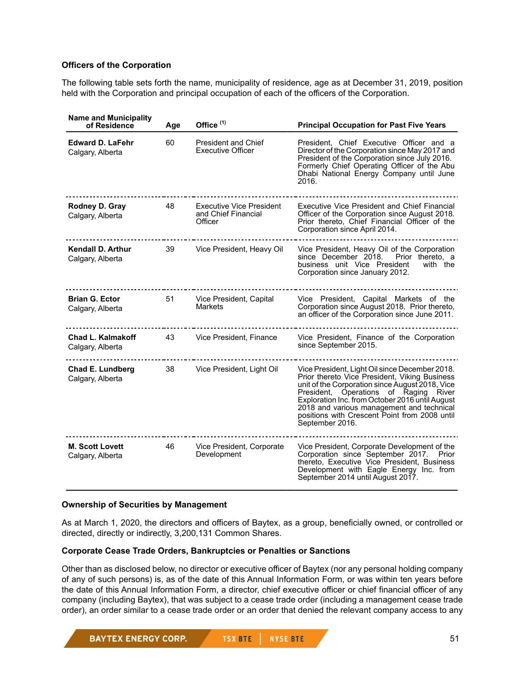#### **Officers of the Corporation**

The following table sets forth the name, municipality of residence, age as at December 31, 2019, position held with the Corporation and principal occupation of each of the officers of the Corporation.

| <b>Name and Municipality</b><br>of Residence | Age | Office <sup>(1)</sup>                                             | <b>Principal Occupation for Past Five Years</b>                                                                                                                                                                                                                                                                                                                 |  |  |  |
|----------------------------------------------|-----|-------------------------------------------------------------------|-----------------------------------------------------------------------------------------------------------------------------------------------------------------------------------------------------------------------------------------------------------------------------------------------------------------------------------------------------------------|--|--|--|
| <b>Edward D. LaFehr</b><br>Calgary, Alberta  | 60  | <b>President and Chief</b><br><b>Executive Officer</b>            | President. Chief Executive Officer and a<br>Director of the Corporation since May 2017 and<br>President of the Corporation since July 2016.<br>Formerly Chief Operating Officer of the Abu<br>Dhabi National Energy Company until June<br>2016.                                                                                                                 |  |  |  |
| Rodney D. Gray<br>Calgary, Alberta           | 48  | <b>Executive Vice President</b><br>and Chief Financial<br>Officer | Executive Vice President and Chief Financial<br>Officer of the Corporation since August 2018.<br>Prior thereto, Chief Financial Officer of the<br>Corporation since April 2014.                                                                                                                                                                                 |  |  |  |
| <b>Kendall D. Arthur</b><br>Calgary, Alberta | 39  | Vice President, Heavy Oil                                         | Vice President, Heavy Oil of the Corporation<br>since December 2018.<br>Prior thereto, a<br>business unit Vice President<br>with the<br>Corporation since January 2012.                                                                                                                                                                                         |  |  |  |
| <b>Brian G. Ector</b><br>Calgary, Alberta    | 51  | Vice President, Capital<br>Markets                                | Vice President, Capital Markets of the<br>Corporation since August 2018. Prior thereto,<br>an officer of the Corporation since June 2011.                                                                                                                                                                                                                       |  |  |  |
| <b>Chad L. Kalmakoff</b><br>Calgary, Alberta | 43  | Vice President, Finance                                           | Vice President, Finance of the Corporation<br>since September 2015.                                                                                                                                                                                                                                                                                             |  |  |  |
| Chad E. Lundberg<br>Calgary, Alberta         | 38  | Vice President, Light Oil                                         | Vice President, Light Oil since December 2018.<br>Prior thereto Vice President, Viking Business<br>unit of the Corporation since August 2018, Vice<br>President, Operations of Raging River<br>Exploration Inc. from October 2016 until August<br>2018 and various management and technical<br>positions with Crescent Point from 2008 until<br>September 2016. |  |  |  |
| <b>M. Scott Lovett</b><br>Calgary, Alberta   | 46  | Vice President, Corporate<br>Development                          | Vice President, Corporate Development of the<br>Corporation since September 2017.<br>Prior<br>thereto, Executive Vice President, Business<br>Development with Eagle Energy Inc. from<br>September 2014 until August 2017.                                                                                                                                       |  |  |  |

#### **Ownership of Securities by Management**

As at March 1, 2020, the directors and officers of Baytex, as a group, beneficially owned, or controlled or directed, directly or indirectly, 3,200,131 Common Shares.

# **Corporate Cease Trade Orders, Bankruptcies or Penalties or Sanctions**

Other than as disclosed below, no director or executive officer of Baytex (nor any personal holding company of any of such persons) is, as of the date of this Annual Information Form, or was within ten years before the date of this Annual Information Form, a director, chief executive officer or chief financial officer of any company (including Baytex), that was subject to a cease trade order (including a management cease trade order), an order similar to a cease trade order or an order that denied the relevant company access to any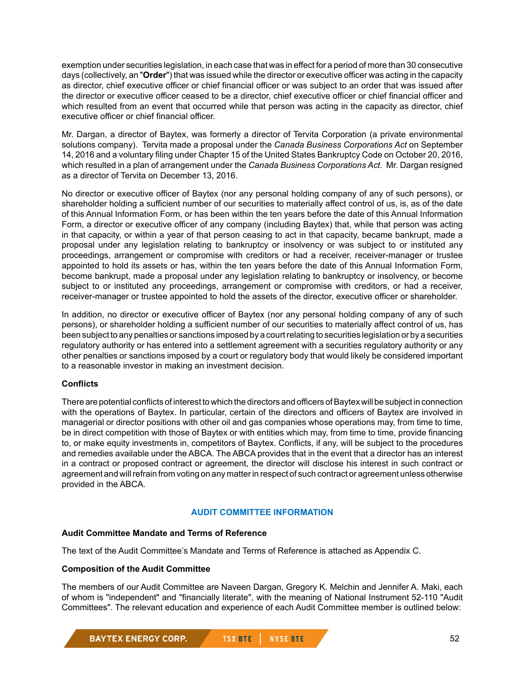exemption under securities legislation, in each case that was in effect for a period of more than 30 consecutive days (collectively, an "**Order**") that was issued while the director or executive officer was acting in the capacity as director, chief executive officer or chief financial officer or was subject to an order that was issued after the director or executive officer ceased to be a director, chief executive officer or chief financial officer and which resulted from an event that occurred while that person was acting in the capacity as director, chief executive officer or chief financial officer.

Mr. Dargan, a director of Baytex, was formerly a director of Tervita Corporation (a private environmental solutions company). Tervita made a proposal under the *Canada Business Corporations Act* on September 14, 2016 and a voluntary filing under Chapter 15 of the United States Bankruptcy Code on October 20, 2016, which resulted in a plan of arrangement under the *Canada Business Corporations Act*. Mr. Dargan resigned as a director of Tervita on December 13, 2016.

No director or executive officer of Baytex (nor any personal holding company of any of such persons), or shareholder holding a sufficient number of our securities to materially affect control of us, is, as of the date of this Annual Information Form, or has been within the ten years before the date of this Annual Information Form, a director or executive officer of any company (including Baytex) that, while that person was acting in that capacity, or within a year of that person ceasing to act in that capacity, became bankrupt, made a proposal under any legislation relating to bankruptcy or insolvency or was subject to or instituted any proceedings, arrangement or compromise with creditors or had a receiver, receiver-manager or trustee appointed to hold its assets or has, within the ten years before the date of this Annual Information Form, become bankrupt, made a proposal under any legislation relating to bankruptcy or insolvency, or become subject to or instituted any proceedings, arrangement or compromise with creditors, or had a receiver, receiver-manager or trustee appointed to hold the assets of the director, executive officer or shareholder.

In addition, no director or executive officer of Baytex (nor any personal holding company of any of such persons), or shareholder holding a sufficient number of our securities to materially affect control of us, has been subject to any penalties or sanctions imposed by a court relating to securities legislation or by a securities regulatory authority or has entered into a settlement agreement with a securities regulatory authority or any other penalties or sanctions imposed by a court or regulatory body that would likely be considered important to a reasonable investor in making an investment decision.

# **Conflicts**

There are potential conflicts of interest to which the directors and officers of Baytex will be subject in connection with the operations of Baytex. In particular, certain of the directors and officers of Baytex are involved in managerial or director positions with other oil and gas companies whose operations may, from time to time, be in direct competition with those of Baytex or with entities which may, from time to time, provide financing to, or make equity investments in, competitors of Baytex. Conflicts, if any, will be subject to the procedures and remedies available under the ABCA. The ABCA provides that in the event that a director has an interest in a contract or proposed contract or agreement, the director will disclose his interest in such contract or agreement and will refrain from voting on any matter in respect of such contract or agreement unless otherwise provided in the ABCA.

# **AUDIT COMMITTEE INFORMATION**

# **Audit Committee Mandate and Terms of Reference**

The text of the Audit Committee's Mandate and Terms of Reference is attached as Appendix C.

# **Composition of the Audit Committee**

The members of our Audit Committee are Naveen Dargan, Gregory K. Melchin and Jennifer A. Maki, each of whom is "independent" and "financially literate", with the meaning of National Instrument 52-110 "Audit Committees". The relevant education and experience of each Audit Committee member is outlined below: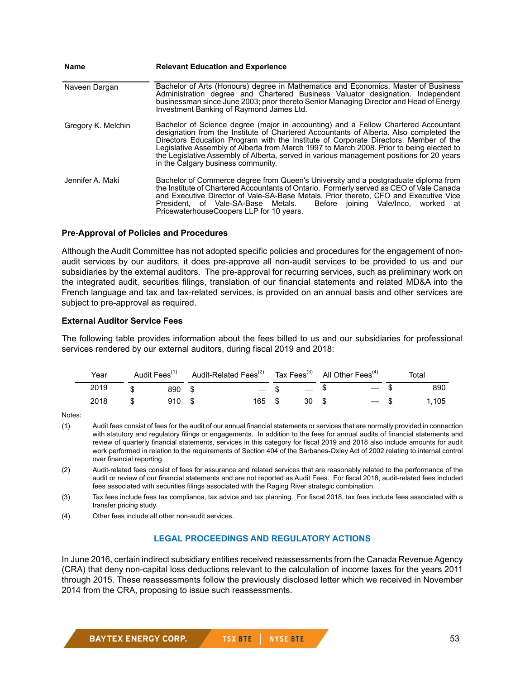| <b>Name</b>        | <b>Relevant Education and Experience</b>                                                                                                                                                                                                                                                                                                                                                                                                                                                           |
|--------------------|----------------------------------------------------------------------------------------------------------------------------------------------------------------------------------------------------------------------------------------------------------------------------------------------------------------------------------------------------------------------------------------------------------------------------------------------------------------------------------------------------|
| Naveen Dargan      | Bachelor of Arts (Honours) degree in Mathematics and Economics, Master of Business<br>Administration degree and Chartered Business Valuator designation. Independent<br>businessman since June 2003; prior thereto Senior Managing Director and Head of Energy<br>Investment Banking of Raymond James Ltd.                                                                                                                                                                                         |
| Gregory K. Melchin | Bachelor of Science degree (major in accounting) and a Fellow Chartered Accountant<br>designation from the Institute of Chartered Accountants of Alberta. Also completed the<br>Directors Education Program with the Institute of Corporate Directors. Member of the<br>Legislative Assembly of Alberta from March 1997 to March 2008. Prior to being elected to<br>the Legislative Assembly of Alberta, served in various management positions for 20 years<br>in the Calgary business community. |
| Jennifer A. Maki   | Bachelor of Commerce degree from Queen's University and a postgraduate diploma from<br>the Institute of Chartered Accountants of Ontario. Formerly served as CEO of Vale Canada<br>and Executive Director of Vale-SA-Base Metals. Prior thereto, CFO and Executive Vice<br>President, of Vale-SA-Base Metals. Before joining Vale/Inco, worked at<br>PricewaterhouseCoopers LLP for 10 years.                                                                                                      |

#### **Pre**-**Approval of Policies and Procedures**

Although the Audit Committee has not adopted specific policies and procedures for the engagement of nonaudit services by our auditors, it does pre-approve all non-audit services to be provided to us and our subsidiaries by the external auditors. The pre-approval for recurring services, such as preliminary work on the integrated audit, securities filings, translation of our financial statements and related MD&A into the French language and tax and tax-related services, is provided on an annual basis and other services are subject to pre-approval as required.

#### **External Auditor Service Fees**

The following table provides information about the fees billed to us and our subsidiaries for professional services rendered by our external auditors, during fiscal 2019 and 2018:

| Year |        | Audit Fees <sup>(1)</sup> Audit-Related Fees <sup>(2)</sup> Tax Fees <sup>(3)</sup> All Other Fees <sup>(4)</sup> |           |        | Total |
|------|--------|-------------------------------------------------------------------------------------------------------------------|-----------|--------|-------|
| 2019 | 890 \$ | $-$ \$                                                                                                            | $ \infty$ | $-$ \$ | 890   |
| 2018 | 910 S  | 165 SI                                                                                                            | 30 S      | $-$ \$ | 1.105 |

Notes:

(1) Audit fees consist of fees for the audit of our annual financial statements or services that are normally provided in connection with statutory and regulatory filings or engagements. In addition to the fees for annual audits of financial statements and review of quarterly financial statements, services in this category for fiscal 2019 and 2018 also include amounts for audit work performed in relation to the requirements of Section 404 of the Sarbanes-Oxley Act of 2002 relating to internal control over financial reporting.

- (2) Audit-related fees consist of fees for assurance and related services that are reasonably related to the performance of the audit or review of our financial statements and are not reported as Audit Fees. For fiscal 2018, audit-related fees included fees associated with securities filings associated with the Raging River strategic combination.
- (3) Tax fees include fees tax compliance, tax advice and tax planning. For fiscal 2018, tax fees include fees associated with a transfer pricing study.
- (4) Other fees include all other non-audit services.

# **LEGAL PROCEEDINGS AND REGULATORY ACTIONS**

In June 2016, certain indirect subsidiary entities received reassessments from the Canada Revenue Agency (CRA) that deny non-capital loss deductions relevant to the calculation of income taxes for the years 2011 through 2015. These reassessments follow the previously disclosed letter which we received in November 2014 from the CRA, proposing to issue such reassessments.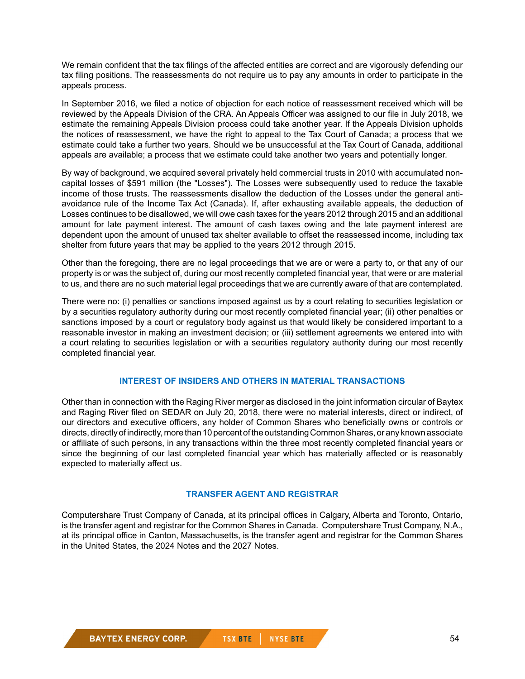We remain confident that the tax filings of the affected entities are correct and are vigorously defending our tax filing positions. The reassessments do not require us to pay any amounts in order to participate in the appeals process.

In September 2016, we filed a notice of objection for each notice of reassessment received which will be reviewed by the Appeals Division of the CRA. An Appeals Officer was assigned to our file in July 2018, we estimate the remaining Appeals Division process could take another year. If the Appeals Division upholds the notices of reassessment, we have the right to appeal to the Tax Court of Canada; a process that we estimate could take a further two years. Should we be unsuccessful at the Tax Court of Canada, additional appeals are available; a process that we estimate could take another two years and potentially longer.

By way of background, we acquired several privately held commercial trusts in 2010 with accumulated noncapital losses of \$591 million (the "Losses"). The Losses were subsequently used to reduce the taxable income of those trusts. The reassessments disallow the deduction of the Losses under the general antiavoidance rule of the Income Tax Act (Canada). If, after exhausting available appeals, the deduction of Losses continues to be disallowed, we will owe cash taxes for the years 2012 through 2015 and an additional amount for late payment interest. The amount of cash taxes owing and the late payment interest are dependent upon the amount of unused tax shelter available to offset the reassessed income, including tax shelter from future years that may be applied to the years 2012 through 2015.

Other than the foregoing, there are no legal proceedings that we are or were a party to, or that any of our property is or was the subject of, during our most recently completed financial year, that were or are material to us, and there are no such material legal proceedings that we are currently aware of that are contemplated.

There were no: (i) penalties or sanctions imposed against us by a court relating to securities legislation or by a securities regulatory authority during our most recently completed financial year; (ii) other penalties or sanctions imposed by a court or regulatory body against us that would likely be considered important to a reasonable investor in making an investment decision; or (iii) settlement agreements we entered into with a court relating to securities legislation or with a securities regulatory authority during our most recently completed financial year.

# **INTEREST OF INSIDERS AND OTHERS IN MATERIAL TRANSACTIONS**

Other than in connection with the Raging River merger as disclosed in the joint information circular of Baytex and Raging River filed on SEDAR on July 20, 2018, there were no material interests, direct or indirect, of our directors and executive officers, any holder of Common Shares who beneficially owns or controls or directs, directly of indirectly, more than 10 percent of the outstanding Common Shares, or any known associate or affiliate of such persons, in any transactions within the three most recently completed financial years or since the beginning of our last completed financial year which has materially affected or is reasonably expected to materially affect us.

# **TRANSFER AGENT AND REGISTRAR**

Computershare Trust Company of Canada, at its principal offices in Calgary, Alberta and Toronto, Ontario, is the transfer agent and registrar for the Common Shares in Canada. Computershare Trust Company, N.A., at its principal office in Canton, Massachusetts, is the transfer agent and registrar for the Common Shares in the United States, the 2024 Notes and the 2027 Notes.

**NYSE BTE** 

**TSX BTE**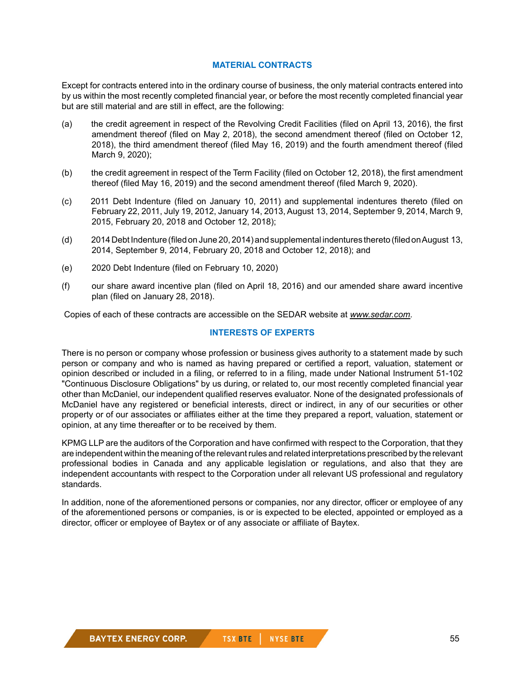#### **MATERIAL CONTRACTS**

Except for contracts entered into in the ordinary course of business, the only material contracts entered into by us within the most recently completed financial year, or before the most recently completed financial year but are still material and are still in effect, are the following:

- (a) the credit agreement in respect of the Revolving Credit Facilities (filed on April 13, 2016), the first amendment thereof (filed on May 2, 2018), the second amendment thereof (filed on October 12, 2018), the third amendment thereof (filed May 16, 2019) and the fourth amendment thereof (filed March 9, 2020);
- (b) the credit agreement in respect of the Term Facility (filed on October 12, 2018), the first amendment thereof (filed May 16, 2019) and the second amendment thereof (filed March 9, 2020).
- (c) 2011 Debt Indenture (filed on January 10, 2011) and supplemental indentures thereto (filed on February 22, 2011, July 19, 2012, January 14, 2013, August 13, 2014, September 9, 2014, March 9, 2015, February 20, 2018 and October 12, 2018);
- (d) 2014 Debt Indenture (filed on June 20, 2014) and supplemental indentures thereto (filed on August 13, 2014, September 9, 2014, February 20, 2018 and October 12, 2018); and
- (e) 2020 Debt Indenture (filed on February 10, 2020)
- (f) our share award incentive plan (filed on April 18, 2016) and our amended share award incentive plan (filed on January 28, 2018).

Copies of each of these contracts are accessible on the SEDAR website at *www.sedar.com*.

# **INTERESTS OF EXPERTS**

There is no person or company whose profession or business gives authority to a statement made by such person or company and who is named as having prepared or certified a report, valuation, statement or opinion described or included in a filing, or referred to in a filing, made under National Instrument 51-102 "Continuous Disclosure Obligations" by us during, or related to, our most recently completed financial year other than McDaniel, our independent qualified reserves evaluator. None of the designated professionals of McDaniel have any registered or beneficial interests, direct or indirect, in any of our securities or other property or of our associates or affiliates either at the time they prepared a report, valuation, statement or opinion, at any time thereafter or to be received by them.

KPMG LLP are the auditors of the Corporation and have confirmed with respect to the Corporation, that they are independent within the meaning of the relevant rules and related interpretations prescribed by the relevant professional bodies in Canada and any applicable legislation or regulations, and also that they are independent accountants with respect to the Corporation under all relevant US professional and regulatory standards.

In addition, none of the aforementioned persons or companies, nor any director, officer or employee of any of the aforementioned persons or companies, is or is expected to be elected, appointed or employed as a director, officer or employee of Baytex or of any associate or affiliate of Baytex.

**NYSE BTE**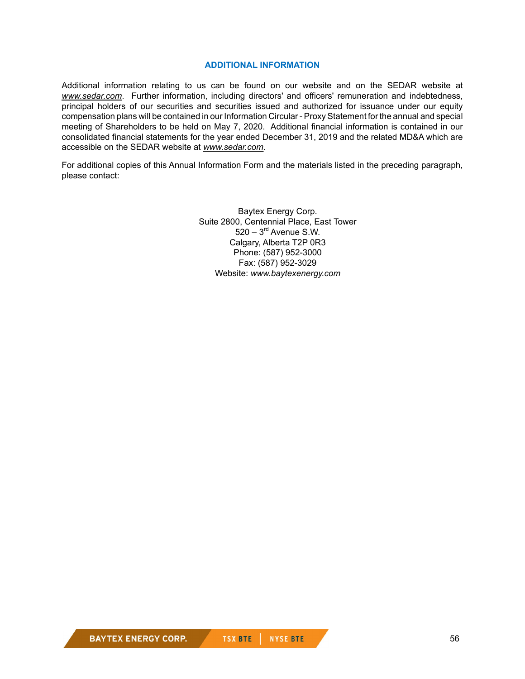#### **ADDITIONAL INFORMATION**

Additional information relating to us can be found on our website and on the SEDAR website at *www.sedar.com*. Further information, including directors' and officers' remuneration and indebtedness, principal holders of our securities and securities issued and authorized for issuance under our equity compensation plans will be contained in our Information Circular - Proxy Statement for the annual and special meeting of Shareholders to be held on May 7, 2020. Additional financial information is contained in our consolidated financial statements for the year ended December 31, 2019 and the related MD&A which are accessible on the SEDAR website at *www.sedar.com*.

For additional copies of this Annual Information Form and the materials listed in the preceding paragraph, please contact:

> Baytex Energy Corp. Suite 2800, Centennial Place, East Tower  $520 - 3<sup>rd</sup>$  Avenue S.W. Calgary, Alberta T2P 0R3 Phone: (587) 952-3000 Fax: (587) 952-3029 Website: *www.baytexenergy.com*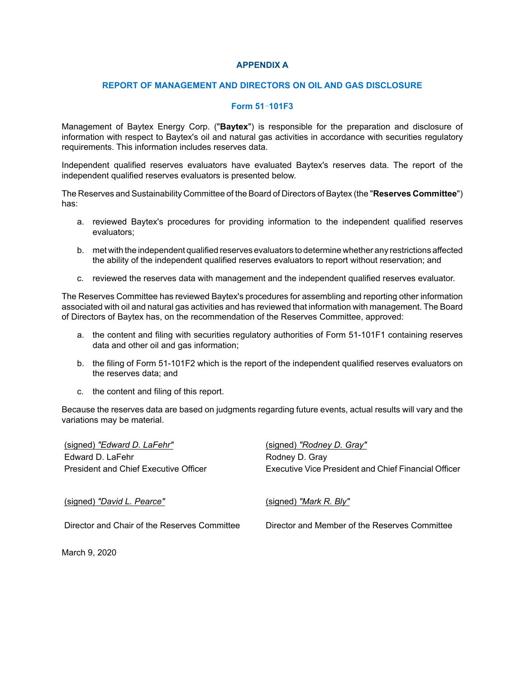#### **APPENDIX A**

#### **REPORT OF MANAGEMENT AND DIRECTORS ON OIL AND GAS DISCLOSURE**

#### **Form 51 101F3**

Management of Baytex Energy Corp. ("**Baytex**") is responsible for the preparation and disclosure of information with respect to Baytex's oil and natural gas activities in accordance with securities regulatory requirements. This information includes reserves data.

Independent qualified reserves evaluators have evaluated Baytex's reserves data. The report of the independent qualified reserves evaluators is presented below.

The Reserves and Sustainability Committee of the Board of Directors of Baytex (the "**Reserves Committee**") has:

- a. reviewed Baytex's procedures for providing information to the independent qualified reserves evaluators;
- b. met with the independent qualified reserves evaluators to determine whether any restrictions affected the ability of the independent qualified reserves evaluators to report without reservation; and
- c. reviewed the reserves data with management and the independent qualified reserves evaluator.

The Reserves Committee has reviewed Baytex's procedures for assembling and reporting other information associated with oil and natural gas activities and has reviewed that information with management. The Board of Directors of Baytex has, on the recommendation of the Reserves Committee, approved:

- a. the content and filing with securities regulatory authorities of Form 51-101F1 containing reserves data and other oil and gas information;
- b. the filing of Form 51-101F2 which is the report of the independent qualified reserves evaluators on the reserves data; and
- c. the content and filing of this report.

Because the reserves data are based on judgments regarding future events, actual results will vary and the variations may be material.

| (signed) "Rodney D. Gray"                            |
|------------------------------------------------------|
| Rodney D. Gray                                       |
| Executive Vice President and Chief Financial Officer |
| (signed) "Mark R. Bly"                               |
| Director and Member of the Reserves Committee        |
|                                                      |

March 9, 2020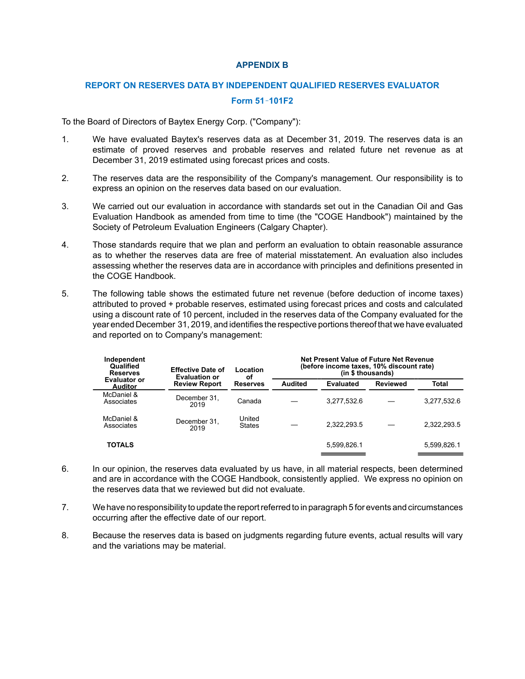#### **APPENDIX B**

#### **REPORT ON RESERVES DATA BY INDEPENDENT QUALIFIED RESERVES EVALUATOR**

#### **Form 51 101F2**

To the Board of Directors of Baytex Energy Corp. ("Company"):

- 1. We have evaluated Baytex's reserves data as at December 31, 2019. The reserves data is an estimate of proved reserves and probable reserves and related future net revenue as at December 31, 2019 estimated using forecast prices and costs.
- 2. The reserves data are the responsibility of the Company's management. Our responsibility is to express an opinion on the reserves data based on our evaluation.
- 3. We carried out our evaluation in accordance with standards set out in the Canadian Oil and Gas Evaluation Handbook as amended from time to time (the "COGE Handbook") maintained by the Society of Petroleum Evaluation Engineers (Calgary Chapter).
- 4. Those standards require that we plan and perform an evaluation to obtain reasonable assurance as to whether the reserves data are free of material misstatement. An evaluation also includes assessing whether the reserves data are in accordance with principles and definitions presented in the COGE Handbook.
- 5. The following table shows the estimated future net revenue (before deduction of income taxes) attributed to proved + probable reserves, estimated using forecast prices and costs and calculated using a discount rate of 10 percent, included in the reserves data of the Company evaluated for the year ended December 31, 2019, and identifies the respective portions thereof that we have evaluated and reported on to Company's management:

| Independent<br>Qualified<br><b>Reserves</b> | <b>Effective Date of</b><br><b>Evaluation or</b> | Location<br>οf<br><b>Reserves</b> | Net Present Value of Future Net Revenue<br>(before income taxes, 10% discount rate)<br>(in \$ thousands) |             |                 |             |  |  |  |
|---------------------------------------------|--------------------------------------------------|-----------------------------------|----------------------------------------------------------------------------------------------------------|-------------|-----------------|-------------|--|--|--|
| <b>Evaluator or</b><br><b>Auditor</b>       | <b>Review Report</b>                             |                                   | <b>Audited</b>                                                                                           | Evaluated   | <b>Reviewed</b> | Total       |  |  |  |
| McDaniel &<br>Associates                    | December 31.<br>2019                             | Canada                            |                                                                                                          | 3,277,532.6 |                 | 3,277,532.6 |  |  |  |
| McDaniel &<br>Associates                    | December 31,<br>2019                             | United<br><b>States</b>           |                                                                                                          | 2.322.293.5 |                 | 2.322.293.5 |  |  |  |
| <b>TOTALS</b>                               |                                                  |                                   |                                                                                                          | 5,599,826.1 |                 | 5,599,826.1 |  |  |  |

- 6. In our opinion, the reserves data evaluated by us have, in all material respects, been determined and are in accordance with the COGE Handbook, consistently applied. We express no opinion on the reserves data that we reviewed but did not evaluate.
- 7. We have no responsibility to update the report referred to in paragraph 5 for events and circumstances occurring after the effective date of our report.
- 8. Because the reserves data is based on judgments regarding future events, actual results will vary and the variations may be material.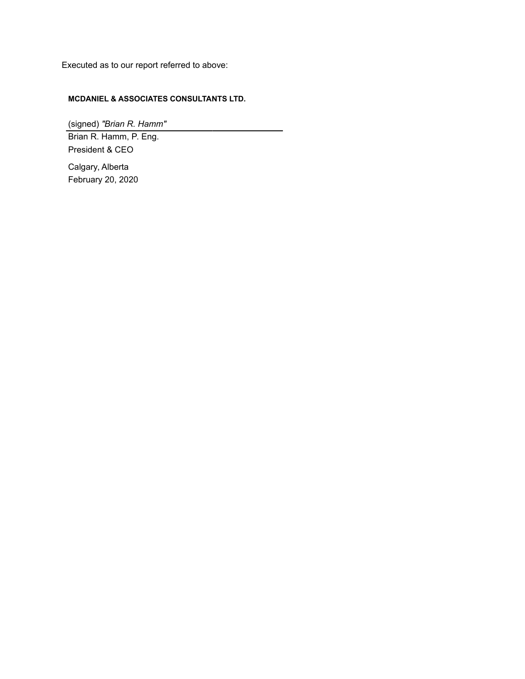Executed as to our report referred to above:

# **MCDANIEL & ASSOCIATES CONSULTANTS LTD.**

(signed) *"Brian R. Hamm"* Brian R. Hamm, P. Eng. President & CEO

Calgary, Alberta February 20, 2020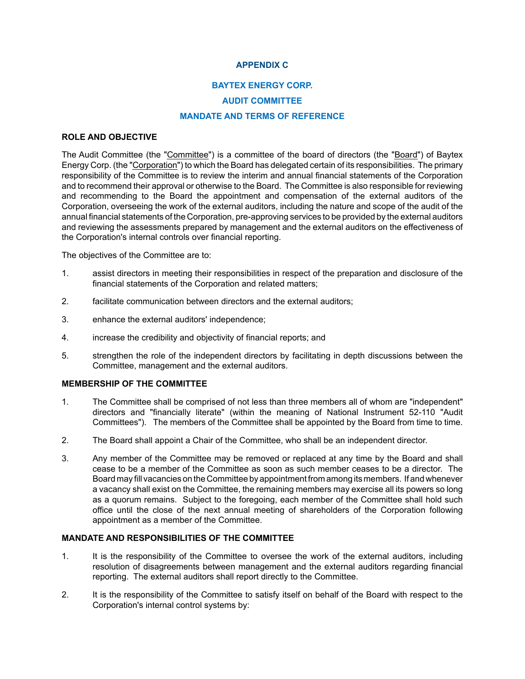# **APPENDIX C**

# **BAYTEX ENERGY CORP. AUDIT COMMITTEE**

# **MANDATE AND TERMS OF REFERENCE**

# **ROLE AND OBJECTIVE**

The Audit Committee (the "Committee") is a committee of the board of directors (the "Board") of Baytex Energy Corp. (the "Corporation") to which the Board has delegated certain of its responsibilities. The primary responsibility of the Committee is to review the interim and annual financial statements of the Corporation and to recommend their approval or otherwise to the Board. The Committee is also responsible for reviewing and recommending to the Board the appointment and compensation of the external auditors of the Corporation, overseeing the work of the external auditors, including the nature and scope of the audit of the annual financial statements of the Corporation, pre-approving services to be provided by the external auditors and reviewing the assessments prepared by management and the external auditors on the effectiveness of the Corporation's internal controls over financial reporting.

The objectives of the Committee are to:

- 1. assist directors in meeting their responsibilities in respect of the preparation and disclosure of the financial statements of the Corporation and related matters;
- 2. facilitate communication between directors and the external auditors;
- 3. enhance the external auditors' independence;
- 4. increase the credibility and objectivity of financial reports; and
- 5. strengthen the role of the independent directors by facilitating in depth discussions between the Committee, management and the external auditors.

# **MEMBERSHIP OF THE COMMITTEE**

- 1. The Committee shall be comprised of not less than three members all of whom are "independent" directors and "financially literate" (within the meaning of National Instrument 52-110 "Audit Committees"). The members of the Committee shall be appointed by the Board from time to time.
- 2. The Board shall appoint a Chair of the Committee, who shall be an independent director.
- 3. Any member of the Committee may be removed or replaced at any time by the Board and shall cease to be a member of the Committee as soon as such member ceases to be a director. The Board may fill vacancies on the Committee by appointment from among its members. If and whenever a vacancy shall exist on the Committee, the remaining members may exercise all its powers so long as a quorum remains. Subject to the foregoing, each member of the Committee shall hold such office until the close of the next annual meeting of shareholders of the Corporation following appointment as a member of the Committee.

## **MANDATE AND RESPONSIBILITIES OF THE COMMITTEE**

- 1. It is the responsibility of the Committee to oversee the work of the external auditors, including resolution of disagreements between management and the external auditors regarding financial reporting. The external auditors shall report directly to the Committee.
- 2. It is the responsibility of the Committee to satisfy itself on behalf of the Board with respect to the Corporation's internal control systems by: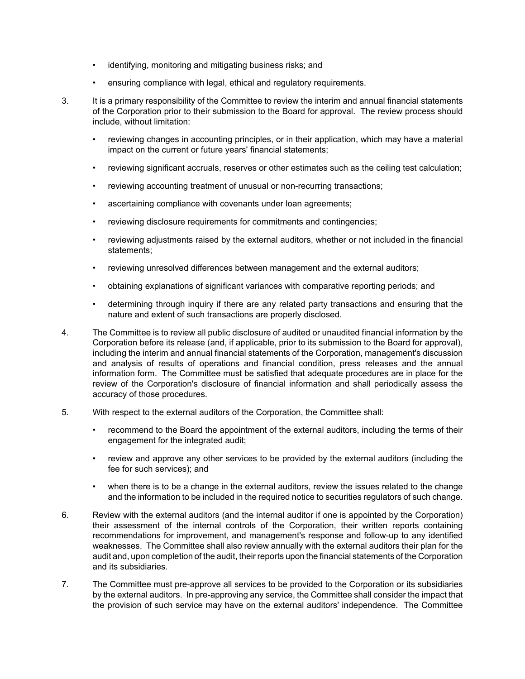- identifying, monitoring and mitigating business risks; and
- ensuring compliance with legal, ethical and regulatory requirements.
- 3. It is a primary responsibility of the Committee to review the interim and annual financial statements of the Corporation prior to their submission to the Board for approval. The review process should include, without limitation:
	- reviewing changes in accounting principles, or in their application, which may have a material impact on the current or future years' financial statements;
	- reviewing significant accruals, reserves or other estimates such as the ceiling test calculation;
	- reviewing accounting treatment of unusual or non-recurring transactions;
	- ascertaining compliance with covenants under loan agreements;
	- reviewing disclosure requirements for commitments and contingencies;
	- reviewing adjustments raised by the external auditors, whether or not included in the financial statements;
	- reviewing unresolved differences between management and the external auditors;
	- obtaining explanations of significant variances with comparative reporting periods; and
	- determining through inquiry if there are any related party transactions and ensuring that the nature and extent of such transactions are properly disclosed.
- 4. The Committee is to review all public disclosure of audited or unaudited financial information by the Corporation before its release (and, if applicable, prior to its submission to the Board for approval), including the interim and annual financial statements of the Corporation, management's discussion and analysis of results of operations and financial condition, press releases and the annual information form. The Committee must be satisfied that adequate procedures are in place for the review of the Corporation's disclosure of financial information and shall periodically assess the accuracy of those procedures.
- 5. With respect to the external auditors of the Corporation, the Committee shall:
	- recommend to the Board the appointment of the external auditors, including the terms of their engagement for the integrated audit;
	- review and approve any other services to be provided by the external auditors (including the fee for such services); and
	- when there is to be a change in the external auditors, review the issues related to the change and the information to be included in the required notice to securities regulators of such change.
- 6. Review with the external auditors (and the internal auditor if one is appointed by the Corporation) their assessment of the internal controls of the Corporation, their written reports containing recommendations for improvement, and management's response and follow-up to any identified weaknesses. The Committee shall also review annually with the external auditors their plan for the audit and, upon completion of the audit, their reports upon the financial statements of the Corporation and its subsidiaries.
- 7. The Committee must pre-approve all services to be provided to the Corporation or its subsidiaries by the external auditors. In pre-approving any service, the Committee shall consider the impact that the provision of such service may have on the external auditors' independence. The Committee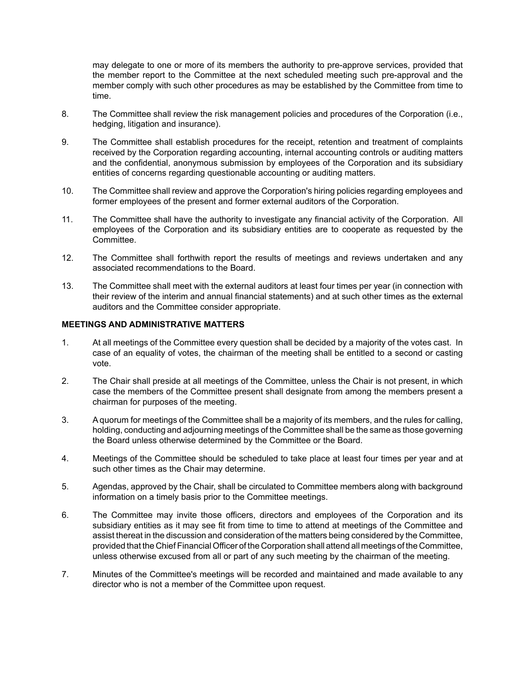may delegate to one or more of its members the authority to pre-approve services, provided that the member report to the Committee at the next scheduled meeting such pre-approval and the member comply with such other procedures as may be established by the Committee from time to time.

- 8. The Committee shall review the risk management policies and procedures of the Corporation (i.e., hedging, litigation and insurance).
- 9. The Committee shall establish procedures for the receipt, retention and treatment of complaints received by the Corporation regarding accounting, internal accounting controls or auditing matters and the confidential, anonymous submission by employees of the Corporation and its subsidiary entities of concerns regarding questionable accounting or auditing matters.
- 10. The Committee shall review and approve the Corporation's hiring policies regarding employees and former employees of the present and former external auditors of the Corporation.
- 11. The Committee shall have the authority to investigate any financial activity of the Corporation. All employees of the Corporation and its subsidiary entities are to cooperate as requested by the Committee.
- 12. The Committee shall forthwith report the results of meetings and reviews undertaken and any associated recommendations to the Board.
- 13. The Committee shall meet with the external auditors at least four times per year (in connection with their review of the interim and annual financial statements) and at such other times as the external auditors and the Committee consider appropriate.

# **MEETINGS AND ADMINISTRATIVE MATTERS**

- 1. At all meetings of the Committee every question shall be decided by a majority of the votes cast. In case of an equality of votes, the chairman of the meeting shall be entitled to a second or casting vote.
- 2. The Chair shall preside at all meetings of the Committee, unless the Chair is not present, in which case the members of the Committee present shall designate from among the members present a chairman for purposes of the meeting.
- 3. Aquorum for meetings of the Committee shall be a majority of its members, and the rules for calling, holding, conducting and adjourning meetings of the Committee shall be the same as those governing the Board unless otherwise determined by the Committee or the Board.
- 4. Meetings of the Committee should be scheduled to take place at least four times per year and at such other times as the Chair may determine.
- 5. Agendas, approved by the Chair, shall be circulated to Committee members along with background information on a timely basis prior to the Committee meetings.
- 6. The Committee may invite those officers, directors and employees of the Corporation and its subsidiary entities as it may see fit from time to time to attend at meetings of the Committee and assist thereat in the discussion and consideration of the matters being considered by the Committee, provided that the Chief Financial Officer of the Corporation shall attend all meetings of the Committee, unless otherwise excused from all or part of any such meeting by the chairman of the meeting.
- 7. Minutes of the Committee's meetings will be recorded and maintained and made available to any director who is not a member of the Committee upon request.